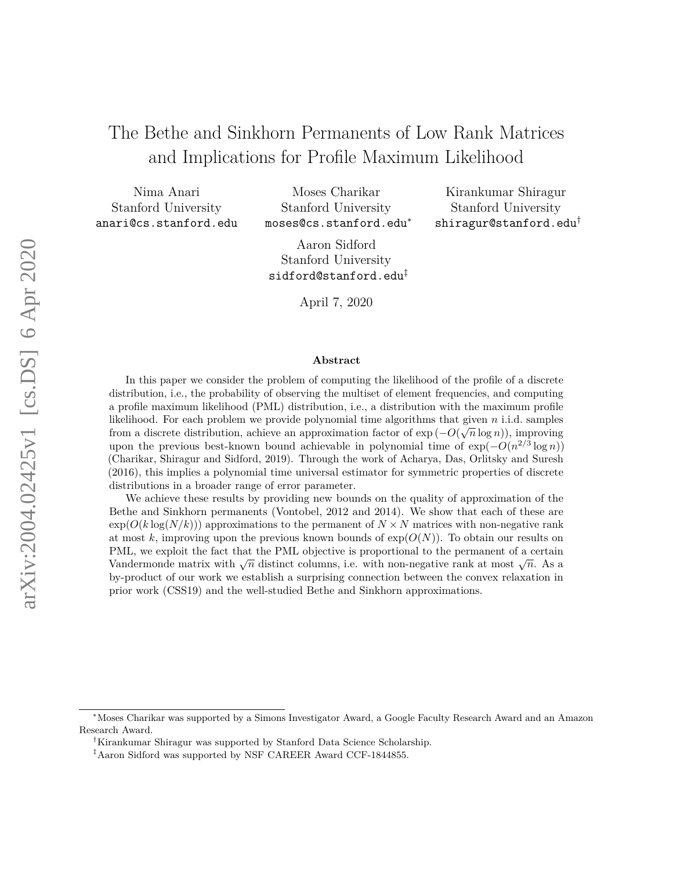# The Bethe and Sinkhorn Permanents of Low Rank Matrices and Implications for Profile Maximum Likelihood

Nima Anari Stanford University anari@cs.stanford.edu

Moses Charikar Stanford University moses@cs.stanford.edu<sup>∗</sup>

Kirankumar Shiragur Stanford University shiragur@stanford.edu†

Aaron Sidford Stanford University sidford@stanford.edu‡

April 7, 2020

#### **Abstract**

In this paper we consider the problem of computing the likelihood of the profile of a discrete distribution, i.e., the probability of observing the multiset of element frequencies, and computing a profile maximum likelihood (PML) distribution, i.e., a distribution with the maximum profile likelihood. For each problem we provide polynomial time algorithms that given *n* i.i.d. samples √ from a discrete distribution, achieve an approximation factor of  $\exp(-O(\sqrt{n}\log n))$ , improving upon the previous best-known bound achievable in polynomial time of  $\exp(-O(n^{2/3} \log n))$ (Charikar, Shiragur and Sidford, 2019). Through the work of Acharya, Das, Orlitsky and Suresh (2016), this implies a polynomial time universal estimator for symmetric properties of discrete distributions in a broader range of error parameter.

We achieve these results by providing new bounds on the quality of approximation of the Bethe and Sinkhorn permanents (Vontobel, 2012 and 2014). We show that each of these are  $\exp(O(k \log(N/k)))$  approximations to the permanent of  $N \times N$  matrices with non-negative rank at most  $k$ , improving upon the previous known bounds of  $exp(O(N))$ . To obtain our results on PML, we exploit the fact that the PML objective is proportional to the permanent of a certain  $\sqrt{n}$ . We exploit the fact that the *i* ML objective is proportional to the permanent of a certain Vandermonde matrix with  $\sqrt{n}$  distinct columns, i.e. with non-negative rank at most  $\sqrt{n}$ . As a by-product of our work we establish a surprising connection between the convex relaxation in prior work (CSS19) and the well-studied Bethe and Sinkhorn approximations.

<sup>∗</sup>Moses Charikar was supported by a Simons Investigator Award, a Google Faculty Research Award and an Amazon Research Award.

<sup>†</sup>Kirankumar Shiragur was supported by Stanford Data Science Scholarship.

<sup>‡</sup>Aaron Sidford was supported by NSF CAREER Award CCF-1844855.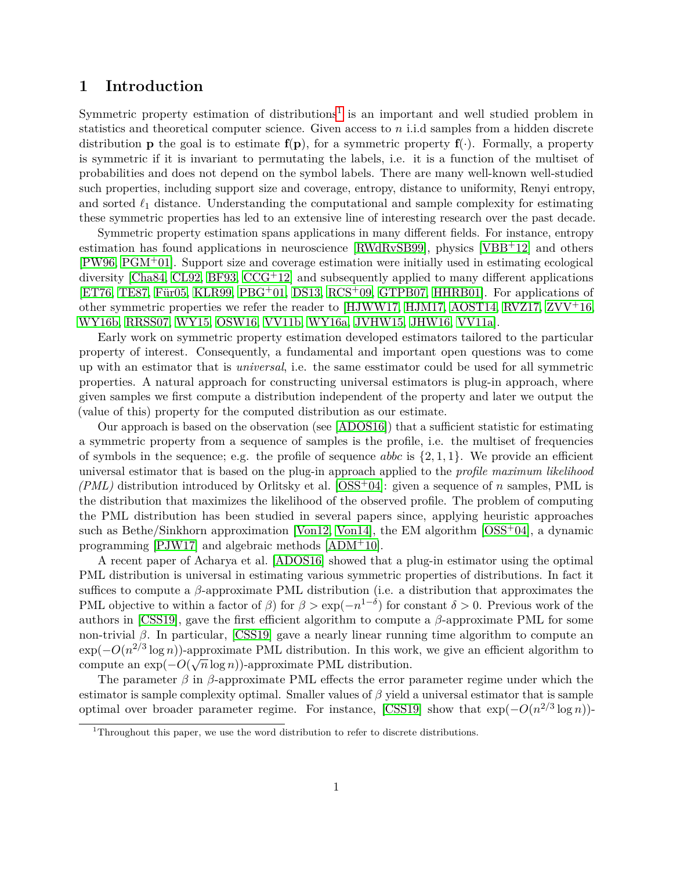## **1 Introduction**

Symmetric property estimation of distributions<sup>[1](#page-1-0)</sup> is an important and well studied problem in statistics and theoretical computer science. Given access to *n* i.i.d samples from a hidden discrete distribution **p** the goal is to estimate  $f(p)$ , for a symmetric property  $f(\cdot)$ . Formally, a property is symmetric if it is invariant to permutating the labels, i.e. it is a function of the multiset of probabilities and does not depend on the symbol labels. There are many well-known well-studied such properties, including support size and coverage, entropy, distance to uniformity, Renyi entropy, and sorted  $\ell_1$  distance. Understanding the computational and sample complexity for estimating these symmetric properties has led to an extensive line of interesting research over the past decade.

Symmetric property estimation spans applications in many different fields. For instance, entropy estimation has found applications in neuroscience [\[RWdRvSB99\]](#page-56-0), physics [\[VBB](#page-56-1)+12] and others [\[PW96,](#page-56-2) [PGM](#page-55-0)+01]. Support size and coverage estimation were initially used in estimating ecological diversity [\[Cha84,](#page-53-0) [CL92,](#page-54-0) [BF93,](#page-53-1)  $CCG<sup>+</sup>12$  $CCG<sup>+</sup>12$ ] and subsequently applied to many different applications [\[ET76,](#page-54-1) [TE87,](#page-56-3) [Für05,](#page-54-2) [KLR99,](#page-55-1) [PBG](#page-55-2)+01, [DS13,](#page-54-3) [RCS](#page-56-4)+09, [GTPB07,](#page-54-4) [HHRB01\]](#page-54-5). For applications of other symmetric properties we refer the reader to [\[HJWW17,](#page-55-3) [HJM17,](#page-54-6) [AOST14,](#page-53-3) [RVZ17,](#page-56-5) [ZVV](#page-57-0)+16, [WY16b,](#page-57-1) [RRSS07,](#page-56-6) [WY15,](#page-57-2) [OSW16,](#page-55-4) [VV11b,](#page-57-3) [WY16a,](#page-57-4) [JVHW15,](#page-55-5) [JHW16,](#page-55-6) [VV11a\]](#page-57-5).

Early work on symmetric property estimation developed estimators tailored to the particular property of interest. Consequently, a fundamental and important open questions was to come up with an estimator that is *universal*, i.e. the same esstimator could be used for all symmetric properties. A natural approach for constructing universal estimators is plug-in approach, where given samples we first compute a distribution independent of the property and later we output the (value of this) property for the computed distribution as our estimate.

Our approach is based on the observation (see [\[ADOS16\]](#page-53-4)) that a sufficient statistic for estimating a symmetric property from a sequence of samples is the profile, i.e. the multiset of frequencies of symbols in the sequence; e.g. the profile of sequence *abbc* is  $\{2, 1, 1\}$ . We provide an efficient universal estimator that is based on the plug-in approach applied to the *profile maximum likelihood (PML)* distribution introduced by Orlitsky et al. [\[OSS](#page-55-7)+04]: given a sequence of *n* samples, PML is the distribution that maximizes the likelihood of the observed profile. The problem of computing the PML distribution has been studied in several papers since, applying heuristic approaches such as Bethe/Sinkhorn approximation [\[Von12,](#page-56-7) [Von14\]](#page-57-6), the EM algorithm [\[OSS](#page-55-7)+04], a dynamic programming [\[PJW17\]](#page-56-8) and algebraic methods [\[ADM](#page-53-5)+10].

A recent paper of Acharya et al. [\[ADOS16\]](#page-53-4) showed that a plug-in estimator using the optimal PML distribution is universal in estimating various symmetric properties of distributions. In fact it suffices to compute a *β*-approximate PML distribution (i.e. a distribution that approximates the PML objective to within a factor of  $\beta$ ) for  $\beta > \exp(-n^{1-\delta})$  for constant  $\delta > 0$ . Previous work of the authors in [\[CSS19\]](#page-54-7), gave the first efficient algorithm to compute a *β*-approximate PML for some non-trivial  $\beta$ . In particular, [\[CSS19\]](#page-54-7) gave a nearly linear running time algorithm to compute an exp( $-O(n^{2/3} \log n)$ )-approximate PML distribution. In this work, we give an efficient algorithm to compute an  $\exp(-O(\sqrt{n}\log n))$ -approximate PML distribution.

The parameter *β* in *β*-approximate PML effects the error parameter regime under which the estimator is sample complexity optimal. Smaller values of *β* yield a universal estimator that is sample optimal over broader parameter regime. For instance, [\[CSS19\]](#page-54-7) show that  $\exp(-O(n^{2/3}\log n))$ -

<span id="page-1-0"></span><sup>&</sup>lt;sup>1</sup>Throughout this paper, we use the word distribution to refer to discrete distributions.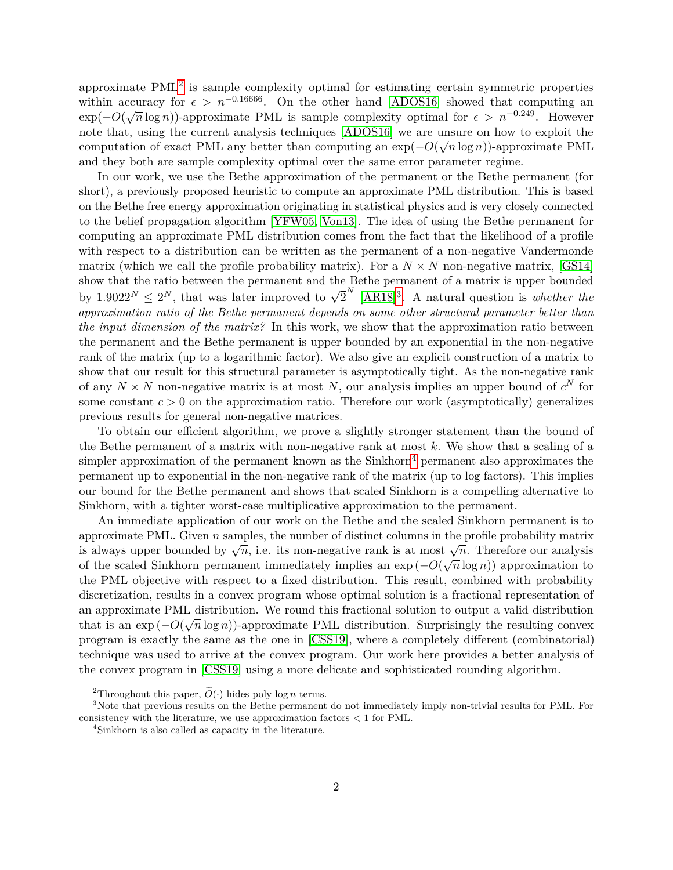approximate  $\text{PML}^2$  $\text{PML}^2$  is sample complexity optimal for estimating certain symmetric properties within accuracy for  $\epsilon > n^{-0.16666}$ . On the other hand [\[ADOS16\]](#page-53-4) showed that computing an exp( $-O(\sqrt{n}\log n)$ )-approximate PML is sample complexity optimal for  $\epsilon > n^{-0.249}$ . However note that, using the current analysis techniques  $[ADOS16]$  we are unsure on how to exploit the computation of exact PML any better than computing an  $\exp(-O(\sqrt{n}\log n))$ -approximate PML and they both are sample complexity optimal over the same error parameter regime.

In our work, we use the Bethe approximation of the permanent or the Bethe permanent (for short), a previously proposed heuristic to compute an approximate PML distribution. This is based on the Bethe free energy approximation originating in statistical physics and is very closely connected to the belief propagation algorithm [\[YFW05,](#page-57-7) [Von13\]](#page-57-8). The idea of using the Bethe permanent for computing an approximate PML distribution comes from the fact that the likelihood of a profile with respect to a distribution can be written as the permanent of a non-negative Vandermonde matrix (which we call the profile probability matrix). For a  $N \times N$  non-negative matrix, [\[GS14\]](#page-54-8) show that the ratio between the permanent and the Bethe permanent of a matrix is upper bounded by  $1.9022^N \leq 2^N$ , that was later improved to  $\sqrt{2}^N$  [\[AR18\]](#page-53-6)<sup>[3](#page-2-1)</sup>. A natural question is *whether the approximation ratio of the Bethe permanent depends on some other structural parameter better than the input dimension of the matrix?* In this work, we show that the approximation ratio between the permanent and the Bethe permanent is upper bounded by an exponential in the non-negative rank of the matrix (up to a logarithmic factor). We also give an explicit construction of a matrix to show that our result for this structural parameter is asymptotically tight. As the non-negative rank of any  $N \times N$  non-negative matrix is at most N, our analysis implies an upper bound of  $c^N$  for some constant  $c > 0$  on the approximation ratio. Therefore our work (asymptotically) generalizes previous results for general non-negative matrices.

To obtain our efficient algorithm, we prove a slightly stronger statement than the bound of the Bethe permanent of a matrix with non-negative rank at most *k*. We show that a scaling of a simpler approximation of the permanent known as the Sinkhorn<sup>[4](#page-2-2)</sup> permanent also approximates the permanent up to exponential in the non-negative rank of the matrix (up to log factors). This implies our bound for the Bethe permanent and shows that scaled Sinkhorn is a compelling alternative to Sinkhorn, with a tighter worst-case multiplicative approximation to the permanent.

An immediate application of our work on the Bethe and the scaled Sinkhorn permanent is to approximate PML. Given *n* samples, the number of distinct columns in the profile probability matrix approximate r ML. Given *n* samples, the number of ulstrict columns in the profile probability matrix is always upper bounded by  $\sqrt{n}$ , i.e. its non-negative rank is at most  $\sqrt{n}$ . Therefore our analysis s always upper bounded by  $\sqrt{n}$ , i.e. its hon-negative raint is at most  $\sqrt{n}$ . Therefore our analysis of the scaled Sinkhorn permanent immediately implies an  $\exp(-O(\sqrt{n}\log n))$  approximation to the PML objective with respect to a fixed distribution. This result, combined with probability discretization, results in a convex program whose optimal solution is a fractional representation of an approximate PML distribution. We round this fractional solution to output a valid distribution that is an exp ( $-O(\sqrt{n}\log n)$ )-approximate PML distribution. Surprisingly the resulting convex program is exactly the same as the one in [\[CSS19\]](#page-54-7), where a completely different (combinatorial) technique was used to arrive at the convex program. Our work here provides a better analysis of the convex program in [\[CSS19\]](#page-54-7) using a more delicate and sophisticated rounding algorithm.

<span id="page-2-1"></span><span id="page-2-0"></span><sup>&</sup>lt;sup>2</sup>Throughout this paper,  $\widetilde{O}(\cdot)$  hides poly log *n* terms.

<sup>3</sup>Note that previous results on the Bethe permanent do not immediately imply non-trivial results for PML. For consistency with the literature, we use approximation factors *<* 1 for PML.

<span id="page-2-2"></span><sup>4</sup>Sinkhorn is also called as capacity in the literature.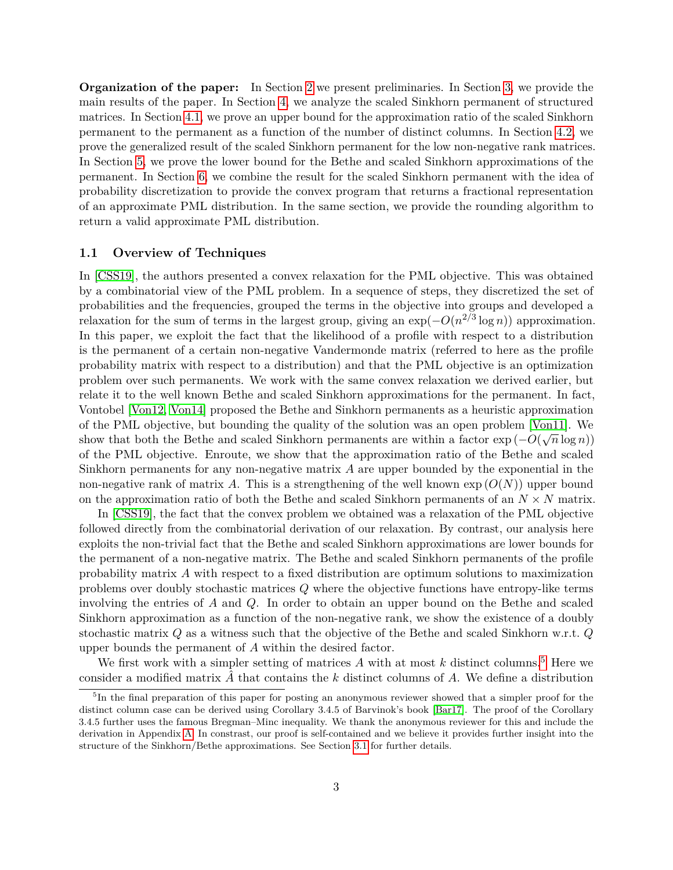**Organization of the paper:** In Section [2](#page-5-0) we present preliminaries. In Section [3,](#page-8-0) we provide the main results of the paper. In Section [4,](#page-12-0) we analyze the scaled Sinkhorn permanent of structured matrices. In Section [4.1,](#page-12-1) we prove an upper bound for the approximation ratio of the scaled Sinkhorn permanent to the permanent as a function of the number of distinct columns. In Section [4.2,](#page-19-0) we prove the generalized result of the scaled Sinkhorn permanent for the low non-negative rank matrices. In Section [5,](#page-24-0) we prove the lower bound for the Bethe and scaled Sinkhorn approximations of the permanent. In Section [6,](#page-25-0) we combine the result for the scaled Sinkhorn permanent with the idea of probability discretization to provide the convex program that returns a fractional representation of an approximate PML distribution. In the same section, we provide the rounding algorithm to return a valid approximate PML distribution.

### **1.1 Overview of Techniques**

In [\[CSS19\]](#page-54-7), the authors presented a convex relaxation for the PML objective. This was obtained by a combinatorial view of the PML problem. In a sequence of steps, they discretized the set of probabilities and the frequencies, grouped the terms in the objective into groups and developed a relaxation for the sum of terms in the largest group, giving an  $\exp(-O(n^{2/3}\log n))$  approximation. In this paper, we exploit the fact that the likelihood of a profile with respect to a distribution is the permanent of a certain non-negative Vandermonde matrix (referred to here as the profile probability matrix with respect to a distribution) and that the PML objective is an optimization problem over such permanents. We work with the same convex relaxation we derived earlier, but relate it to the well known Bethe and scaled Sinkhorn approximations for the permanent. In fact, Vontobel [\[Von12,](#page-56-7) [Von14\]](#page-57-6) proposed the Bethe and Sinkhorn permanents as a heuristic approximation of the PML objective, but bounding the quality of the solution was an open problem [\[Von11\]](#page-56-9). We show that both the Bethe and scaled Sinkhorn permanents are within a factor  $\exp(-O(\sqrt{n}\log n))$ of the PML objective. Enroute, we show that the approximation ratio of the Bethe and scaled Sinkhorn permanents for any non-negative matrix *A* are upper bounded by the exponential in the non-negative rank of matrix A. This is a strengthening of the well known  $\exp(O(N))$  upper bound on the approximation ratio of both the Bethe and scaled Sinkhorn permanents of an  $N \times N$  matrix.

In [\[CSS19\]](#page-54-7), the fact that the convex problem we obtained was a relaxation of the PML objective followed directly from the combinatorial derivation of our relaxation. By contrast, our analysis here exploits the non-trivial fact that the Bethe and scaled Sinkhorn approximations are lower bounds for the permanent of a non-negative matrix. The Bethe and scaled Sinkhorn permanents of the profile probability matrix *A* with respect to a fixed distribution are optimum solutions to maximization problems over doubly stochastic matrices *Q* where the objective functions have entropy-like terms involving the entries of *A* and *Q*. In order to obtain an upper bound on the Bethe and scaled Sinkhorn approximation as a function of the non-negative rank, we show the existence of a doubly stochastic matrix *Q* as a witness such that the objective of the Bethe and scaled Sinkhorn w.r.t. *Q* upper bounds the permanent of *A* within the desired factor.

We first work with a simpler setting of matrices  $A$  with at most  $k$  distinct columns.<sup>[5](#page-3-0)</sup> Here we consider a modified matrix *A*ˆ that contains the *k* distinct columns of *A*. We define a distribution

<span id="page-3-0"></span><sup>&</sup>lt;sup>5</sup>In the final preparation of this paper for posting an anonymous reviewer showed that a simpler proof for the distinct column case can be derived using Corollary 3.4.5 of Barvinok's book [\[Bar17\]](#page-53-7). The proof of the Corollary 3.4.5 further uses the famous Bregman–Minc inequality. We thank the anonymous reviewer for this and include the derivation in Appendix [A.](#page-57-9) In constrast, our proof is self-contained and we believe it provides further insight into the structure of the Sinkhorn/Bethe approximations. See Section [3.1](#page-10-0) for further details.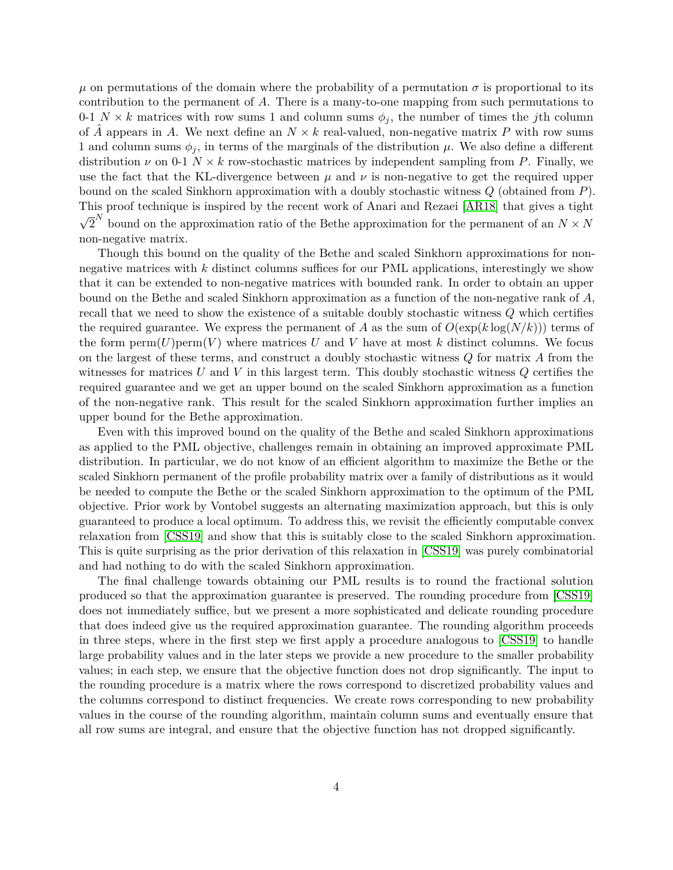$\mu$  on permutations of the domain where the probability of a permutation  $\sigma$  is proportional to its contribution to the permanent of *A*. There is a many-to-one mapping from such permutations to 0-1  $N \times k$  matrices with row sums 1 and column sums  $\phi_j$ , the number of times the *j*th column of  $\tilde{A}$  appears in  $A$ . We next define an  $N \times k$  real-valued, non-negative matrix  $P$  with row sums 1 and column sums  $\phi_j$ , in terms of the marginals of the distribution  $\mu$ . We also define a different distribution  $\nu$  on 0-1  $N \times k$  row-stochastic matrices by independent sampling from P. Finally, we use the fact that the KL-divergence between  $\mu$  and  $\nu$  is non-negative to get the required upper bound on the scaled Sinkhorn approximation with a doubly stochastic witness *Q* (obtained from *P*). This proof technique is inspired by the recent work of Anari and Rezaei [\[AR18\]](#page-53-6) that gives a tight √  $\overline{2}^N$  bound on the approximation ratio of the Bethe approximation for the permanent of an  $N \times N$ non-negative matrix.

Though this bound on the quality of the Bethe and scaled Sinkhorn approximations for nonnegative matrices with *k* distinct columns suffices for our PML applications, interestingly we show that it can be extended to non-negative matrices with bounded rank. In order to obtain an upper bound on the Bethe and scaled Sinkhorn approximation as a function of the non-negative rank of *A*, recall that we need to show the existence of a suitable doubly stochastic witness *Q* which certifies the required guarantee. We express the permanent of *A* as the sum of  $O(\exp(k \log(N/k)))$  terms of the form  $\text{perm}(U)\text{perm}(V)$  where matrices U and V have at most k distinct columns. We focus on the largest of these terms, and construct a doubly stochastic witness *Q* for matrix *A* from the witnesses for matrices *U* and *V* in this largest term. This doubly stochastic witness *Q* certifies the required guarantee and we get an upper bound on the scaled Sinkhorn approximation as a function of the non-negative rank. This result for the scaled Sinkhorn approximation further implies an upper bound for the Bethe approximation.

Even with this improved bound on the quality of the Bethe and scaled Sinkhorn approximations as applied to the PML objective, challenges remain in obtaining an improved approximate PML distribution. In particular, we do not know of an efficient algorithm to maximize the Bethe or the scaled Sinkhorn permanent of the profile probability matrix over a family of distributions as it would be needed to compute the Bethe or the scaled Sinkhorn approximation to the optimum of the PML objective. Prior work by Vontobel suggests an alternating maximization approach, but this is only guaranteed to produce a local optimum. To address this, we revisit the efficiently computable convex relaxation from [\[CSS19\]](#page-54-7) and show that this is suitably close to the scaled Sinkhorn approximation. This is quite surprising as the prior derivation of this relaxation in [\[CSS19\]](#page-54-7) was purely combinatorial and had nothing to do with the scaled Sinkhorn approximation.

The final challenge towards obtaining our PML results is to round the fractional solution produced so that the approximation guarantee is preserved. The rounding procedure from [\[CSS19\]](#page-54-7) does not immediately suffice, but we present a more sophisticated and delicate rounding procedure that does indeed give us the required approximation guarantee. The rounding algorithm proceeds in three steps, where in the first step we first apply a procedure analogous to [\[CSS19\]](#page-54-7) to handle large probability values and in the later steps we provide a new procedure to the smaller probability values; in each step, we ensure that the objective function does not drop significantly. The input to the rounding procedure is a matrix where the rows correspond to discretized probability values and the columns correspond to distinct frequencies. We create rows corresponding to new probability values in the course of the rounding algorithm, maintain column sums and eventually ensure that all row sums are integral, and ensure that the objective function has not dropped significantly.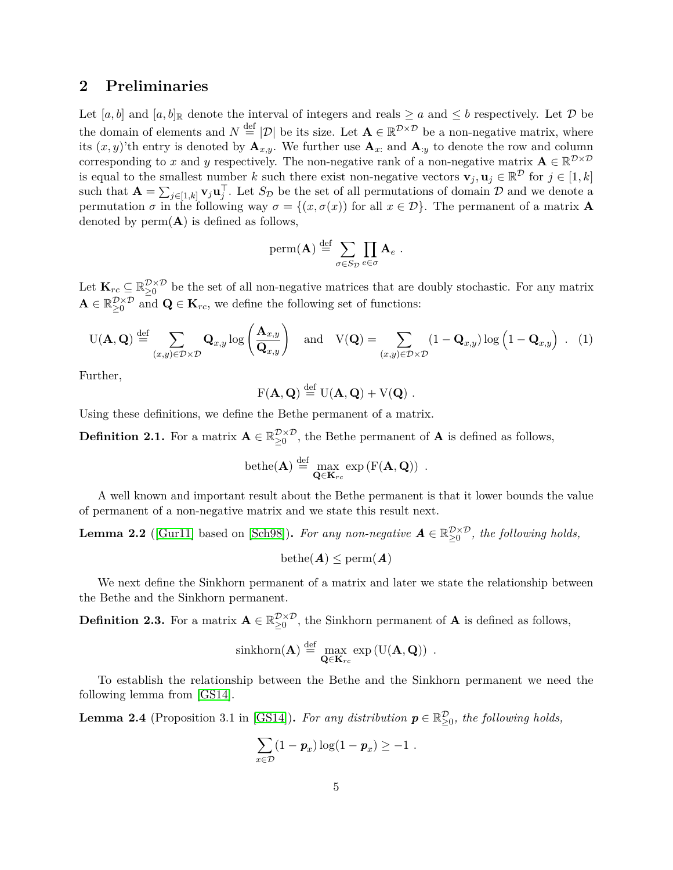## <span id="page-5-0"></span>**2 Preliminaries**

Let  $[a, b]$  and  $[a, b]$ <sub>R</sub> denote the interval of integers and reals  $\ge a$  and  $\le b$  respectively. Let  $\mathcal D$  be the domain of elements and  $N \stackrel{\text{def}}{=} |\mathcal{D}|$  be its size. Let  $\mathbf{A} \in \mathbb{R}^{\mathcal{D} \times \mathcal{D}}$  be a non-negative matrix, where its  $(x, y)$ 'th entry is denoted by  $\mathbf{A}_{x,y}$ . We further use  $\mathbf{A}_{x}$  and  $\mathbf{A}_{y}$  to denote the row and column corresponding to x and y respectively. The non-negative rank of a non-negative matrix  $\mathbf{A} \in \mathbb{R}^{\mathcal{D} \times \mathcal{D}}$ is equal to the smallest number *k* such there exist non-negative vectors  $\mathbf{v}_j, \mathbf{u}_j \in \mathbb{R}^{\mathcal{D}}$  for  $j \in [1, k]$ such that  $\mathbf{A} = \sum_{j \in [1,k]} \mathbf{v}_j \mathbf{u}_j^{\top}$ . Let  $S_{\mathcal{D}}$  be the set of all permutations of domain  $\mathcal{D}$  and we denote a permutation  $\sigma$  in the following way  $\sigma = \{(x, \sigma(x))\}$  for all  $x \in \mathcal{D}\}\)$ . The permanent of a matrix **A** denoted by  $perm(A)$  is defined as follows,

perm(**A**) 
$$
\stackrel{\text{def}}{=} \sum_{\sigma \in S_{\mathcal{D}}} \prod_{e \in \sigma} \mathbf{A}_e
$$
.

Let  $\mathbf{K}_{rc} \subseteq \mathbb{R}_{\geq 0}^{\mathcal{D} \times \mathcal{D}}$  be the set of all non-negative matrices that are doubly stochastic. For any matrix  $\mathbf{A} \in \mathbb{R}_{\geq 0}^{\mathcal{D} \times \mathcal{D}}$  and  $\mathbf{Q} \in \mathbf{K}_{rc}$ , we define the following set of functions:

<span id="page-5-2"></span>
$$
U(\mathbf{A}, \mathbf{Q}) \stackrel{\text{def}}{=} \sum_{(x,y)\in \mathcal{D}\times \mathcal{D}} \mathbf{Q}_{x,y} \log \left( \frac{\mathbf{A}_{x,y}}{\mathbf{Q}_{x,y}} \right) \quad \text{and} \quad V(\mathbf{Q}) = \sum_{(x,y)\in \mathcal{D}\times \mathcal{D}} (1 - \mathbf{Q}_{x,y}) \log \left( 1 - \mathbf{Q}_{x,y} \right) \ . \tag{1}
$$

Further,

$$
F(\mathbf{A},\mathbf{Q}) \stackrel{\text{def}}{=} U(\mathbf{A},\mathbf{Q}) + V(\mathbf{Q}) \ .
$$

Using these definitions, we define the Bethe permanent of a matrix.

**Definition 2.1.** For a matrix  $\mathbf{A} \in \mathbb{R}_{\geq 0}^{\mathcal{D}\times\mathcal{D}}$ , the Bethe permanent of  $\mathbf{A}$  is defined as follows,

$$
\mathrm{bethe}(\mathbf{A})\stackrel{\mathrm{def}}{=}\max_{\mathbf{Q}\in\mathbf{K}_{rc}}\exp\left(\mathrm{F}(\mathbf{A},\mathbf{Q})\right) \ .
$$

A well known and important result about the Bethe permanent is that it lower bounds the value of permanent of a non-negative matrix and we state this result next.

<span id="page-5-1"></span>**Lemma 2.2** ([\[Gur11\]](#page-54-9) based on [\[Sch98\]](#page-56-10)). For any non-negative  $A \in \mathbb{R}_{\geq 0}^{\mathcal{D}\times\mathcal{D}}$ , the following holds,

$$
\mathrm{bethe}(\bm{A})\leq \mathrm{perm}(\bm{A})
$$

We next define the Sinkhorn permanent of a matrix and later we state the relationship between the Bethe and the Sinkhorn permanent.

**Definition 2.3.** For a matrix  $\mathbf{A} \in \mathbb{R}_{\geq 0}^{\mathcal{D}\times\mathcal{D}}$ , the Sinkhorn permanent of  $\mathbf{A}$  is defined as follows,

$$
\sin\text{khorn}(\mathbf{A}) \stackrel{\text{def}}{=} \max_{\mathbf{Q} \in \mathbf{K}_{rc}} \exp\left(\mathrm{U}(\mathbf{A}, \mathbf{Q})\right) .
$$

To establish the relationship between the Bethe and the Sinkhorn permanent we need the following lemma from [\[GS14\]](#page-54-8).

**Lemma 2.4** (Proposition 3.1 in [\[GS14\]](#page-54-8)). *For any distribution*  $p \in \mathbb{R}_{\geq 0}^{\mathcal{D}}$ , the following holds,

$$
\sum_{x \in \mathcal{D}} (1 - p_x) \log(1 - p_x) \geq -1.
$$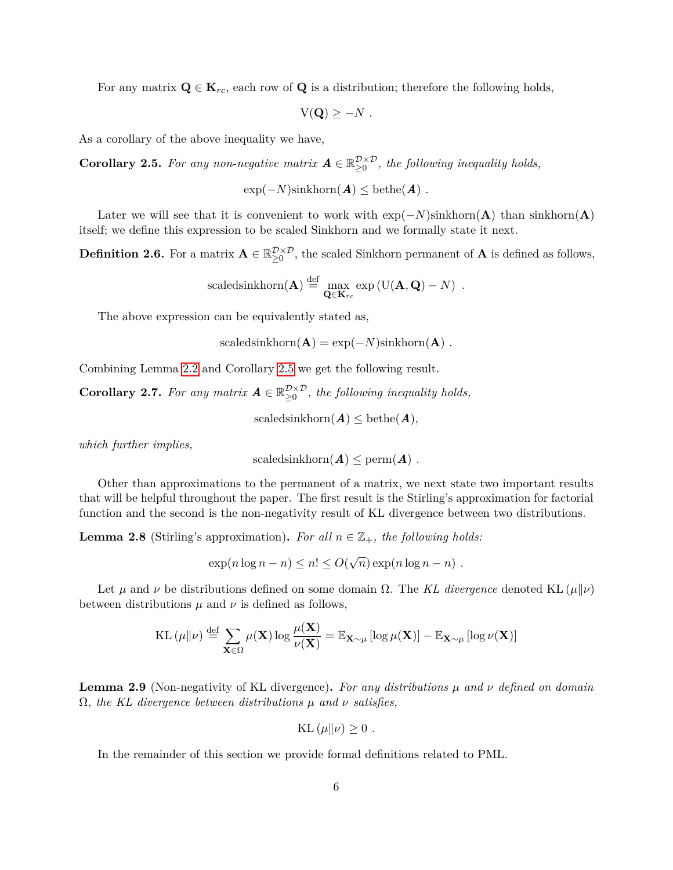For any matrix  $\mathbf{Q} \in \mathbf{K}_{rc}$ , each row of  $\mathbf{Q}$  is a distribution; therefore the following holds,

$$
V(\mathbf{Q}) \geq -N.
$$

<span id="page-6-0"></span>As a corollary of the above inequality we have,

**Corollary 2.5.** For any non-negative matrix  $A \in \mathbb{R}_{\geq 0}^{\mathcal{D} \times \mathcal{D}}$ , the following inequality holds,

 $\exp(-N)\sin\text{khorn}(\boldsymbol{A}) \leq \text{bethe}(\boldsymbol{A})$ .

Later we will see that it is convenient to work with  $exp(-N)$ sinkhorn(**A**) than sinkhorn(**A**) itself; we define this expression to be scaled Sinkhorn and we formally state it next.

<span id="page-6-4"></span>**Definition 2.6.** For a matrix  $\mathbf{A} \in \mathbb{R}_{\geq 0}^{\mathcal{D}\times\mathcal{D}}$ , the scaled Sinkhorn permanent of  $\mathbf{A}$  is defined as follows,

scaledsinkhorn(**A**) 
$$
\stackrel{\text{def}}{=} \max_{\mathbf{Q} \in \mathbf{K}_{rc}} \exp(U(\mathbf{A}, \mathbf{Q}) - N)
$$
.

The above expression can be equivalently stated as,

$$
scaledsinkhorn(\mathbf{A}) = exp(-N)sinkhorn(\mathbf{A}) .
$$

Combining Lemma [2.2](#page-5-1) and Corollary [2.5](#page-6-0) we get the following result.

<span id="page-6-1"></span>**Corollary 2.7.** For any matrix  $A \in \mathbb{R}_{\geq 0}^{\mathcal{D} \times \mathcal{D}}$ , the following inequality holds,

scaledsinkhorn $(A) \leq \text{bethe}(A)$ ,

*which further implies,*

$$
scaledsinkhorn(\mathbf{A}) \leq perm(\mathbf{A}) .
$$

Other than approximations to the permanent of a matrix, we next state two important results that will be helpful throughout the paper. The first result is the Stirling's approximation for factorial function and the second is the non-negativity result of KL divergence between two distributions.

<span id="page-6-3"></span>**Lemma 2.8** (Stirling's approximation). For all  $n \in \mathbb{Z}_+$ , the following holds:

 $\exp(n \log n - n) \leq n! \leq O(n)$ √  $\overline{n}$ ) exp( $n \log n - n$ ) .

Let  $\mu$  and  $\nu$  be distributions defined on some domain  $\Omega$ . The *KL divergence* denoted KL ( $\mu$ || $\nu$ ) between distributions  $\mu$  and  $\nu$  is defined as follows,

KL 
$$
(\mu||\nu) \stackrel{\text{def}}{=} \sum_{\mathbf{X} \in \Omega} \mu(\mathbf{X}) \log \frac{\mu(\mathbf{X})}{\nu(\mathbf{X})} = \mathbb{E}_{\mathbf{X} \sim \mu} [\log \mu(\mathbf{X})] - \mathbb{E}_{\mathbf{X} \sim \mu} [\log \nu(\mathbf{X})]
$$

<span id="page-6-2"></span>**Lemma 2.9** (Non-negativity of KL divergence)**.** *For any distributions µ and ν defined on domain* Ω*, the KL divergence between distributions µ and ν satisfies,*

$$
KL(\mu\|\nu) \ge 0.
$$

In the remainder of this section we provide formal definitions related to PML.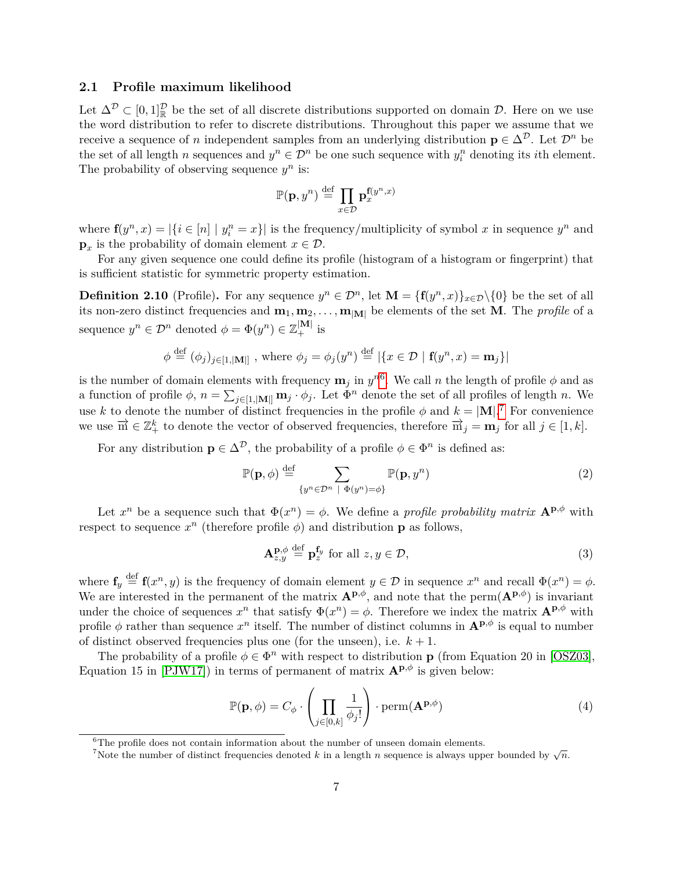#### **2.1 Profile maximum likelihood**

Let  $\Delta^{\mathcal{D}} \subset [0,1]_{\mathbb{R}}^{\mathcal{D}}$  be the set of all discrete distributions supported on domain  $\mathcal{D}$ . Here on we use the word distribution to refer to discrete distributions. Throughout this paper we assume that we receive a sequence of *n* independent samples from an underlying distribution  $p \in \Delta^{\mathcal{D}}$ . Let  $\mathcal{D}^n$  be the set of all length *n* sequences and  $y^n \in \mathcal{D}^n$  be one such sequence with  $y_i^n$  denoting its *i*th element. The probability of observing sequence  $y^n$  is:

$$
\mathbb{P}(\mathbf{p},y^n) \stackrel{\text{def}}{=} \prod_{x \in \mathcal{D}} \mathbf{p}_x^{\mathbf{f}(y^n,x)}
$$

where  $f(y^n, x) = |\{i \in [n] \mid y_i^n = x\}|$  is the frequency/multiplicity of symbol *x* in sequence  $y^n$  and  $\mathbf{p}_x$  is the probability of domain element  $x \in \mathcal{D}$ .

For any given sequence one could define its profile (histogram of a histogram or fingerprint) that is sufficient statistic for symmetric property estimation.

**Definition 2.10** (Profile). For any sequence  $y^n \in \mathcal{D}^n$ , let  $\mathbf{M} = {\mathbf{f}(y^n, x)}_{x \in \mathcal{D}} \setminus \{0\}$  be the set of all its non-zero distinct frequencies and  $\mathbf{m}_1, \mathbf{m}_2, \ldots, \mathbf{m}_{|\mathbf{M}|}$  be elements of the set **M**. The *profile* of a sequence  $y^n \in \mathcal{D}^n$  denoted  $\phi = \Phi(y^n) \in \mathbb{Z}_+^{|\mathbf{M}|}$  is

$$
\phi \stackrel{\text{def}}{=} (\phi_j)_{j \in [1, |\mathbf{M}|]}
$$
, where  $\phi_j = \phi_j(y^n) \stackrel{\text{def}}{=} |\{x \in \mathcal{D} \mid \mathbf{f}(y^n, x) = \mathbf{m}_j\}|$ 

is the number of domain elements with frequency  $\mathbf{m}_j$  in  $y^{n6}$  $y^{n6}$  $y^{n6}$ . We call *n* the length of profile  $\phi$  and as a function of profile  $\phi$ ,  $n = \sum_{j \in [1, |\mathbf{M}|]} \mathbf{m}_j \cdot \phi_j$ . Let  $\Phi^n$  denote the set of all profiles of length *n*. We use *k* to denote the number of distinct frequencies in the profile  $\phi$  and  $k = |M|$ .<sup>[7](#page-7-1)</sup> For convenience we use  $\overrightarrow{m} \in \mathbb{Z}_+^k$  to denote the vector of observed frequencies, therefore  $\overrightarrow{m}_j = m_j$  for all  $j \in [1, k]$ .

For any distribution  $\mathbf{p} \in \Delta^{\mathcal{D}}$ , the probability of a profile  $\phi \in \Phi^n$  is defined as:

$$
\mathbb{P}(\mathbf{p}, \phi) \stackrel{\text{def}}{=} \sum_{\{y^n \in \mathcal{D}^n \ |\ \Phi(y^n) = \phi\}} \mathbb{P}(\mathbf{p}, y^n) \tag{2}
$$

Let  $x^n$  be a sequence such that  $\Phi(x^n) = \phi$ . We define a *profile probability matrix*  $\mathbf{A}^{\mathbf{p}, \phi}$  with respect to sequence  $x^n$  (therefore profile  $\phi$ ) and distribution **p** as follows,

$$
\mathbf{A}_{z,y}^{\mathbf{p},\phi} \stackrel{\text{def}}{=} \mathbf{p}_z^{\mathbf{f}_y} \text{ for all } z, y \in \mathcal{D},\tag{3}
$$

where  $f_y \stackrel{\text{def}}{=} f(x^n, y)$  is the frequency of domain element  $y \in \mathcal{D}$  in sequence  $x^n$  and recall  $\Phi(x^n) = \phi$ . We are interested in the permanent of the matrix  $\mathbf{A}^{\mathbf{p},\phi}$ , and note that the perm $(\mathbf{A}^{\mathbf{p},\phi})$  is invariant under the choice of sequences  $x^n$  that satisfy  $\Phi(x^n) = \phi$ . Therefore we index the matrix  $\mathbf{A}^{\mathbf{p},\phi}$  with profile  $\phi$  rather than sequence  $x^n$  itself. The number of distinct columns in  $\mathbf{A}^{\mathbf{p},\phi}$  is equal to number of distinct observed frequencies plus one (for the unseen), i.e.  $k+1$ .

The probability of a profile  $\phi \in \Phi^n$  with respect to distribution **p** (from Equation 20 in [\[OSZ03\]](#page-55-8), Equation 15 in [\[PJW17\]](#page-56-8)) in terms of permanent of matrix  $\mathbf{A}^{\mathbf{p},\phi}$  is given below:

<span id="page-7-2"></span>
$$
\mathbb{P}(\mathbf{p}, \phi) = C_{\phi} \cdot \left( \prod_{j \in [0, k]} \frac{1}{\phi_j!} \right) \cdot \text{perm}(\mathbf{A}^{\mathbf{p}, \phi}) \tag{4}
$$

<span id="page-7-0"></span> ${}^{6}$ The profile does not contain information about the number of unseen domain elements.

<span id="page-7-1"></span>The prome does not contain information about the number of distent domain elements.<br><sup>7</sup>Note the number of distinct frequencies denoted *k* in a length *n* sequence is always upper bounded by  $\sqrt{n}$ .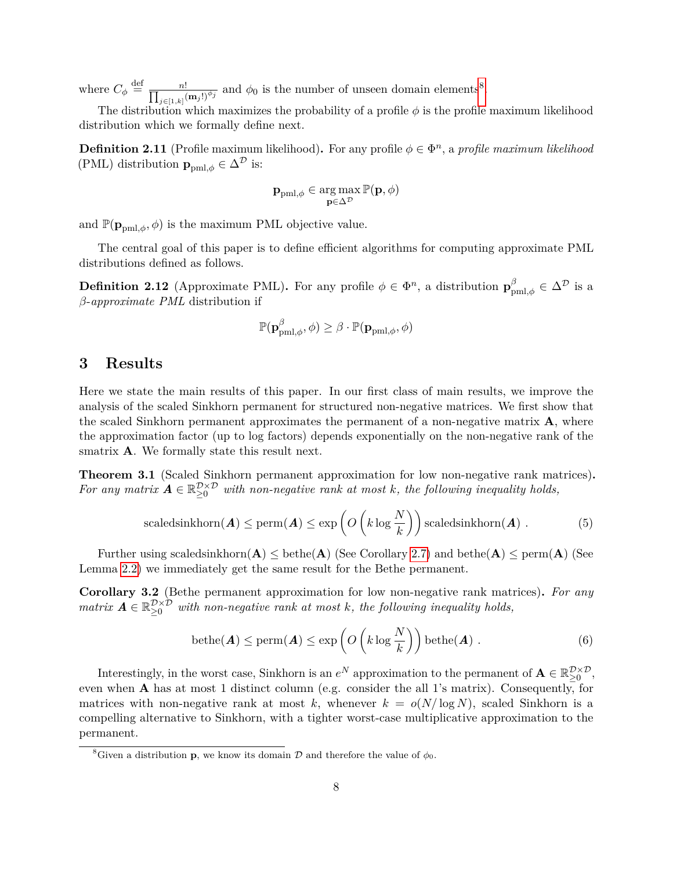where  $C_{\phi} \stackrel{\text{def}}{=} \frac{n!}{\prod_{j \in [1,k]} (\mathbf{m}_j!)^{\phi_j}}$  and  $\phi_0$  is the number of unseen domain elements<sup>[8](#page-8-1)</sup>.

The distribution which maximizes the probability of a profile  $\phi$  is the profile maximum likelihood distribution which we formally define next.

**Definition 2.11** (Profile maximum likelihood). For any profile  $\phi \in \Phi^n$ , a *profile maximum likelihood* (PML) distribution  $\mathbf{p}_{pml,\phi}\in\Delta^{\mathcal{D}}$  is:

$$
\mathbf{p}_{\text{pml},\phi} \in \argmax_{\mathbf{p} \in \Delta^{\mathcal{D}}} \mathbb{P}(\mathbf{p},\phi)
$$

and  $\mathbb{P}(\mathbf{p}_{\text{pml},\phi},\phi)$  is the maximum PML objective value.

The central goal of this paper is to define efficient algorithms for computing approximate PML distributions defined as follows.

**Definition 2.12** (Approximate PML). For any profile  $\phi \in \Phi^n$ , a distribution  $\mathbf{p}_{pml,\phi}^{\beta} \in \Delta^{\mathcal{D}}$  is a *β*-*approximate PML* distribution if

$$
\mathbb{P}(\mathbf{p}_{pml,\phi}^{\beta},\phi) \geq \beta \cdot \mathbb{P}(\mathbf{p}_{pml,\phi},\phi)
$$

## <span id="page-8-0"></span>**3 Results**

Here we state the main results of this paper. In our first class of main results, we improve the analysis of the scaled Sinkhorn permanent for structured non-negative matrices. We first show that the scaled Sinkhorn permanent approximates the permanent of a non-negative matrix **A**, where the approximation factor (up to log factors) depends exponentially on the non-negative rank of the smatrix **A**. We formally state this result next.

<span id="page-8-2"></span>**Theorem 3.1** (Scaled Sinkhorn permanent approximation for low non-negative rank matrices)**.** For any matrix  $A \in \mathbb{R}_{\geq 0}^{\mathcal{D} \times \mathcal{D}}$  with non-negative rank at most k, the following inequality holds,

$$
\text{scaledsinkhorn}(\boldsymbol{A}) \le \text{perm}(\boldsymbol{A}) \le \exp\left(O\left(k\log\frac{N}{k}\right)\right)\text{scaledsinkhorn}(\boldsymbol{A})\ .\tag{5}
$$

Further using scaledsinkhorn $(A) \leq \text{bethe}(A)$  (See Corollary [2.7\)](#page-6-1) and  $\text{bethe}(A) \leq \text{perm}(A)$  (See Lemma [2.2\)](#page-5-1) we immediately get the same result for the Bethe permanent.

<span id="page-8-3"></span>**Corollary 3.2** (Bethe permanent approximation for low non-negative rank matrices)**.** *For any*  $matrix \; A \in \mathbb{R}_{\geq 0}^{\mathcal{D} \times \mathcal{D}}$  with non-negative rank at most k, the following inequality holds,

$$
\text{bethe}(\boldsymbol{A}) \le \text{perm}(\boldsymbol{A}) \le \exp\left(O\left(k\log\frac{N}{k}\right)\right)\text{bethe}(\boldsymbol{A})\ .\tag{6}
$$

Interestingly, in the worst case, Sinkhorn is an  $e^N$  approximation to the permanent of  $\mathbf{A} \in \mathbb{R}_{\geq 0}^{\mathcal{D}\times\mathcal{D}}$ , even when **A** has at most 1 distinct column (e.g. consider the all 1's matrix). Consequently, for matrices with non-negative rank at most k, whenever  $k = o(N/\log N)$ , scaled Sinkhorn is a compelling alternative to Sinkhorn, with a tighter worst-case multiplicative approximation to the permanent.

<span id="page-8-1"></span><sup>&</sup>lt;sup>8</sup>Given a distribution **p**, we know its domain  $\mathcal{D}$  and therefore the value of  $\phi_0$ .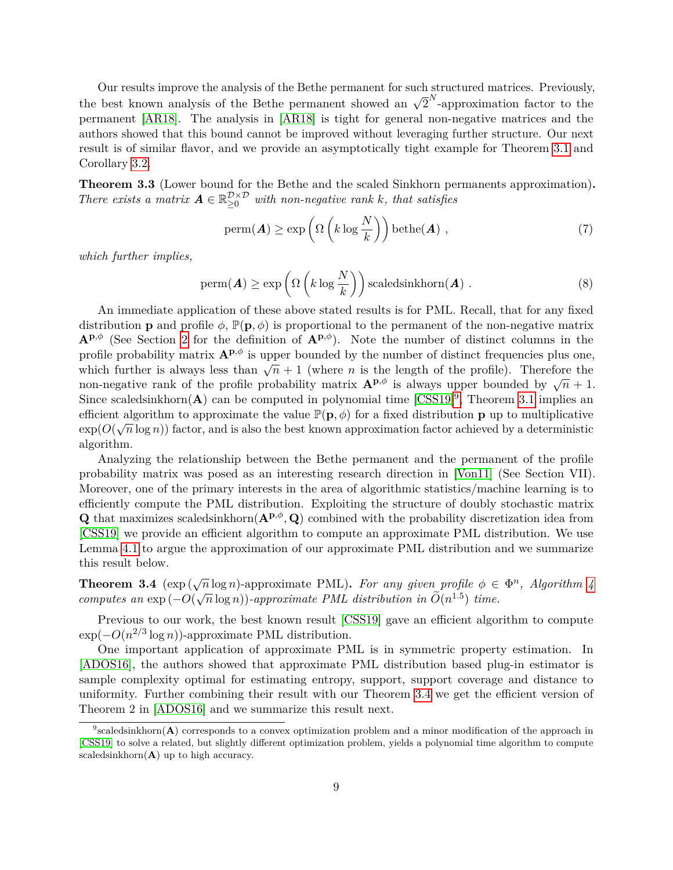Our results improve the analysis of the Bethe permanent for such structured matrices. Previously, our results improve the analysis of the Bethe permanent showed an  $\sqrt{2}^N$ -approximation factor to the permanent [\[AR18\]](#page-53-6). The analysis in [\[AR18\]](#page-53-6) is tight for general non-negative matrices and the authors showed that this bound cannot be improved without leveraging further structure. Our next result is of similar flavor, and we provide an asymptotically tight example for Theorem [3.1](#page-8-2) and Corollary [3.2.](#page-8-3)

<span id="page-9-2"></span>**Theorem 3.3** (Lower bound for the Bethe and the scaled Sinkhorn permanents approximation)**.** *There exists a matrix*  $\mathbf{A} \in \mathbb{R}_{\geq 0}^{\mathcal{D} \times \mathcal{D}}$  *with non-negative rank k, that satisfies* 

$$
\text{perm}(\boldsymbol{A}) \ge \exp\left(\Omega\left(k\log\frac{N}{k}\right)\right)\text{bethe}(\boldsymbol{A}),\tag{7}
$$

*which further implies,*

$$
\text{perm}(\boldsymbol{A}) \ge \exp\left(\Omega\left(k\log\frac{N}{k}\right)\right)\text{scaledsinkhorn}(\boldsymbol{A})\ .
$$
 (8)

An immediate application of these above stated results is for PML. Recall, that for any fixed distribution **p** and profile  $\phi$ ,  $\mathbb{P}(\mathbf{p}, \phi)$  is proportional to the permanent of the non-negative matrix  $\mathbf{A}^{\mathbf{p},\phi}$  (See Section [2](#page-5-0) for the definition of  $\mathbf{A}^{\mathbf{p},\phi}$ ). Note the number of distinct columns in the profile probability matrix  $A^{p,\phi}$  is upper bounded by the number of distinct frequencies plus one, prome probability matrix  $A^*$  is upper bounded by the number of distinct requencies plus one, which further is always less than  $\sqrt{n} + 1$  (where *n* is the length of the profile). Therefore the which further is always less than  $\sqrt{n+1}$  (where *n* is the length of the profile). Therefore the non-negative rank of the profile probability matrix  $A^{p,\phi}$  is always upper bounded by  $\sqrt{n+1}$ . Since scaledsinkhorn( $\bf{A}$ ) can be computed in polynomial time  $[CSS19]$ <sup>[9](#page-9-0)</sup>, Theorem [3.1](#page-8-2) implies an efficient algorithm to approximate the value  $\mathbb{P}(\mathbf{p}, \phi)$  for a fixed distribution **p** up to multiplicative  $\exp(O(\sqrt{n}\log n))$  factor, and is also the best known approximation factor achieved by a deterministic algorithm.

Analyzing the relationship between the Bethe permanent and the permanent of the profile probability matrix was posed as an interesting research direction in [\[Von11\]](#page-56-9) (See Section VII). Moreover, one of the primary interests in the area of algorithmic statistics/machine learning is to efficiently compute the PML distribution. Exploiting the structure of doubly stochastic matrix **Q** that maximizes scaledsinkhorn $(\mathbf{A}^{\mathbf{p}, \phi}, \mathbf{Q})$  combined with the probability discretization idea from [\[CSS19\]](#page-54-7) we provide an efficient algorithm to compute an approximate PML distribution. We use Lemma [4.1](#page-12-2) to argue the approximation of our approximate PML distribution and we summarize this result below.

<span id="page-9-1"></span>**Theorem 3.4** ( $\exp(\sqrt{n}\log n)$ -approximate PML). For any given profile  $\phi \in \Phi^n$ , Algorithm [4](#page-40-0) *computes an*  $\exp(-O(\sqrt{n}\log n))$ *-approximate PML* distribution in  $\widetilde{O}(n^{1.5})$  time.

Previous to our work, the best known result [\[CSS19\]](#page-54-7) gave an efficient algorithm to compute  $\exp(-O(n^{2/3}\log n))$ -approximate PML distribution.

One important application of approximate PML is in symmetric property estimation. In [\[ADOS16\]](#page-53-4), the authors showed that approximate PML distribution based plug-in estimator is sample complexity optimal for estimating entropy, support, support coverage and distance to uniformity. Further combining their result with our Theorem [3.4](#page-9-1) we get the efficient version of Theorem 2 in [\[ADOS16\]](#page-53-4) and we summarize this result next.

<span id="page-9-0"></span><sup>&</sup>lt;sup>9</sup>scaledsinkhorn(**A**) corresponds to a convex optimization problem and a minor modification of the approach in [\[CSS19\]](#page-54-7) to solve a related, but slightly different optimization problem, yields a polynomial time algorithm to compute scaledsinkhorn $(A)$  up to high accuracy.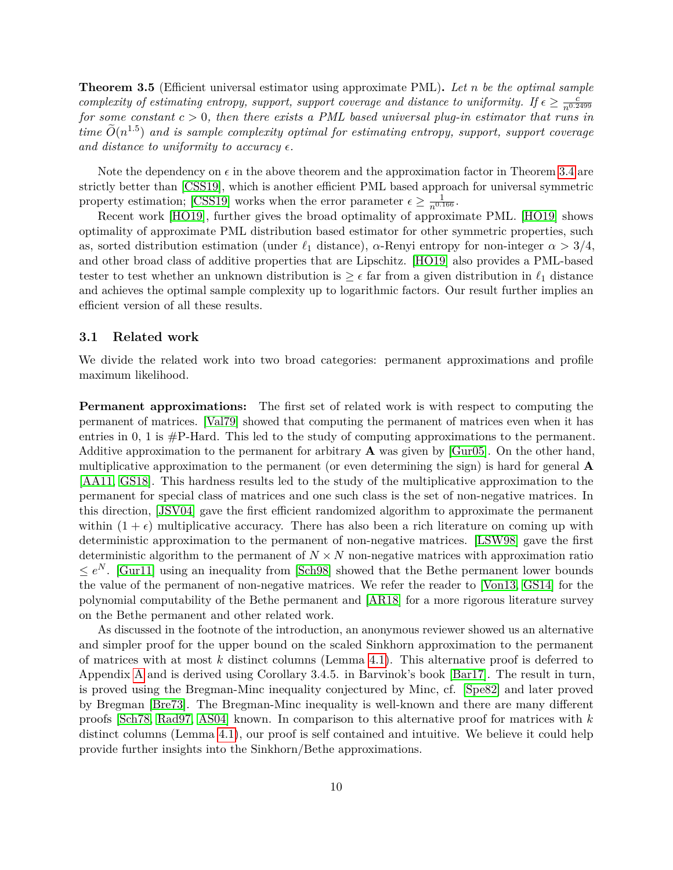**Theorem 3.5** (Efficient universal estimator using approximate PML)**.** *Let n be the optimal sample complexity of estimating entropy, support, support coverage and distance to uniformity. If*  $\epsilon \geq \frac{c}{n^{0.2499}}$ *for some constant c >* 0*, then there exists a PML based universal plug-in estimator that runs in*  $time \ \widetilde{O}(n^{1.5})$  and is sample complexity optimal for estimating entropy, support, support coverage and distance to uniformity to accuracy  $\epsilon$ .

Note the dependency on  $\epsilon$  in the above theorem and the approximation factor in Theorem [3.4](#page-9-1) are strictly better than [\[CSS19\]](#page-54-7), which is another efficient PML based approach for universal symmetric property estimation; [\[CSS19\]](#page-54-7) works when the error parameter  $\epsilon \geq \frac{1}{n^{0.166}}$ .

Recent work [\[HO19\]](#page-55-9), further gives the broad optimality of approximate PML. [\[HO19\]](#page-55-9) shows optimality of approximate PML distribution based estimator for other symmetric properties, such as, sorted distribution estimation (under  $\ell_1$  distance),  $\alpha$ -Renyi entropy for non-integer  $\alpha > 3/4$ . and other broad class of additive properties that are Lipschitz. [\[HO19\]](#page-55-9) also provides a PML-based tester to test whether an unknown distribution is  $\geq \epsilon$  far from a given distribution in  $\ell_1$  distance and achieves the optimal sample complexity up to logarithmic factors. Our result further implies an efficient version of all these results.

#### <span id="page-10-0"></span>**3.1 Related work**

We divide the related work into two broad categories: permanent approximations and profile maximum likelihood.

**Permanent approximations:** The first set of related work is with respect to computing the permanent of matrices. [\[Val79\]](#page-56-11) showed that computing the permanent of matrices even when it has entries in 0, 1 is  $\#P$ -Hard. This led to the study of computing approximations to the permanent. Additive approximation to the permanent for arbitrary **A** was given by [\[Gur05\]](#page-54-10). On the other hand, multiplicative approximation to the permanent (or even determining the sign) is hard for general **A** [\[AA11,](#page-53-8) [GS18\]](#page-54-11). This hardness results led to the study of the multiplicative approximation to the permanent for special class of matrices and one such class is the set of non-negative matrices. In this direction, [\[JSV04\]](#page-55-10) gave the first efficient randomized algorithm to approximate the permanent within  $(1 + \epsilon)$  multiplicative accuracy. There has also been a rich literature on coming up with deterministic approximation to the permanent of non-negative matrices. [\[LSW98\]](#page-55-11) gave the first deterministic algorithm to the permanent of  $N \times N$  non-negative matrices with approximation ratio  $\leq e^N$ . [\[Gur11\]](#page-54-9) using an inequality from [\[Sch98\]](#page-56-10) showed that the Bethe permanent lower bounds the value of the permanent of non-negative matrices. We refer the reader to [\[Von13,](#page-57-8) [GS14\]](#page-54-8) for the polynomial computability of the Bethe permanent and [\[AR18\]](#page-53-6) for a more rigorous literature survey on the Bethe permanent and other related work.

As discussed in the footnote of the introduction, an anonymous reviewer showed us an alternative and simpler proof for the upper bound on the scaled Sinkhorn approximation to the permanent of matrices with at most *k* distinct columns (Lemma [4.1\)](#page-12-2). This alternative proof is deferred to Appendix [A](#page-57-9) and is derived using Corollary 3.4.5. in Barvinok's book [\[Bar17\]](#page-53-7). The result in turn, is proved using the Bregman-Minc inequality conjectured by Minc, cf. [\[Spe82\]](#page-56-12) and later proved by Bregman [\[Bre73\]](#page-53-9). The Bregman-Minc inequality is well-known and there are many different proofs [\[Sch78,](#page-56-13) [Rad97,](#page-56-14) [AS04\]](#page-53-10) known. In comparison to this alternative proof for matrices with *k* distinct columns (Lemma [4.1\)](#page-12-2), our proof is self contained and intuitive. We believe it could help provide further insights into the Sinkhorn/Bethe approximations.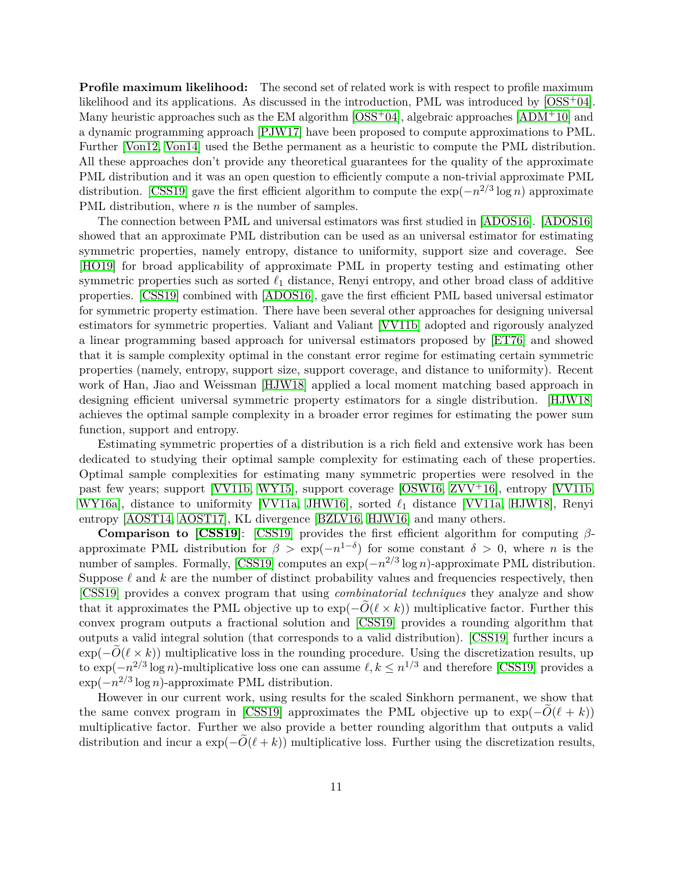**Profile maximum likelihood:** The second set of related work is with respect to profile maximum likelihood and its applications. As discussed in the introduction, PML was introduced by [\[OSS](#page-55-7)<sup>+</sup>04]. Many heuristic approaches such as the EM algorithm  $[OSS^+04]$  $[OSS^+04]$ , algebraic approaches  $[ADM^+10]$  $[ADM^+10]$  and a dynamic programming approach [\[PJW17\]](#page-56-8) have been proposed to compute approximations to PML. Further [\[Von12,](#page-56-7) [Von14\]](#page-57-6) used the Bethe permanent as a heuristic to compute the PML distribution. All these approaches don't provide any theoretical guarantees for the quality of the approximate PML distribution and it was an open question to efficiently compute a non-trivial approximate PML distribution. [\[CSS19\]](#page-54-7) gave the first efficient algorithm to compute the exp(−*n* 2*/*3 log *n*) approximate PML distribution, where *n* is the number of samples.

The connection between PML and universal estimators was first studied in [\[ADOS16\]](#page-53-4). [\[ADOS16\]](#page-53-4) showed that an approximate PML distribution can be used as an universal estimator for estimating symmetric properties, namely entropy, distance to uniformity, support size and coverage. See [\[HO19\]](#page-55-9) for broad applicability of approximate PML in property testing and estimating other symmetric properties such as sorted  $\ell_1$  distance, Renyi entropy, and other broad class of additive properties. [\[CSS19\]](#page-54-7) combined with [\[ADOS16\]](#page-53-4), gave the first efficient PML based universal estimator for symmetric property estimation. There have been several other approaches for designing universal estimators for symmetric properties. Valiant and Valiant [\[VV11b\]](#page-57-3) adopted and rigorously analyzed a linear programming based approach for universal estimators proposed by [\[ET76\]](#page-54-1) and showed that it is sample complexity optimal in the constant error regime for estimating certain symmetric properties (namely, entropy, support size, support coverage, and distance to uniformity). Recent work of Han, Jiao and Weissman [\[HJW18\]](#page-54-12) applied a local moment matching based approach in designing efficient universal symmetric property estimators for a single distribution. [\[HJW18\]](#page-54-12) achieves the optimal sample complexity in a broader error regimes for estimating the power sum function, support and entropy.

Estimating symmetric properties of a distribution is a rich field and extensive work has been dedicated to studying their optimal sample complexity for estimating each of these properties. Optimal sample complexities for estimating many symmetric properties were resolved in the past few years; support [\[VV11b,](#page-57-3) [WY15\]](#page-57-2), support coverage [\[OSW16,](#page-55-4) [ZVV](#page-57-0)+16], entropy [\[VV11b,](#page-57-3) [WY16a\]](#page-57-4), distance to uniformity [\[VV11a,](#page-57-5) [JHW16\]](#page-55-6), sorted  $\ell_1$  distance [VV11a, [HJW18\]](#page-54-12), Renyi entropy [\[AOST14,](#page-53-3) [AOST17\]](#page-53-11), KL divergence [\[BZLV16,](#page-53-12) [HJW16\]](#page-54-13) and many others.

**Comparison to [\[CSS19\]](#page-54-7)**: [\[CSS19\]](#page-54-7) provides the first efficient algorithm for computing *β*approximate PML distribution for  $\beta > \exp(-n^{1-\delta})$  for some constant  $\delta > 0$ , where *n* is the number of samples. Formally, [\[CSS19\]](#page-54-7) computes an  $\exp(-n^{2/3}\log n)$ -approximate PML distribution. Suppose  $\ell$  and  $k$  are the number of distinct probability values and frequencies respectively, then [\[CSS19\]](#page-54-7) provides a convex program that using *combinatorial techniques* they analyze and show that it approximates the PML objective up to  $\exp(-O(\ell \times k))$  multiplicative factor. Further this convex program outputs a fractional solution and [\[CSS19\]](#page-54-7) provides a rounding algorithm that outputs a valid integral solution (that corresponds to a valid distribution). [\[CSS19\]](#page-54-7) further incurs a  $\exp(-\widetilde{O}(\ell \times k))$  multiplicative loss in the rounding procedure. Using the discretization results, up to  $\exp(-n^{2/3}\log n)$ -multiplicative loss one can assume  $\ell, k \leq n^{1/3}$  and therefore [\[CSS19\]](#page-54-7) provides a exp(−*n* 2*/*3 log *n*)-approximate PML distribution.

However in our current work, using results for the scaled Sinkhorn permanent, we show that the same convex program in [\[CSS19\]](#page-54-7) approximates the PML objective up to  $\exp(-O(\ell + k))$ multiplicative factor. Further we also provide a better rounding algorithm that outputs a valid distribution and incur a  $\exp(-\tilde{O}(\ell + k))$  multiplicative loss. Further using the discretization results,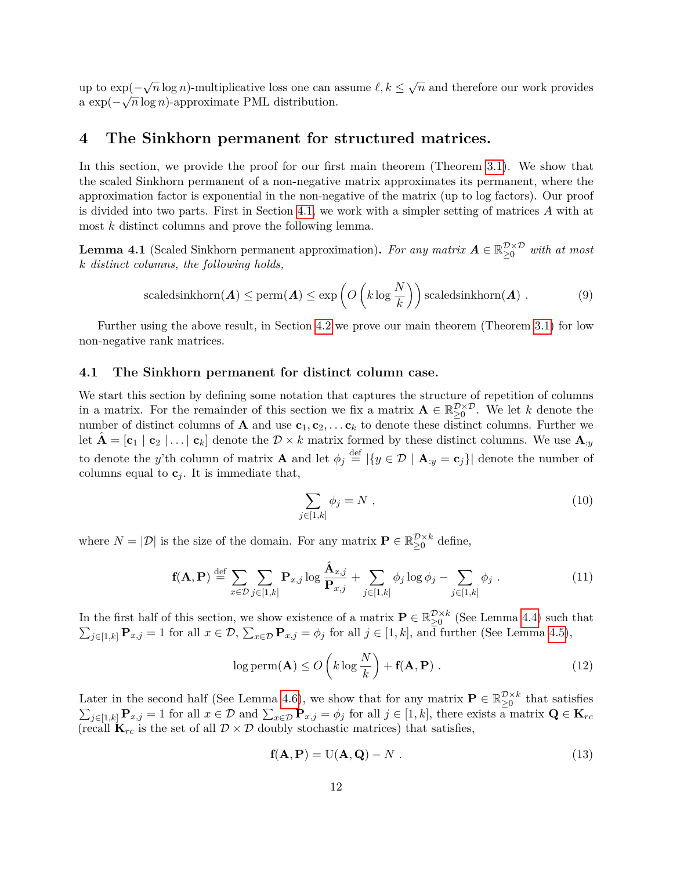up to  $\exp(-\sqrt{n}\log n)$ -multiplicative loss one can assume  $\ell, k \leq \sqrt{n}$  and therefore our work provides a  $\exp(-\sqrt{n}\log n)$ -approximate PML distribution.

## <span id="page-12-0"></span>**4 The Sinkhorn permanent for structured matrices.**

In this section, we provide the proof for our first main theorem (Theorem [3.1\)](#page-8-2). We show that the scaled Sinkhorn permanent of a non-negative matrix approximates its permanent, where the approximation factor is exponential in the non-negative of the matrix (up to log factors). Our proof is divided into two parts. First in Section [4.1,](#page-12-1) we work with a simpler setting of matrices *A* with at most *k* distinct columns and prove the following lemma.

<span id="page-12-2"></span>**Lemma 4.1** (Scaled Sinkhorn permanent approximation). For any matrix  $A \in \mathbb{R}_{\geq 0}^{\mathcal{D} \times \mathcal{D}}$  with at most *k distinct columns, the following holds,*

$$
\text{scaledsinkhorn}(\boldsymbol{A}) \le \text{perm}(\boldsymbol{A}) \le \exp\left(O\left(k \log \frac{N}{k}\right)\right) \text{scaledsinkhorn}(\boldsymbol{A})\ . \tag{9}
$$

Further using the above result, in Section [4.2](#page-19-0) we prove our main theorem (Theorem [3.1\)](#page-8-2) for low non-negative rank matrices.

#### <span id="page-12-1"></span>**4.1 The Sinkhorn permanent for distinct column case.**

We start this section by defining some notation that captures the structure of repetition of columns in a matrix. For the remainder of this section we fix a matrix  $\mathbf{A} \in \mathbb{R}_{\geq 0}^{\mathcal{D}\times\mathcal{D}}$ . We let *k* denote the number of distinct columns of **A** and use  $c_1, c_2, \ldots, c_k$  to denote these distinct columns. Further we let  $\hat{\mathbf{A}} = [\mathbf{c}_1 \mid \mathbf{c}_2 \mid \dots \mid \mathbf{c}_k]$  denote the  $\mathcal{D} \times k$  matrix formed by these distinct columns. We use  $\mathbf{A}_{:y}$ to denote the *y*'th column of matrix **A** and let  $\phi_j \stackrel{\text{def}}{=} |\{y \in \mathcal{D} \mid \mathbf{A}_{:y} = \mathbf{c}_j\}|$  denote the number of columns equal to  $\mathbf{c}_j$ . It is immediate that,

$$
\sum_{j\in[1,k]}\phi_j=N\tag{10}
$$

where  $N = |\mathcal{D}|$  is the size of the domain. For any matrix  $\mathbf{P} \in \mathbb{R}_{\geq 0}^{\mathcal{D} \times k}$  define,

<span id="page-12-5"></span>
$$
\mathbf{f}(\mathbf{A}, \mathbf{P}) \stackrel{\text{def}}{=} \sum_{x \in \mathcal{D}} \sum_{j \in [1, k]} \mathbf{P}_{x, j} \log \frac{\hat{\mathbf{A}}_{x, j}}{\mathbf{P}_{x, j}} + \sum_{j \in [1, k]} \phi_j \log \phi_j - \sum_{j \in [1, k]} \phi_j.
$$
 (11)

In the first half of this section, we show existence of a matrix  $P \in \mathbb{R}_{\geq 0}^{\mathcal{D}\times k}$  (See Lemma [4.4\)](#page-14-0) such that  $\sum_{j\in[1,k]} \mathbf{P}_{x,j} = 1$  for all  $x \in \mathcal{D}$ ,  $\sum_{x \in \mathcal{D}} \mathbf{P}_{x,j} = \phi_j$  for all  $j \in [1,k]$ , and further (See Lemma [4.5\)](#page-14-1),

<span id="page-12-3"></span>
$$
\log \text{perm}(\mathbf{A}) \le O\left(k \log \frac{N}{k}\right) + \mathbf{f}(\mathbf{A}, \mathbf{P})\ .\tag{12}
$$

Later in the second half (See Lemma [4.6\)](#page-16-0), we show that for any matrix  $P \in \mathbb{R}_{\geq 0}^{\mathcal{D}\times k}$  that satisfies  $\sum_{j\in[1,k]}$  **P**<sub>*x*</sub><sub>j</sub> = 1 for all  $x \in \mathcal{D}$  and  $\sum_{x \in \mathcal{D}} \mathbf{P}_{x,j} = \phi_j$  for all  $j \in [1,k]$ , there exists a matrix  $\mathbf{Q} \in \mathbf{K}_{rc}$ (recall  $\mathbf{K}_{rc}$  is the set of all  $\mathcal{D} \times \mathcal{D}$  doubly stochastic matrices) that satisfies,

<span id="page-12-4"></span>
$$
\mathbf{f}(\mathbf{A}, \mathbf{P}) = U(\mathbf{A}, \mathbf{Q}) - N \tag{13}
$$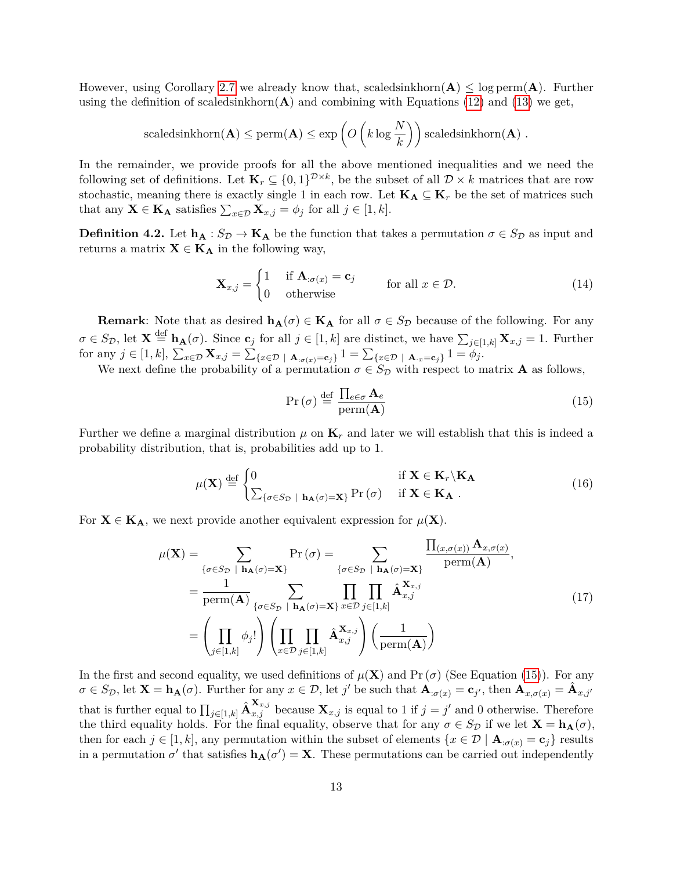However, using Corollary [2.7](#page-6-1) we already know that, scaledsinkhorn $(\mathbf{A}) \leq \log \text{perm}(\mathbf{A})$ . Further using the definition of scaledsinkhorn $(A)$  and combining with Equations [\(12\)](#page-12-3) and [\(13\)](#page-12-4) we get,

$$
\text{scaledsinkhorn}(\mathbf{A}) \le \text{perm}(\mathbf{A}) \le \exp\left(O\left(k\log\frac{N}{k}\right)\right)\text{scaledsinkhorn}(\mathbf{A})\;.
$$

In the remainder, we provide proofs for all the above mentioned inequalities and we need the following set of definitions. Let  $\mathbf{K}_r \subseteq \{0,1\}^{\mathcal{D}\times k}$ , be the subset of all  $\mathcal{D} \times k$  matrices that are row stochastic, meaning there is exactly single 1 in each row. Let  $\mathbf{K}_A \subseteq \mathbf{K}_r$  be the set of matrices such that any  $\mathbf{X} \in \mathbf{K}_{\mathbf{A}}$  satisfies  $\sum_{x \in \mathcal{D}} \mathbf{X}_{x,j} = \phi_j$  for all  $j \in [1, k]$ .

**Definition 4.2.** Let  $\mathbf{h}_{\mathbf{A}} : S_{\mathcal{D}} \to \mathbf{K}_{\mathbf{A}}$  be the function that takes a permutation  $\sigma \in S_{\mathcal{D}}$  as input and returns a matrix  $X \in K_A$  in the following way,

$$
\mathbf{X}_{x,j} = \begin{cases} 1 & \text{if } \mathbf{A}_{:\sigma(x)} = \mathbf{c}_j \\ 0 & \text{otherwise} \end{cases} \quad \text{for all } x \in \mathcal{D}.
$$
 (14)

**Remark**: Note that as desired  $h_A(\sigma) \in K_A$  for all  $\sigma \in S_D$  because of the following. For any  $\sigma \in S_{\mathcal{D}}$ , let  $\mathbf{X} \stackrel{\text{def}}{=} \mathbf{h}_{\mathbf{A}}(\sigma)$ . Since  $\mathbf{c}_j$  for all  $j \in [1, k]$  are distinct, we have  $\sum_{j \in [1, k]} \mathbf{X}_{x, j} = 1$ . Further  $\text{for any } j \in [1, k], \sum_{x \in \mathcal{D}} \mathbf{X}_{x,j} = \sum_{\{x \in \mathcal{D} \; | \; \mathbf{A}_{:\sigma(x)} = \mathbf{c}_j\}} 1 = \sum_{\{x \in \mathcal{D} \; | \; \mathbf{A}_{:x} = \mathbf{c}_j\}} 1 = \phi_j.$ 

We next define the probability of a permutation  $\sigma \in S_{\mathcal{D}}$  with respect to matrix **A** as follows,

<span id="page-13-0"></span>
$$
\Pr\left(\sigma\right) \stackrel{\text{def}}{=} \frac{\prod_{e \in \sigma} \mathbf{A}_e}{\text{perm}(\mathbf{A})} \tag{15}
$$

Further we define a marginal distribution  $\mu$  on  $\mathbf{K}_r$  and later we will establish that this is indeed a probability distribution, that is, probabilities add up to 1.

$$
\mu(\mathbf{X}) \stackrel{\text{def}}{=} \begin{cases} 0 & \text{if } \mathbf{X} \in \mathbf{K}_r \backslash \mathbf{K}_{\mathbf{A}} \\ \sum_{\{\sigma \in S_{\mathcal{D}} \mid \mathbf{h}_{\mathbf{A}}(\sigma) = \mathbf{X}\}} \Pr\left(\sigma\right) & \text{if } \mathbf{X} \in \mathbf{K}_{\mathbf{A}} \end{cases} \tag{16}
$$

For  $X \in K_A$ , we next provide another equivalent expression for  $\mu(X)$ .

$$
\mu(\mathbf{X}) = \sum_{\{\sigma \in S_{\mathcal{D}} \mid \mathbf{h}_{\mathbf{A}}(\sigma) = \mathbf{X}\}} \Pr\left(\sigma\right) = \sum_{\{\sigma \in S_{\mathcal{D}} \mid \mathbf{h}_{\mathbf{A}}(\sigma) = \mathbf{X}\}} \frac{\prod_{(x, \sigma(x))} \mathbf{A}_{x, \sigma(x)}}{\text{perm}(\mathbf{A})},
$$
\n
$$
= \frac{1}{\text{perm}(\mathbf{A})} \sum_{\{\sigma \in S_{\mathcal{D}} \mid \mathbf{h}_{\mathbf{A}}(\sigma) = \mathbf{X}\}} \prod_{x \in \mathcal{D}} \prod_{j \in [1, k]} \hat{\mathbf{A}}_{x, j}^{\mathbf{X}_{x, j}} \left(\text{17}\right)
$$
\n
$$
= \left(\prod_{j \in [1, k]} \phi_j! \right) \left(\prod_{x \in \mathcal{D}} \prod_{j \in [1, k]} \hat{\mathbf{A}}_{x, j}^{\mathbf{X}_{x, j}}\right) \left(\frac{1}{\text{perm}(\mathbf{A})}\right)
$$
\n(17)

In the first and second equality, we used definitions of  $\mu(\mathbf{X})$  and Pr ( $\sigma$ ) (See Equation [\(15\)](#page-13-0)). For any  $\sigma \in S_{\mathcal{D}}$ , let  $\mathbf{X} = \mathbf{h}_{\mathbf{A}}(\sigma)$ . Further for any  $x \in \mathcal{D}$ , let j' be such that  $\mathbf{A}_{:\sigma(x)} = \mathbf{c}_{j'}$ , then  $\mathbf{A}_{x,\sigma(x)} = \hat{\mathbf{A}}_{x,j'}$ that is further equal to  $\prod_{j\in[1,k]} \hat{\mathbf{A}}_{x,j}^{\mathbf{X}_{x,j}}$  because  $\mathbf{X}_{x,j}$  is equal to 1 if  $j=j'$  and 0 otherwise. Therefore the third equality holds. For the final equality, observe that for any  $\sigma \in S_{\mathcal{D}}$  if we let  $\mathbf{X} = \mathbf{h}_{\mathbf{A}}(\sigma)$ , then for each  $j \in [1, k]$ , any permutation within the subset of elements  $\{x \in \mathcal{D} \mid \mathbf{A}_{:\sigma(x)} = \mathbf{c}_j\}$  results in a permutation  $\sigma'$  that satisfies  $\mathbf{h}_{\mathbf{A}}(\sigma') = \mathbf{X}$ . These permutations can be carried out independently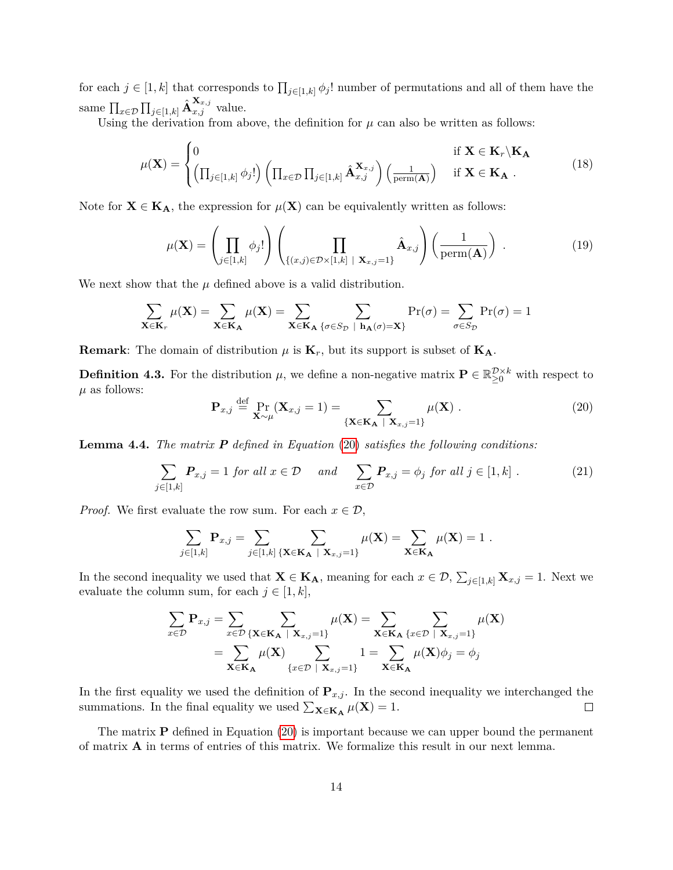for each  $j \in [1, k]$  that corresponds to  $\prod_{j \in [1, k]} \phi_j!$  number of permutations and all of them have the same  $\prod_{x \in \mathcal{D}} \prod_{j \in [1,k]} \hat{\mathbf{A}}_{x,j}^{\mathbf{X}_{x,j}}$  value.

Using the derivation from above, the definition for  $\mu$  can also be written as follows:

$$
\mu(\mathbf{X}) = \begin{cases} 0 & \text{if } \mathbf{X} \in \mathbf{K}_r \setminus \mathbf{K}_{\mathbf{A}} \\ \left( \prod_{j \in [1,k]} \phi_j! \right) \left( \prod_{x \in \mathcal{D}} \prod_{j \in [1,k]} \hat{\mathbf{A}}_{x,j}^{\mathbf{X}_{x,j}} \right) \left( \frac{1}{\text{perm}(\mathbf{A})} \right) & \text{if } \mathbf{X} \in \mathbf{K}_{\mathbf{A}} \end{cases} (18)
$$

Note for  $X \in K_A$ , the expression for  $\mu(X)$  can be equivalently written as follows:

<span id="page-14-3"></span>
$$
\mu(\mathbf{X}) = \left(\prod_{j \in [1,k]} \phi_j!\right) \left(\prod_{\{(x,j) \in \mathcal{D} \times [1,k] \mid \mathbf{X}_{x,j} = 1\}} \hat{\mathbf{A}}_{x,j}\right) \left(\frac{1}{\text{perm}(\mathbf{A})}\right) .
$$
\n(19)

We next show that the  $\mu$  defined above is a valid distribution.

$$
\sum_{\mathbf{X} \in \mathbf{K}_r} \mu(\mathbf{X}) = \sum_{\mathbf{X} \in \mathbf{K}_{\mathbf{A}}} \mu(\mathbf{X}) = \sum_{\mathbf{X} \in \mathbf{K}_{\mathbf{A}}} \sum_{\{\sigma \in S_{\mathcal{D}} \mid \mathbf{h}_{\mathbf{A}}(\sigma) = \mathbf{X}\}} \Pr(\sigma) = \sum_{\sigma \in S_{\mathcal{D}}} \Pr(\sigma) = 1
$$

**Remark**: The domain of distribution  $\mu$  is  $\mathbf{K}_r$ , but its support is subset of  $\mathbf{K}_A$ .

**Definition 4.3.** For the distribution  $\mu$ , we define a non-negative matrix  $P \in \mathbb{R}_{\geq 0}^{\mathcal{D}\times k}$  with respect to  $\mu$  as follows:

<span id="page-14-2"></span>
$$
\mathbf{P}_{x,j} \stackrel{\text{def}}{=} \Pr_{\mathbf{X} \sim \mu}(\mathbf{X}_{x,j} = 1) = \sum_{\{\mathbf{X} \in \mathbf{K}_{\mathbf{A}} \ | \ \mathbf{X}_{x,j} = 1\}} \mu(\mathbf{X}) \ . \tag{20}
$$

<span id="page-14-0"></span>**Lemma 4.4.** *The matrix P defined in Equation* [\(20\)](#page-14-2) *satisfies the following conditions:*

$$
\sum_{j\in[1,k]} P_{x,j} = 1 \text{ for all } x \in \mathcal{D} \quad \text{ and } \quad \sum_{x \in \mathcal{D}} P_{x,j} = \phi_j \text{ for all } j \in [1,k] . \tag{21}
$$

*Proof.* We first evaluate the row sum. For each  $x \in \mathcal{D}$ ,

$$
\sum_{j\in[1,k]} \mathbf{P}_{x,j} = \sum_{j\in[1,k]} \sum_{\{\mathbf{X}\in \mathbf{K}_{\mathbf{A}}\ |\ \mathbf{X}_{x,j}=1\}} \mu(\mathbf{X}) = \sum_{\mathbf{X}\in \mathbf{K}_{\mathbf{A}}} \mu(\mathbf{X}) = 1.
$$

In the second inequality we used that  $\mathbf{X} \in \mathbf{K}_{\mathbf{A}}$ , meaning for each  $x \in \mathcal{D}$ ,  $\sum_{j\in[1,k]} \mathbf{X}_{x,j} = 1$ . Next we evaluate the column sum, for each  $j \in [1, k]$ ,

$$
\sum_{x \in \mathcal{D}} \mathbf{P}_{x,j} = \sum_{x \in \mathcal{D}} \sum_{\{\mathbf{X} \in \mathbf{K}_{\mathbf{A}} \mid \mathbf{X}_{x,j} = 1\}} \mu(\mathbf{X}) = \sum_{\mathbf{X} \in \mathbf{K}_{\mathbf{A}} \{x \in \mathcal{D} \mid \mathbf{X}_{x,j} = 1\}} \sum_{\mathbf{X} \in \mathbf{K}_{\mathbf{A}}} \mu(\mathbf{X})
$$
\n
$$
= \sum_{\mathbf{X} \in \mathbf{K}_{\mathbf{A}}} \mu(\mathbf{X}) \sum_{\{x \in \mathcal{D} \mid \mathbf{X}_{x,j} = 1\}} 1 = \sum_{\mathbf{X} \in \mathbf{K}_{\mathbf{A}}} \mu(\mathbf{X}) \phi_j = \phi_j
$$

In the first equality we used the definition of  $P_{x,j}$ . In the second inequality we interchanged the summations. In the final equality we used  $\sum_{\mathbf{X} \in \mathbf{K}_{\mathbf{A}}} \mu(\mathbf{X}) = 1$ .  $\Box$ 

<span id="page-14-1"></span>The matrix **P** defined in Equation [\(20\)](#page-14-2) is important because we can upper bound the permanent of matrix **A** in terms of entries of this matrix. We formalize this result in our next lemma.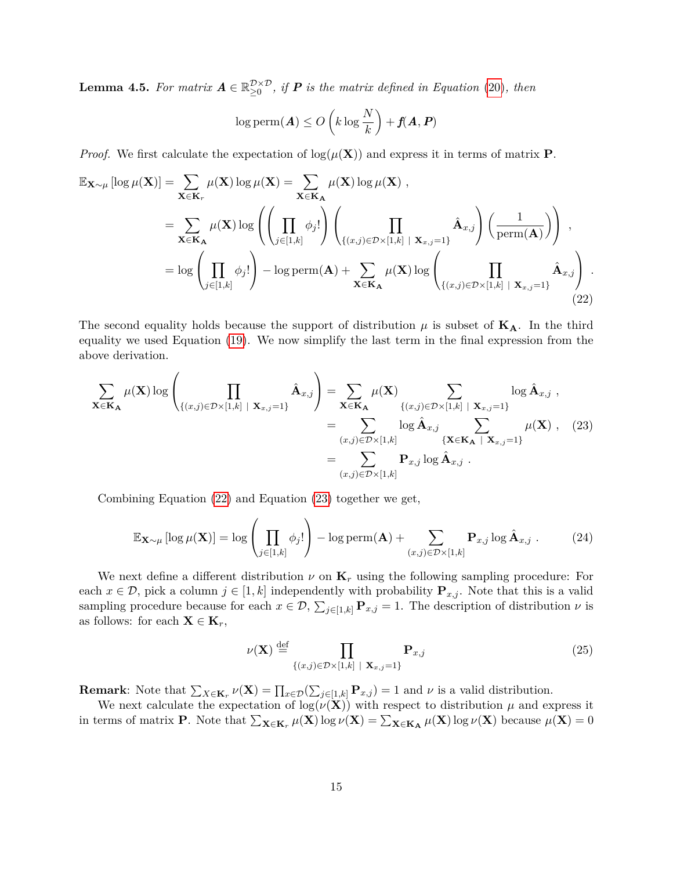**Lemma 4.5.** For matrix  $A \in \mathbb{R}_{\geq 0}^{\mathcal{D} \times \mathcal{D}}$ , if **P** is the matrix defined in Equation [\(20\)](#page-14-2), then

$$
\log \mathrm{perm}(\boldsymbol{A}) \le O\left(k\log\frac{N}{k}\right) + f(\boldsymbol{A},\boldsymbol{P})
$$

*Proof.* We first calculate the expectation of  $\log(\mu(\bf{X}))$  and express it in terms of matrix **P**.

<span id="page-15-0"></span>
$$
\mathbb{E}_{\mathbf{X}\sim\mu}[\log\mu(\mathbf{X})] = \sum_{\mathbf{X}\in\mathbf{K}_{r}} \mu(\mathbf{X}) \log\mu(\mathbf{X}) = \sum_{\mathbf{X}\in\mathbf{K}_{\mathbf{A}}} \mu(\mathbf{X}) \log\mu(\mathbf{X}),
$$
  
\n
$$
= \sum_{\mathbf{X}\in\mathbf{K}_{\mathbf{A}}} \mu(\mathbf{X}) \log\left(\left(\prod_{j\in[1,k]} \phi_{j}!\right) \left(\prod_{\{(x,j)\in\mathcal{D}\times[1,k] \mid \mathbf{X}_{x,j}=1\}} \hat{\mathbf{A}}_{x,j}\right) \left(\frac{1}{\text{perm}(\mathbf{A})}\right)\right),
$$
  
\n
$$
= \log\left(\prod_{j\in[1,k]} \phi_{j}!\right) - \log \text{perm}(\mathbf{A}) + \sum_{\mathbf{X}\in\mathbf{K}_{\mathbf{A}}} \mu(\mathbf{X}) \log\left(\prod_{\{(x,j)\in\mathcal{D}\times[1,k] \mid \mathbf{X}_{x,j}=1\}} \hat{\mathbf{A}}_{x,j}\right).
$$
(22)

The second equality holds because the support of distribution  $\mu$  is subset of  $K_A$ . In the third equality we used Equation [\(19\)](#page-14-3). We now simplify the last term in the final expression from the above derivation.

<span id="page-15-1"></span>
$$
\sum_{\mathbf{X}\in\mathbf{K}_{\mathbf{A}}} \mu(\mathbf{X}) \log \left( \prod_{\{(x,j)\in\mathcal{D}\times[1,k] \mid \mathbf{X}_{x,j}=1\}} \hat{\mathbf{A}}_{x,j} \right) = \sum_{\mathbf{X}\in\mathbf{K}_{\mathbf{A}}} \mu(\mathbf{X}) \sum_{\{(x,j)\in\mathcal{D}\times[1,k] \mid \mathbf{X}_{x,j}=1\}} \log \hat{\mathbf{A}}_{x,j},
$$
\n
$$
= \sum_{(x,j)\in\mathcal{D}\times[1,k]} \log \hat{\mathbf{A}}_{x,j} \sum_{\{\mathbf{X}\in\mathbf{K}_{\mathbf{A}} \mid \mathbf{X}_{x,j}=1\}} \mu(\mathbf{X}), \quad (23)
$$
\n
$$
= \sum_{(x,j)\in\mathcal{D}\times[1,k]} \mathbf{P}_{x,j} \log \hat{\mathbf{A}}_{x,j}.
$$

Combining Equation [\(22\)](#page-15-0) and Equation [\(23\)](#page-15-1) together we get,

$$
\mathbb{E}_{\mathbf{X}\sim\mu}\left[\log\mu(\mathbf{X})\right] = \log\left(\prod_{j\in[1,k]}\phi_j!\right) - \log\operatorname{perm}(\mathbf{A}) + \sum_{(x,j)\in\mathcal{D}\times[1,k]} \mathbf{P}_{x,j}\log\hat{\mathbf{A}}_{x,j}. \tag{24}
$$

We next define a different distribution  $\nu$  on  $\mathbf{K}_r$  using the following sampling procedure: For each  $x \in \mathcal{D}$ , pick a column  $j \in [1, k]$  independently with probability  $\mathbf{P}_{x,j}$ . Note that this is a valid sampling procedure because for each  $x \in \mathcal{D}$ ,  $\sum_{j\in[1,k]} \mathbf{P}_{x,j} = 1$ . The description of distribution  $\nu$  is as follows: for each  $\mathbf{X} \in \mathbf{K}_r$ ,

$$
\nu(\mathbf{X}) \stackrel{\text{def}}{=} \prod_{\{(x,j)\in\mathcal{D}\times[1,k] \mid \mathbf{X}_{x,j}=1\}} \mathbf{P}_{x,j}
$$
(25)

**Remark**: Note that  $\sum_{X \in \mathbf{K}_r} \nu(\mathbf{X}) = \prod_{x \in \mathcal{D}} (\sum_{j \in [1,k]} \mathbf{P}_{x,j}) = 1$  and  $\nu$  is a valid distribution.

We next calculate the expectation of  $\log(\nu(\mathbf{X}))$  with respect to distribution  $\mu$  and express it in terms of matrix **P**. Note that  $\sum_{\mathbf{X} \in \mathbf{K}_r} \mu(\mathbf{X}) \log \nu(\mathbf{X}) = \sum_{\mathbf{X} \in \mathbf{K}_\mathbf{A}} \mu(\mathbf{X}) \log \nu(\mathbf{X})$  because  $\mu(\mathbf{X}) = 0$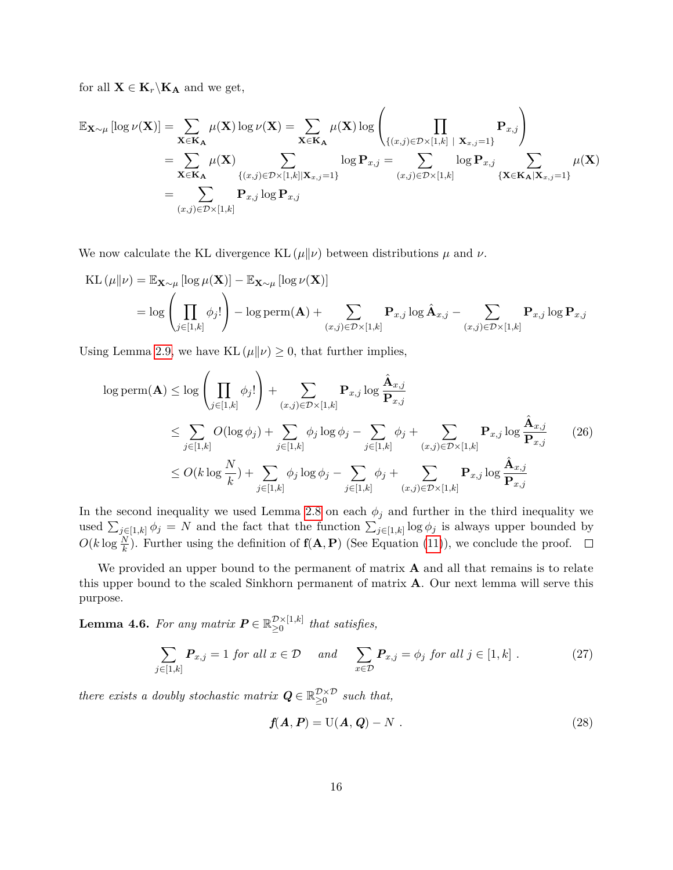for all  $X \in K_r \backslash K_A$  and we get,

$$
\mathbb{E}_{\mathbf{X}\sim\mu}[\log\nu(\mathbf{X})] = \sum_{\mathbf{X}\in\mathbf{K}_{\mathbf{A}}}\mu(\mathbf{X})\log\nu(\mathbf{X}) = \sum_{\mathbf{X}\in\mathbf{K}_{\mathbf{A}}}\mu(\mathbf{X})\log\left(\prod_{\{(x,j)\in\mathcal{D}\times[1,k]\mid \mathbf{X}_{x,j}=1\}}\mathbf{P}_{x,j}\right)
$$
  
\n
$$
= \sum_{\mathbf{X}\in\mathbf{K}_{\mathbf{A}}}\mu(\mathbf{X})\sum_{\{(x,j)\in\mathcal{D}\times[1,k]\mid \mathbf{X}_{x,j}=1\}}\log\mathbf{P}_{x,j} = \sum_{(x,j)\in\mathcal{D}\times[1,k]}\log\mathbf{P}_{x,j}\sum_{\{\mathbf{X}\in\mathbf{K}_{\mathbf{A}}|\mathbf{X}_{x,j}=1\}}\mu(\mathbf{X})
$$
  
\n
$$
= \sum_{(x,j)\in\mathcal{D}\times[1,k]}\mathbf{P}_{x,j}\log\mathbf{P}_{x,j}
$$

We now calculate the KL divergence KL  $(\mu||\nu)$  between distributions  $\mu$  and  $\nu$ .

KL 
$$
(\mu || \nu) = \mathbb{E}_{\mathbf{X} \sim \mu} [\log \mu(\mathbf{X})] - \mathbb{E}_{\mathbf{X} \sim \mu} [\log \nu(\mathbf{X})]
$$
  
=  $\log \left( \prod_{j \in [1,k]} \phi_j! \right) - \log \text{perm}(\mathbf{A}) + \sum_{(x,j) \in \mathcal{D} \times [1,k]} \mathbf{P}_{x,j} \log \hat{\mathbf{A}}_{x,j} - \sum_{(x,j) \in \mathcal{D} \times [1,k]} \mathbf{P}_{x,j} \log \mathbf{P}_{x,j}$ 

Using Lemma [2.9,](#page-6-2) we have KL  $(\mu||\nu) \geq 0$ , that further implies,

$$
\log \text{perm}(\mathbf{A}) \le \log \left( \prod_{j \in [1,k]} \phi_j! \right) + \sum_{(x,j) \in \mathcal{D} \times [1,k]} \mathbf{P}_{x,j} \log \frac{\hat{\mathbf{A}}_{x,j}}{\mathbf{P}_{x,j}} \n\le \sum_{j \in [1,k]} O(\log \phi_j) + \sum_{j \in [1,k]} \phi_j \log \phi_j - \sum_{j \in [1,k]} \phi_j + \sum_{(x,j) \in \mathcal{D} \times [1,k]} \mathbf{P}_{x,j} \log \frac{\hat{\mathbf{A}}_{x,j}}{\mathbf{P}_{x,j}} \n\le O(k \log \frac{N}{k}) + \sum_{j \in [1,k]} \phi_j \log \phi_j - \sum_{j \in [1,k]} \phi_j + \sum_{(x,j) \in \mathcal{D} \times [1,k]} \mathbf{P}_{x,j} \log \frac{\hat{\mathbf{A}}_{x,j}}{\mathbf{P}_{x,j}} \n\tag{26}
$$

In the second inequality we used Lemma [2.8](#page-6-3) on each  $\phi_j$  and further in the third inequality we used  $\sum_{j\in[1,k]} \phi_j = N$  and the fact that the function  $\sum_{j\in[1,k]} \log \phi_j$  is always upper bounded by  $O(k \log \frac{N}{k})$ . Further using the definition of  $f(A, P)$  (See Equation [\(11\)](#page-12-5)), we conclude the proof.

We provided an upper bound to the permanent of matrix **A** and all that remains is to relate this upper bound to the scaled Sinkhorn permanent of matrix **A**. Our next lemma will serve this purpose.

<span id="page-16-0"></span>**Lemma 4.6.** For any matrix  $P \in \mathbb{R}_{\geq 0}^{\mathcal{D}\times[1,k]}$  $\sum_{n=0}^{\infty}$ <sup>1,k<sub>1</sub></sup> that satisfies,

$$
\sum_{j\in[1,k]} P_{x,j} = 1 \text{ for all } x \in \mathcal{D} \quad \text{ and } \quad \sum_{x \in \mathcal{D}} P_{x,j} = \phi_j \text{ for all } j \in [1,k] . \tag{27}
$$

*there exists a doubly stochastic matrix*  $Q \in \mathbb{R}_{\geq 0}^{\mathcal{D} \times \mathcal{D}}$  such that,

$$
f(A, P) = U(A, Q) - N
$$
 (28)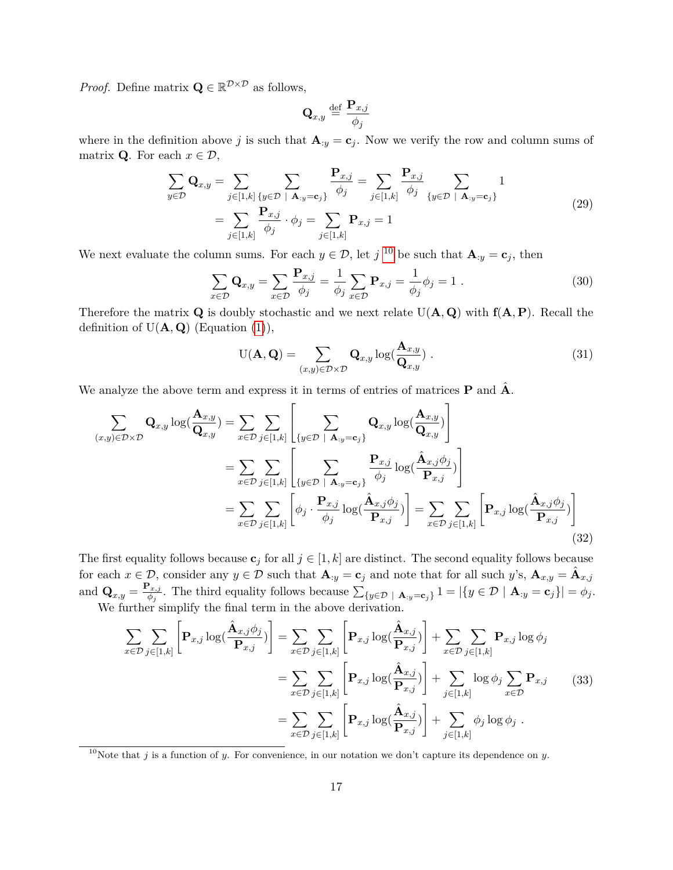*Proof.* Define matrix  $\mathbf{Q} \in \mathbb{R}^{\mathcal{D} \times \mathcal{D}}$  as follows,

$$
\mathbf{Q}_{x,y} \stackrel{\text{def}}{=} \frac{\mathbf{P}_{x,j}}{\phi_j}
$$

where in the definition above *j* is such that  $\mathbf{A}_{:y} = \mathbf{c}_j$ . Now we verify the row and column sums of matrix **Q**. For each  $x \in \mathcal{D}$ ,

$$
\sum_{y \in \mathcal{D}} \mathbf{Q}_{x,y} = \sum_{j \in [1,k]} \sum_{\{y \in \mathcal{D} \mid \mathbf{A}_{:y} = \mathbf{c}_j\}} \frac{\mathbf{P}_{x,j}}{\phi_j} = \sum_{j \in [1,k]} \frac{\mathbf{P}_{x,j}}{\phi_j} \sum_{\{y \in \mathcal{D} \mid \mathbf{A}_{:y} = \mathbf{c}_j\}} 1
$$
\n
$$
= \sum_{j \in [1,k]} \frac{\mathbf{P}_{x,j}}{\phi_j} \cdot \phi_j = \sum_{j \in [1,k]} \mathbf{P}_{x,j} = 1
$$
\n(29)

We next evaluate the column sums. For each  $y \in \mathcal{D}$ , let *j*<sup>[10](#page-17-0)</sup> be such that  $\mathbf{A}_{:y} = \mathbf{c}_j$ , then

$$
\sum_{x \in \mathcal{D}} \mathbf{Q}_{x,y} = \sum_{x \in \mathcal{D}} \frac{\mathbf{P}_{x,j}}{\phi_j} = \frac{1}{\phi_j} \sum_{x \in \mathcal{D}} \mathbf{P}_{x,j} = \frac{1}{\phi_j} \phi_j = 1.
$$
\n(30)

Therefore the matrix  $\bf{Q}$  is doubly stochastic and we next relate  $U(\bf{A}, \bf{Q})$  with  ${\bf f}(\bf{A}, \bf{P})$ . Recall the definition of  $U(\mathbf{A}, \mathbf{Q})$  (Equation [\(1\)](#page-5-2)),

<span id="page-17-3"></span>
$$
U(\mathbf{A}, \mathbf{Q}) = \sum_{(x,y)\in\mathcal{D}\times\mathcal{D}} \mathbf{Q}_{x,y} \log(\frac{\mathbf{A}_{x,y}}{\mathbf{Q}_{x,y}}) \tag{31}
$$

We analyze the above term and express it in terms of entries of matrices  $P$  and  $\hat{A}$ .

<span id="page-17-1"></span>
$$
\sum_{(x,y)\in\mathcal{D}\times\mathcal{D}} \mathbf{Q}_{x,y} \log(\frac{\mathbf{A}_{x,y}}{\mathbf{Q}_{x,y}}) = \sum_{x\in\mathcal{D}} \sum_{j\in[1,k]} \left[ \sum_{\{y\in\mathcal{D} \mid \mathbf{A}_{:y}=\mathbf{c}_{j}\}} \mathbf{Q}_{x,y} \log(\frac{\mathbf{A}_{x,y}}{\mathbf{Q}_{x,y}}) \right]
$$
\n
$$
= \sum_{x\in\mathcal{D}} \sum_{j\in[1,k]} \left[ \sum_{\{y\in\mathcal{D} \mid \mathbf{A}_{:y}=\mathbf{c}_{j}\}} \frac{\mathbf{P}_{x,j}}{\phi_{j}} \log(\frac{\mathbf{A}_{x,j}\phi_{j}}{\mathbf{P}_{x,j}}) \right]
$$
\n
$$
= \sum_{x\in\mathcal{D}} \sum_{j\in[1,k]} \left[ \phi_{j} \cdot \frac{\mathbf{P}_{x,j}}{\phi_{j}} \log(\frac{\mathbf{A}_{x,j}\phi_{j}}{\mathbf{P}_{x,j}}) \right] = \sum_{x\in\mathcal{D}} \sum_{j\in[1,k]} \left[ \mathbf{P}_{x,j} \log(\frac{\mathbf{A}_{x,j}\phi_{j}}{\mathbf{P}_{x,j}}) \right]
$$
\n(32)

The first equality follows because  $c_j$  for all  $j \in [1, k]$  are distinct. The second equality follows because for each  $x \in \mathcal{D}$ , consider any  $y \in \mathcal{D}$  such that  $\mathbf{A}_{:y} = \mathbf{c}_j$  and note that for all such  $y$ 's,  $\mathbf{A}_{x,y} = \hat{\mathbf{A}}_{x,j}$ and  $\mathbf{Q}_{x,y} = \frac{\mathbf{P}_{x,j}}{\phi_i}$  $\sum_{y \in \mathcal{D}} {y \in \mathcal{D} | \mathbf{A}_{y} = \mathbf{c}_j} = \left| \{ y \in \mathcal{D} \mid \mathbf{A}_{y} = \mathbf{c}_j \} \right| = \phi_j.$ 

We further simplify the final term in the above derivation.

<span id="page-17-2"></span>
$$
\sum_{x \in \mathcal{D}} \sum_{j \in [1,k]} \left[ \mathbf{P}_{x,j} \log(\frac{\hat{\mathbf{A}}_{x,j} \phi_j}{\mathbf{P}_{x,j}}) \right] = \sum_{x \in \mathcal{D}} \sum_{j \in [1,k]} \left[ \mathbf{P}_{x,j} \log(\frac{\hat{\mathbf{A}}_{x,j}}{\mathbf{P}_{x,j}}) \right] + \sum_{x \in \mathcal{D}} \sum_{j \in [1,k]} \mathbf{P}_{x,j} \log \phi_j
$$
\n
$$
= \sum_{x \in \mathcal{D}} \sum_{j \in [1,k]} \left[ \mathbf{P}_{x,j} \log(\frac{\hat{\mathbf{A}}_{x,j}}{\mathbf{P}_{x,j}}) \right] + \sum_{j \in [1,k]} \log \phi_j \sum_{x \in \mathcal{D}} \mathbf{P}_{x,j} \tag{33}
$$
\n
$$
= \sum_{x \in \mathcal{D}} \sum_{j \in [1,k]} \left[ \mathbf{P}_{x,j} \log(\frac{\hat{\mathbf{A}}_{x,j}}{\mathbf{P}_{x,j}}) \right] + \sum_{j \in [1,k]} \phi_j \log \phi_j .
$$

<span id="page-17-0"></span><sup>10</sup>Note that *j* is a function of *y*. For convenience, in our notation we don't capture its dependence on *y*.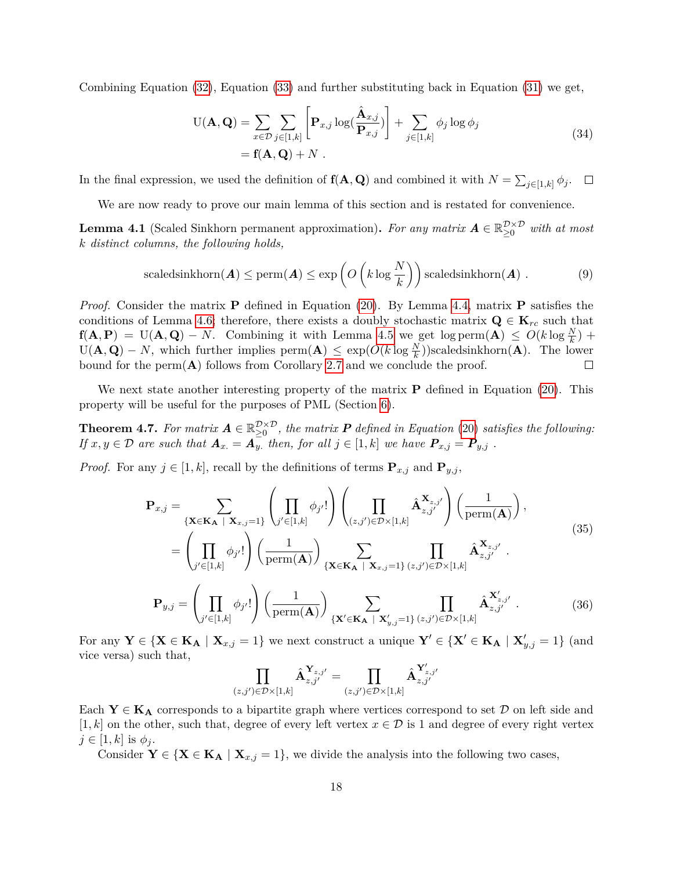Combining Equation [\(32\)](#page-17-1), Equation [\(33\)](#page-17-2) and further substituting back in Equation [\(31\)](#page-17-3) we get,

$$
U(\mathbf{A}, \mathbf{Q}) = \sum_{x \in \mathcal{D}} \sum_{j \in [1, k]} \left[ \mathbf{P}_{x, j} \log(\frac{\hat{\mathbf{A}}_{x, j}}{\mathbf{P}_{x, j}}) \right] + \sum_{j \in [1, k]} \phi_j \log \phi_j
$$
  
=  $\mathbf{f}(\mathbf{A}, \mathbf{Q}) + N$ . (34)

In the final expression, we used the definition of  $f(A, Q)$  and combined it with  $N = \sum_{j \in [1,k]} \phi_j$ .  $\Box$ 

We are now ready to prove our main lemma of this section and is restated for convenience.

**Lemma 4.1** (Scaled Sinkhorn permanent approximation). For any matrix  $A \in \mathbb{R}_{\geq 0}^{\mathcal{D} \times \mathcal{D}}$  with at most *k distinct columns, the following holds,*

$$
\text{scaledsinkhorn}(\boldsymbol{A}) \le \text{perm}(\boldsymbol{A}) \le \exp\left(O\left(k \log \frac{N}{k}\right)\right) \text{scaledsinkhorn}(\boldsymbol{A})\ . \tag{9}
$$

*Proof.* Consider the matrix **P** defined in Equation [\(20\)](#page-14-2). By Lemma [4.4,](#page-14-0) matrix **P** satisfies the conditions of Lemma [4.6;](#page-16-0) therefore, there exists a doubly stochastic matrix  $\mathbf{Q} \in \mathbf{K}_{rc}$  such that **f**( $\mathbf{A}, \mathbf{P}$ ) = U( $\mathbf{A}, \mathbf{Q}$ ) – *N*. Combining it with Lemma [4.5](#page-14-1) we get log perm( $\mathbf{A}$ )  $\leq O(k \log \frac{N}{k})$  +  $U(\mathbf{A}, \mathbf{Q}) - N$ , which further implies perm $(\mathbf{A}) \leq \exp(O(k \log \frac{N}{k}))$ scaledsinkhorn $(\mathbf{A})$ . The lower bound for the perm(**A**) follows from Corollary [2.7](#page-6-1) and we conclude the proof.  $\Box$ 

We next state another interesting property of the matrix **P** defined in Equation [\(20\)](#page-14-2). This property will be useful for the purposes of PML (Section [6\)](#page-25-0).

<span id="page-18-0"></span>**Theorem 4.7.** For matrix  $A \in \mathbb{R}_{\geq 0}^{\mathcal{D} \times \mathcal{D}}$ , the matrix  $P$  defined in Equation [\(20\)](#page-14-2) satisfies the following: *If*  $x, y \in \mathcal{D}$  are such that  $\mathbf{A}_x = \mathbf{A}_y$ , then, for all  $j \in [1, k]$  we have  $\mathbf{P}_{x,j} = \mathbf{P}_{y,j}$ .

*Proof.* For any  $j \in [1, k]$ , recall by the definitions of terms  $\mathbf{P}_{x,j}$  and  $\mathbf{P}_{y,j}$ ,

$$
\mathbf{P}_{x,j} = \sum_{\{\mathbf{X} \in \mathbf{K}_{\mathbf{A}} \mid \mathbf{X}_{x,j}=1\}} \left( \prod_{j' \in [1,k]} \phi_{j'}! \right) \left( \prod_{(z,j') \in \mathcal{D} \times [1,k]} \hat{\mathbf{A}}_{z,j'}^{\mathbf{X}_{z,j'}} \right) \left( \frac{1}{\text{perm}(\mathbf{A})} \right),
$$
\n
$$
= \left( \prod_{j' \in [1,k]} \phi_{j'}! \right) \left( \frac{1}{\text{perm}(\mathbf{A})} \right) \sum_{\{\mathbf{X} \in \mathbf{K}_{\mathbf{A}} \mid \mathbf{X}_{x,j}=1\} (z,j') \in \mathcal{D} \times [1,k]} \hat{\mathbf{A}}_{z,j'}^{\mathbf{X}_{z,j'}}.
$$
\n
$$
\mathbf{P}_{y,j} = \left( \prod_{j' \in [1,k]} \phi_{j'}! \right) \left( \frac{1}{\text{perm}(\mathbf{A})} \right) \sum_{\{\mathbf{X}' \in \mathbf{K}_{\mathbf{A}} \mid \mathbf{X}_{y,j'=1}\} (z,j') \in \mathcal{D} \times [1,k]} \hat{\mathbf{A}}_{z,j'}^{\mathbf{X}'_{z,j'}}.
$$
\n(36)

For any  $Y \in \{X \in K_A \mid X_{x,j} = 1\}$  we next construct a unique  $Y' \in \{X' \in K_A \mid X'_{y,j} = 1\}$  (and vice versa) such that,

$$
\prod_{(z,j')\in\mathcal{D}\times[1,k]}\hat{\textbf{A}}_{z,j'}^{\textbf{Y}_{z,j'}}=\prod_{(z,j')\in\mathcal{D}\times[1,k]}\hat{\textbf{A}}_{z,j'}^{\textbf{Y}'_{z,j'}}
$$

Each  $Y \in K_A$  corresponds to a bipartite graph where vertices correspond to set  $D$  on left side and [1, k] on the other, such that, degree of every left vertex  $x \in \mathcal{D}$  is 1 and degree of every right vertex  $j \in [1, k]$  is  $\phi_j$ .

Consider  $Y \in \{X \in K_A \mid X_{x,j} = 1\}$ , we divide the analysis into the following two cases,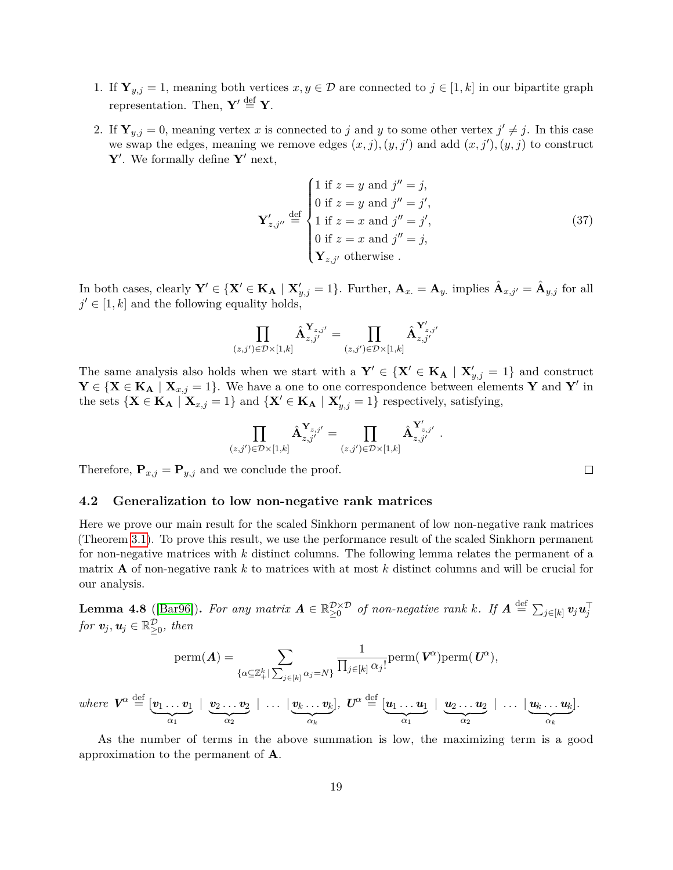- 1. If  $\mathbf{Y}_{y,j} = 1$ , meaning both vertices  $x, y \in \mathcal{D}$  are connected to  $j \in [1, k]$  in our bipartite graph representation. Then,  $\mathbf{Y}' \stackrel{\text{def}}{=} \mathbf{Y}$ .
- 2. If  $\mathbf{Y}_{y,j} = 0$ , meaning vertex *x* is connected to *j* and *y* to some other vertex  $j' \neq j$ . In this case we swap the edges, meaning we remove edges  $(x, j)$ ,  $(y, j')$  and add  $(x, j')$ ,  $(y, j)$  to construct  $\mathbf{Y}'$ . We formally define  $\mathbf{Y}'$  next,

$$
\mathbf{Y}'_{z,j''} \stackrel{\text{def}}{=} \begin{cases} 1 \text{ if } z = y \text{ and } j'' = j, \\ 0 \text{ if } z = y \text{ and } j'' = j', \\ 1 \text{ if } z = x \text{ and } j'' = j', \\ 0 \text{ if } z = x \text{ and } j'' = j, \\ \mathbf{Y}_{z,j'} \text{ otherwise.} \end{cases}
$$
(37)

In both cases, clearly  $Y' \in \{X' \in K_A \mid X'_{y,j} = 1\}$ . Further,  $A_{x.} = A_{y.}$  implies  $\hat{A}_{x,j'} = \hat{A}_{y,j}$  for all  $j' \in [1, k]$  and the following equality holds,

$$
\prod_{(z,j')\in\mathcal{D}\times[1,k]}\hat{\mathbf{A}}_{z,j'}^{\mathbf{Y}_{z,j'}}=\prod_{(z,j')\in\mathcal{D}\times[1,k]}\hat{\mathbf{A}}_{z,j'}^{\mathbf{Y}'_{z,j'}}
$$

The same analysis also holds when we start with a  $Y' \in \{X' \in K_A \mid X'_{y,j} = 1\}$  and construct **Y** ∈ {**X** ∈ **KA** | **X**<sub>*x,j*</sub> = 1}. We have a one to one correspondence between elements **Y** and **Y**<sup>*'*</sup> in the sets  $\{X \in K_A \mid X_{x,j} = 1\}$  and  $\{X' \in K_A \mid X'_{y,j} = 1\}$  respectively, satisfying,

$$
\prod_{(z,j')\in\mathcal{D}\times[1,k]}\hat{\mathbf{A}}_{z,j'}^{\mathbf{Y}_{z,j'}}=\prod_{(z,j')\in\mathcal{D}\times[1,k]}\hat{\mathbf{A}}_{z,j'}^{\mathbf{Y}'_{z,j'}}\;.
$$

Therefore,  $\mathbf{P}_{x,j} = \mathbf{P}_{y,j}$  and we conclude the proof.

#### <span id="page-19-0"></span>**4.2 Generalization to low non-negative rank matrices**

Here we prove our main result for the scaled Sinkhorn permanent of low non-negative rank matrices (Theorem [3.1\)](#page-8-2). To prove this result, we use the performance result of the scaled Sinkhorn permanent for non-negative matrices with *k* distinct columns. The following lemma relates the permanent of a matrix **A** of non-negative rank *k* to matrices with at most *k* distinct columns and will be crucial for our analysis.

 $\bf{Lemma \ 4.8 \ (}[Bar96]). \ \ } For \ any \ matrix \ \bf{A} \in \mathbb{R}_{\geq 0}^{\mathcal{D} \times \mathcal{D}} \ \ of \ non-negative \ rank \ k. \ \ If \ \bf{A} \stackrel{\text{def}}{=} \sum_{j \in [k]} \bm{v}_j \bm{u}_j^{\top}$  $\bf{Lemma \ 4.8 \ (}[Bar96]). \ \ } For \ any \ matrix \ \bf{A} \in \mathbb{R}_{\geq 0}^{\mathcal{D} \times \mathcal{D}} \ \ of \ non-negative \ rank \ k. \ \ If \ \bf{A} \stackrel{\text{def}}{=} \sum_{j \in [k]} \bm{v}_j \bm{u}_j^{\top}$  $\bf{Lemma \ 4.8 \ (}[Bar96]). \ \ } For \ any \ matrix \ \bf{A} \in \mathbb{R}_{\geq 0}^{\mathcal{D} \times \mathcal{D}} \ \ of \ non-negative \ rank \ k. \ \ If \ \bf{A} \stackrel{\text{def}}{=} \sum_{j \in [k]} \bm{v}_j \bm{u}_j^{\top}$ *for*  $v_j, u_j \in \mathbb{R}_{\geq 0}^{\mathcal{D}}$ *, then* 

$$
\mathrm{perm}(\boldsymbol{A})=\sum_{\{\alpha\subseteq\mathbb{Z}_{+}^{k}|\sum_{j\in[k]}\alpha_{j}=N\}}\frac{1}{\prod_{j\in[k]}\alpha_{j}!}\mathrm{perm}(\,\boldsymbol{V}^{\alpha})\mathrm{perm}(\,\boldsymbol{U}^{\alpha}),
$$

 $where \ \ \boldsymbol{V}^{\alpha} \stackrel{\mathrm{def}}{=} [\boldsymbol{v}_{1} \dots \boldsymbol{v}_{1}]$  $\alpha_1$ <sup>2</sup>  $\mid~\bm{v}_2 \ldots \bm{v}_2$  $\alpha_2$ <sup>2</sup>  $\mid\;\ldots\;\mid\bm{v}_k\ldots\bm{v}_k$  ${\alpha_k}$  $] ,\; \textbf{\emph{U}}^{\alpha} \stackrel{\text{def}}{=} [\textbf{\emph{u}}_1 \ldots \textbf{\emph{u}}_1]$  $\alpha_1$ <sup>2</sup>  $\mid~$   $\bm{u}_2 \ldots \bm{u}_2$  $\alpha_2$  $\mid\;\ldots\;\mid\bm{u}_{k}\ldots\bm{u}_{k}$  ${\alpha_k}$ ]*.*

As the number of terms in the above summation is low, the maximizing term is a good approximation to the permanent of **A**.

 $\Box$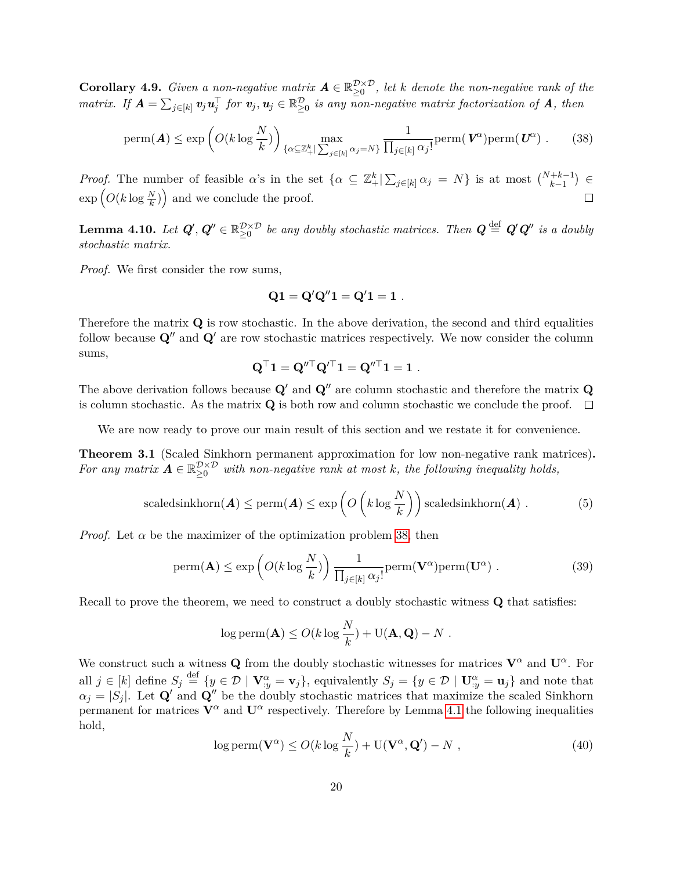**Corollary 4.9.** *Given a non-negative matrix*  $A \in \mathbb{R}_{\geq 0}^{\mathcal{D} \times \mathcal{D}}$ , let *k* denote the non-negative rank of the *matrix.* If  $A = \sum_{j \in [k]} v_j u_j^{\top}$  for  $v_j, u_j \in \mathbb{R}_{\geq 0}^{\mathcal{D}}$  is any non-negative matrix factorization of  $A$ , then

<span id="page-20-0"></span>
$$
\text{perm}(\boldsymbol{A}) \le \exp\left(O(k \log \frac{N}{k})\right)_{\{\alpha \subseteq \mathbb{Z}_{+}^{k}| \sum_{j \in [k]} \alpha_{j} = N\}} \frac{1}{\prod_{j \in [k]} \alpha_{j}!} \text{perm}(\boldsymbol{V}^{\alpha}) \text{perm}(\boldsymbol{U}^{\alpha}) . \tag{38}
$$

*Proof.* The number of feasible *α*'s in the set  $\{\alpha \subseteq \mathbb{Z}_{+}^{k} | \sum_{j\in[k]} \alpha_j = N\}$  is at most  $\binom{N+k-1}{k-1} \in$  $\exp\left(O(k \log \frac{N}{k})\right)$  and we conclude the proof.  $\Box$ 

<span id="page-20-2"></span> $\bf{Lemma \ 4.10.} \ \ Let \ \boldsymbol{Q'}, \boldsymbol{Q''} \in \mathbb{R}_{\geq 0}^{\mathcal{D} \times \mathcal{D}} \ \ be \ any \ doubly \ stochastic \ matrices. \ \ Then \ \boldsymbol{Q} \stackrel{\rm def}{=} \boldsymbol{Q'}\boldsymbol{Q''} \ \ is \ a \ doubly \ probability \ continuous.$ *stochastic matrix.*

*Proof.* We first consider the row sums,

$$
Q1 = Q'Q''1 = Q'1 = 1 \ .
$$

Therefore the matrix **Q** is row stochastic. In the above derivation, the second and third equalities follow because  $\mathbf{Q}^{\prime\prime}$  and  $\mathbf{Q}^{\prime}$  are row stochastic matrices respectively. We now consider the column sums,

$$
\mathbf{Q}^\top \mathbf{1} = \mathbf{Q}''^\top \mathbf{Q}'^\top \mathbf{1} = \mathbf{Q}''^\top \mathbf{1} = \mathbf{1}.
$$

The above derivation follows because  $\mathbf{Q}'$  and  $\mathbf{Q}''$  are column stochastic and therefore the matrix  $\mathbf{Q}$ is column stochastic. As the matrix **Q** is both row and column stochastic we conclude the proof.  $\Box$ 

We are now ready to prove our main result of this section and we restate it for convenience.

**Theorem 3.1** (Scaled Sinkhorn permanent approximation for low non-negative rank matrices)**.** For any matrix  $A \in \mathbb{R}_{\geq 0}^{\mathcal{D} \times \mathcal{D}}$  with non-negative rank at most k, the following inequality holds,

scaledsinkhorn(**A**) 
$$
\leq
$$
 perm(**A**)  $\leq$  exp  $\left( O\left(k \log \frac{N}{k}\right)\right)$  scaledsinkhorn(**A**) . (5)

*Proof.* Let  $\alpha$  be the maximizer of the optimization problem [38,](#page-20-0) then

<span id="page-20-1"></span>
$$
\text{perm}(\mathbf{A}) \le \exp\left(O(k \log \frac{N}{k})\right) \frac{1}{\prod_{j \in [k]} \alpha_j!} \text{perm}(\mathbf{V}^{\alpha}) \text{perm}(\mathbf{U}^{\alpha}) . \tag{39}
$$

Recall to prove the theorem, we need to construct a doubly stochastic witness **Q** that satisfies:

$$
\log \mathrm{perm}(\mathbf{A}) \le O(k \log \frac{N}{k}) + \mathrm{U}(\mathbf{A}, \mathbf{Q}) - N.
$$

We construct such a witness **Q** from the doubly stochastic witnesses for matrices  $V^{\alpha}$  and  $U^{\alpha}$ . For all  $j \in [k]$  define  $S_j \stackrel{\text{def}}{=} \{y \in \mathcal{D} \mid \mathbf{V}_{:y}^{\alpha} = \mathbf{v}_j\}$ , equivalently  $S_j = \{y \in \mathcal{D} \mid \mathbf{U}_{:y}^{\alpha} = \mathbf{u}_j\}$  and note that  $\alpha_j = |S_j|$ . Let **Q**<sup>*i*</sup> and **Q**<sup>*i*</sup> be the doubly stochastic matrices that maximize the scaled Sinkhorn permanent for matrices  $V^{\alpha}$  and  $U^{\alpha}$  respectively. Therefore by Lemma [4.1](#page-12-2) the following inequalities hold,

$$
\log \text{perm}(\mathbf{V}^{\alpha}) \le O(k \log \frac{N}{k}) + \text{U}(\mathbf{V}^{\alpha}, \mathbf{Q}') - N , \qquad (40)
$$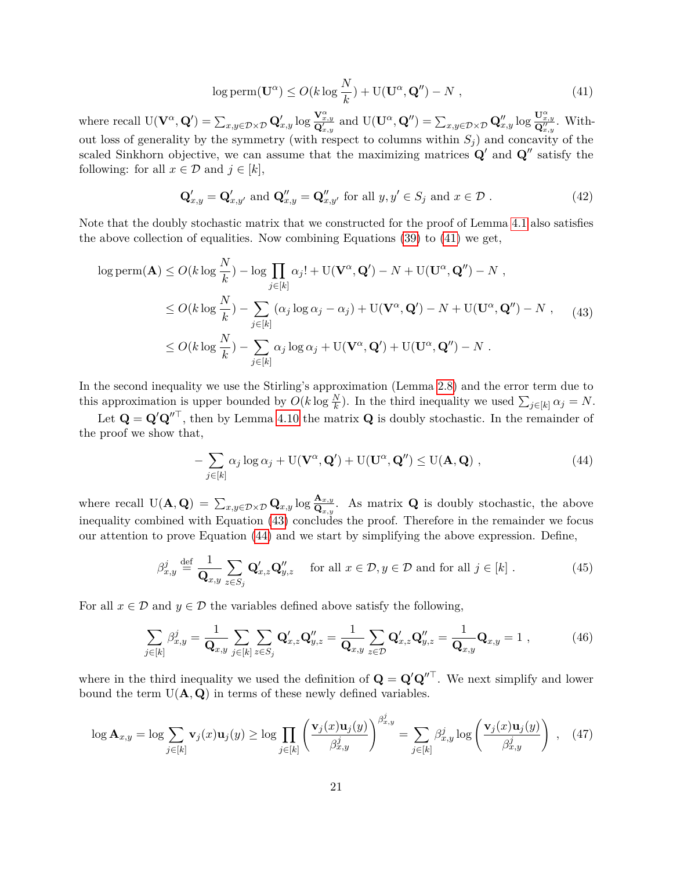<span id="page-21-0"></span>
$$
\log \text{perm}(\mathbf{U}^{\alpha}) \le O(k \log \frac{N}{k}) + \text{U}(\mathbf{U}^{\alpha}, \mathbf{Q}'') - N , \qquad (41)
$$

where recall  $U(\mathbf{V}^{\alpha}, \mathbf{Q}') = \sum_{x,y \in \mathcal{D} \times \mathcal{D}} \mathbf{Q}'_{x,y} \log \frac{\mathbf{V}^{\alpha}_{x,y}}{\mathbf{Q}'_{x,y}}$  and  $U(\mathbf{U}^{\alpha}, \mathbf{Q}'') = \sum_{x,y \in \mathcal{D} \times \mathcal{D}} \mathbf{Q}''_{x,y} \log \frac{\mathbf{U}^{\alpha}_{x,y}}{\mathbf{Q}''_{x,y}}$ . Without loss of generality by the symmetry (with respect to columns within  $S_i$ ) and concavity of the scaled Sinkhorn objective, we can assume that the maximizing matrices  $\mathbf{Q}'$  and  $\mathbf{Q}''$  satisfy the following: for all  $x \in \mathcal{D}$  and  $j \in [k]$ ,

<span id="page-21-5"></span>
$$
\mathbf{Q}'_{x,y} = \mathbf{Q}'_{x,y'} \text{ and } \mathbf{Q}''_{x,y} = \mathbf{Q}''_{x,y'} \text{ for all } y, y' \in S_j \text{ and } x \in \mathcal{D}. \tag{42}
$$

Note that the doubly stochastic matrix that we constructed for the proof of Lemma [4.1](#page-12-2) also satisfies the above collection of equalities. Now combining Equations [\(39\)](#page-20-1) to [\(41\)](#page-21-0) we get,

<span id="page-21-1"></span>
$$
\log \text{perm}(\mathbf{A}) \le O(k \log \frac{N}{k}) - \log \prod_{j \in [k]} \alpha_j! + \text{U}(\mathbf{V}^{\alpha}, \mathbf{Q}') - N + \text{U}(\mathbf{U}^{\alpha}, \mathbf{Q}'') - N ,
$$
  
\n
$$
\le O(k \log \frac{N}{k}) - \sum_{j \in [k]} (\alpha_j \log \alpha_j - \alpha_j) + \text{U}(\mathbf{V}^{\alpha}, \mathbf{Q}') - N + \text{U}(\mathbf{U}^{\alpha}, \mathbf{Q}'') - N , \quad (43)
$$
  
\n
$$
\le O(k \log \frac{N}{k}) - \sum_{j \in [k]} \alpha_j \log \alpha_j + \text{U}(\mathbf{V}^{\alpha}, \mathbf{Q}') + \text{U}(\mathbf{U}^{\alpha}, \mathbf{Q}'') - N .
$$

In the second inequality we use the Stirling's approximation (Lemma [2.8\)](#page-6-3) and the error term due to this approximation is upper bounded by  $O(k \log \frac{N}{k})$ . In the third inequality we used  $\sum_{j \in [k]} \alpha_j = N$ .

Let  $\mathbf{Q} = \mathbf{Q}' \mathbf{Q}''^{\top}$ , then by Lemma [4.10](#page-20-2) the matrix  $\mathbf{Q}$  is doubly stochastic. In the remainder of the proof we show that,

<span id="page-21-2"></span>
$$
-\sum_{j\in[k]} \alpha_j \log \alpha_j + U(\mathbf{V}^{\alpha}, \mathbf{Q}') + U(\mathbf{U}^{\alpha}, \mathbf{Q}'') \leq U(\mathbf{A}, \mathbf{Q}) ,
$$
\n(44)

where recall  $U(A, Q) = \sum_{x,y \in \mathcal{D} \times \mathcal{D}} Q_{x,y} \log \frac{A_{x,y}}{Q_{x,y}}$ . As matrix Q is doubly stochastic, the above inequality combined with Equation [\(43\)](#page-21-1) concludes the proof. Therefore in the remainder we focus our attention to prove Equation [\(44\)](#page-21-2) and we start by simplifying the above expression. Define,

<span id="page-21-4"></span>
$$
\beta_{x,y}^{j} \stackrel{\text{def}}{=} \frac{1}{\mathbf{Q}_{x,y}} \sum_{z \in S_j} \mathbf{Q}'_{x,z} \mathbf{Q}''_{y,z} \quad \text{for all } x \in \mathcal{D}, y \in \mathcal{D} \text{ and for all } j \in [k]. \tag{45}
$$

For all  $x \in \mathcal{D}$  and  $y \in \mathcal{D}$  the variables defined above satisfy the following,

<span id="page-21-3"></span>
$$
\sum_{j\in[k]}\beta_{x,y}^j = \frac{1}{\mathbf{Q}_{x,y}}\sum_{j\in[k]}\sum_{z\in S_j}\mathbf{Q}_{x,z}'\mathbf{Q}_{y,z}'' = \frac{1}{\mathbf{Q}_{x,y}}\sum_{z\in\mathcal{D}}\mathbf{Q}_{x,z}'\mathbf{Q}_{y,z}'' = \frac{1}{\mathbf{Q}_{x,y}}\mathbf{Q}_{x,y} = 1,
$$
\n(46)

where in the third inequality we used the definition of  $\mathbf{Q} = \mathbf{Q}' \mathbf{Q}''^{\top}$ . We next simplify and lower bound the term  $U(A, Q)$  in terms of these newly defined variables.

$$
\log \mathbf{A}_{x,y} = \log \sum_{j \in [k]} \mathbf{v}_j(x) \mathbf{u}_j(y) \ge \log \prod_{j \in [k]} \left( \frac{\mathbf{v}_j(x) \mathbf{u}_j(y)}{\beta_{x,y}^j} \right)^{\beta_{x,y}^j} = \sum_{j \in [k]} \beta_{x,y}^j \log \left( \frac{\mathbf{v}_j(x) \mathbf{u}_j(y)}{\beta_{x,y}^j} \right) , \quad (47)
$$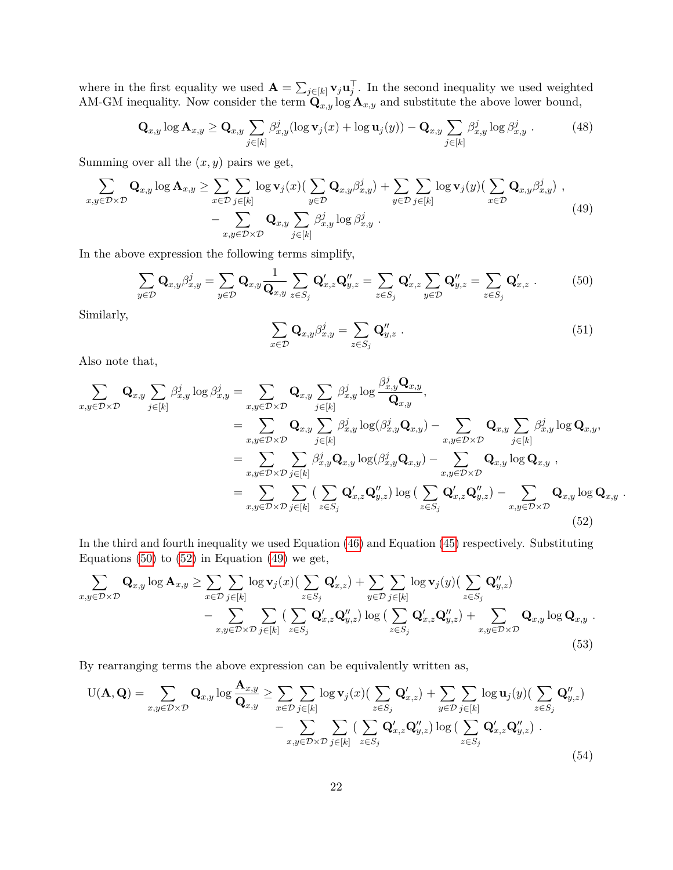where in the first equality we used  $\mathbf{A} = \sum_{j \in [k]} \mathbf{v}_j \mathbf{u}_j^\top$ . In the second inequality we used weighted AM-GM inequality. Now consider the term  $\mathbf{Q}_{x,y}$  log  $\mathbf{A}_{x,y}$  and substitute the above lower bound,

$$
\mathbf{Q}_{x,y}\log \mathbf{A}_{x,y} \ge \mathbf{Q}_{x,y} \sum_{j\in[k]} \beta_{x,y}^j (\log \mathbf{v}_j(x) + \log \mathbf{u}_j(y)) - \mathbf{Q}_{x,y} \sum_{j\in[k]} \beta_{x,y}^j \log \beta_{x,y}^j.
$$
(48)

Summing over all the  $(x, y)$  pairs we get,

<span id="page-22-2"></span>
$$
\sum_{x,y \in \mathcal{D} \times \mathcal{D}} \mathbf{Q}_{x,y} \log \mathbf{A}_{x,y} \ge \sum_{x \in \mathcal{D}} \sum_{j \in [k]} \log \mathbf{v}_j(x) \left( \sum_{y \in \mathcal{D}} \mathbf{Q}_{x,y} \beta_{x,y}^j \right) + \sum_{y \in \mathcal{D}} \sum_{j \in [k]} \log \mathbf{v}_j(y) \left( \sum_{x \in \mathcal{D}} \mathbf{Q}_{x,y} \beta_{x,y}^j \right),
$$
\n
$$
- \sum_{x,y \in \mathcal{D} \times \mathcal{D}} \mathbf{Q}_{x,y} \sum_{j \in [k]} \beta_{x,y}^j \log \beta_{x,y}^j.
$$
\n(49)

In the above expression the following terms simplify,

<span id="page-22-0"></span>
$$
\sum_{y \in \mathcal{D}} \mathbf{Q}_{x,y} \beta_{x,y}^j = \sum_{y \in \mathcal{D}} \mathbf{Q}_{x,y} \frac{1}{\mathbf{Q}_{x,y}} \sum_{z \in S_j} \mathbf{Q}_{x,z}' \mathbf{Q}_{y,z}'' = \sum_{z \in S_j} \mathbf{Q}_{x,z}' \sum_{y \in \mathcal{D}} \mathbf{Q}_{y,z}'' = \sum_{z \in S_j} \mathbf{Q}_{x,z}' .
$$
 (50)

Similarly,

$$
\sum_{x \in \mathcal{D}} \mathbf{Q}_{x,y} \beta_{x,y}^j = \sum_{z \in S_j} \mathbf{Q}_{y,z}'' \tag{51}
$$

Also note that,

<span id="page-22-1"></span>
$$
\sum_{x,y \in \mathcal{D} \times \mathcal{D}} \mathbf{Q}_{x,y} \sum_{j \in [k]} \beta_{x,y}^j \log \beta_{x,y}^j = \sum_{x,y \in \mathcal{D} \times \mathcal{D}} \mathbf{Q}_{x,y} \sum_{j \in [k]} \beta_{x,y}^j \log \frac{\beta_{x,y}^j \mathbf{Q}_{x,y}}{\mathbf{Q}_{x,y}},
$$
\n
$$
= \sum_{x,y \in \mathcal{D} \times \mathcal{D}} \mathbf{Q}_{x,y} \sum_{j \in [k]} \beta_{x,y}^j \log(\beta_{x,y}^j \mathbf{Q}_{x,y}) - \sum_{x,y \in \mathcal{D} \times \mathcal{D}} \mathbf{Q}_{x,y} \sum_{j \in [k]} \beta_{x,y}^j \log \mathbf{Q}_{x,y},
$$
\n
$$
= \sum_{x,y \in \mathcal{D} \times \mathcal{D}} \sum_{j \in [k]} \beta_{x,y}^j \mathbf{Q}_{x,y} \log(\beta_{x,y}^j \mathbf{Q}_{x,y}) - \sum_{x,y \in \mathcal{D} \times \mathcal{D}} \mathbf{Q}_{x,y} \log \mathbf{Q}_{x,y} ,
$$
\n
$$
= \sum_{x,y \in \mathcal{D} \times \mathcal{D}} \sum_{j \in [k]} \sum_{z \in S_j} \mathbf{Q}'_{x,z} \mathbf{Q}''_{y,z} \log(\sum_{z \in S_j} \mathbf{Q}'_{x,z} \mathbf{Q}''_{y,z}) - \sum_{x,y \in \mathcal{D} \times \mathcal{D}} \mathbf{Q}_{x,y} \log \mathbf{Q}_{x,y} .
$$
\n(52)

In the third and fourth inequality we used Equation [\(46\)](#page-21-3) and Equation [\(45\)](#page-21-4) respectively. Substituting Equations  $(50)$  to  $(52)$  in Equation  $(49)$  we get,

$$
\sum_{x,y \in \mathcal{D} \times \mathcal{D}} \mathbf{Q}_{x,y} \log \mathbf{A}_{x,y} \ge \sum_{x \in \mathcal{D}} \sum_{j \in [k]} \log \mathbf{v}_j(x) \left( \sum_{z \in S_j} \mathbf{Q}'_{x,z} \right) + \sum_{y \in \mathcal{D}} \sum_{j \in [k]} \log \mathbf{v}_j(y) \left( \sum_{z \in S_j} \mathbf{Q}''_{y,z} \right) \n- \sum_{x,y \in \mathcal{D} \times \mathcal{D}} \sum_{j \in [k]} \left( \sum_{z \in S_j} \mathbf{Q}'_{x,z} \mathbf{Q}''_{y,z} \right) \log \left( \sum_{z \in S_j} \mathbf{Q}'_{x,z} \mathbf{Q}''_{y,z} \right) + \sum_{x,y \in \mathcal{D} \times \mathcal{D}} \mathbf{Q}_{x,y} \log \mathbf{Q}_{x,y} .
$$
\n(53)

By rearranging terms the above expression can be equivalently written as,

<span id="page-22-3"></span>
$$
U(\mathbf{A}, \mathbf{Q}) = \sum_{x,y \in \mathcal{D} \times \mathcal{D}} \mathbf{Q}_{x,y} \log \frac{\mathbf{A}_{x,y}}{\mathbf{Q}_{x,y}} \ge \sum_{x \in \mathcal{D}} \sum_{j \in [k]} \log \mathbf{v}_j(x) \left( \sum_{z \in S_j} \mathbf{Q}'_{x,z} \right) + \sum_{y \in \mathcal{D}} \sum_{j \in [k]} \log \mathbf{u}_j(y) \left( \sum_{z \in S_j} \mathbf{Q}''_{y,z} \right) - \sum_{x,y \in \mathcal{D} \times \mathcal{D}} \sum_{j \in [k]} \sum_{z \in S_j} \left( \sum_{z \in S_j} \mathbf{Q}'_{x,z} \mathbf{Q}''_{y,z} \right) \log \left( \sum_{z \in S_j} \mathbf{Q}'_{x,z} \mathbf{Q}''_{y,z} \right).
$$
\n(54)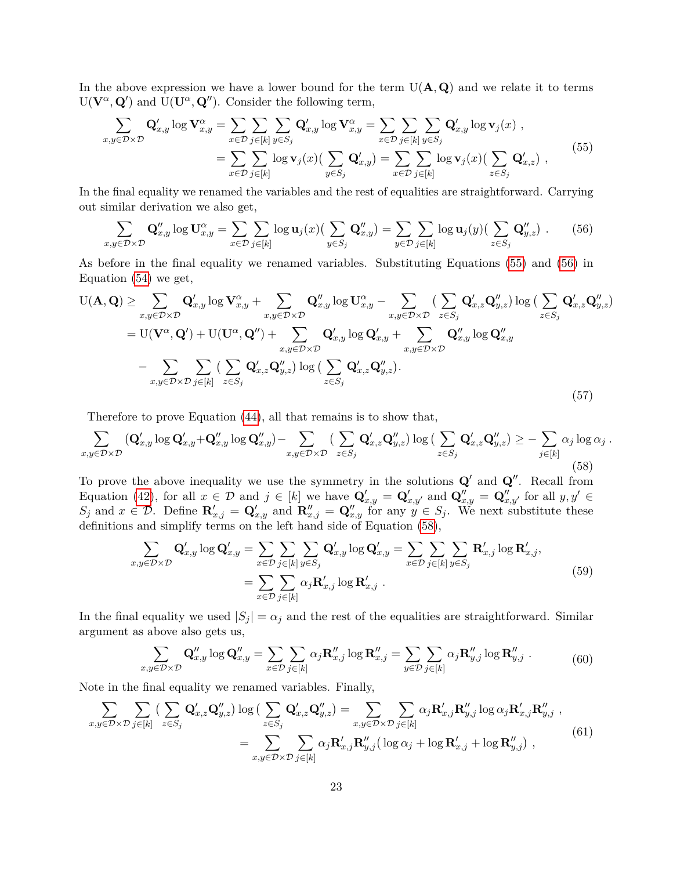In the above expression we have a lower bound for the term  $U(A, Q)$  and we relate it to terms  $U(V^{\alpha}, Q')$  and  $U(U^{\alpha}, Q'')$ . Consider the following term,

<span id="page-23-0"></span>
$$
\sum_{x,y \in \mathcal{D} \times \mathcal{D}} \mathbf{Q}'_{x,y} \log \mathbf{V}^{\alpha}_{x,y} = \sum_{x \in \mathcal{D}} \sum_{j \in [k]} \sum_{y \in S_j} \mathbf{Q}'_{x,y} \log \mathbf{V}^{\alpha}_{x,y} = \sum_{x \in \mathcal{D}} \sum_{j \in [k]} \sum_{y \in S_j} \mathbf{Q}'_{x,y} \log \mathbf{v}_j(x) ,
$$
\n
$$
= \sum_{x \in \mathcal{D}} \sum_{j \in [k]} \log \mathbf{v}_j(x) \Big( \sum_{y \in S_j} \mathbf{Q}'_{x,y} \Big) = \sum_{x \in \mathcal{D}} \sum_{j \in [k]} \log \mathbf{v}_j(x) \Big( \sum_{z \in S_j} \mathbf{Q}'_{x,z} \Big) ,
$$
\n
$$
(55)
$$

In the final equality we renamed the variables and the rest of equalities are straightforward. Carrying out similar derivation we also get,

<span id="page-23-1"></span>
$$
\sum_{x,y \in \mathcal{D} \times \mathcal{D}} \mathbf{Q}''_{x,y} \log \mathbf{U}^{\alpha}_{x,y} = \sum_{x \in \mathcal{D}} \sum_{j \in [k]} \log \mathbf{u}_j(x) \left( \sum_{y \in S_j} \mathbf{Q}''_{x,y} \right) = \sum_{y \in \mathcal{D}} \sum_{j \in [k]} \log \mathbf{u}_j(y) \left( \sum_{z \in S_j} \mathbf{Q}''_{y,z} \right). \tag{56}
$$

As before in the final equality we renamed variables. Substituting Equations [\(55\)](#page-23-0) and [\(56\)](#page-23-1) in Equation [\(54\)](#page-22-3) we get,

<span id="page-23-6"></span>
$$
U(\mathbf{A}, \mathbf{Q}) \geq \sum_{x,y \in \mathcal{D} \times \mathcal{D}} \mathbf{Q}'_{x,y} \log \mathbf{V}^{\alpha}_{x,y} + \sum_{x,y \in \mathcal{D} \times \mathcal{D}} \mathbf{Q}''_{x,y} \log \mathbf{U}^{\alpha}_{x,y} - \sum_{x,y \in \mathcal{D} \times \mathcal{D}} \left( \sum_{z \in S_j} \mathbf{Q}'_{x,z} \mathbf{Q}''_{y,z} \right) \log \left( \sum_{z \in S_j} \mathbf{Q}'_{x,z} \mathbf{Q}''_{y,z} \right)
$$
  
\n
$$
= U(\mathbf{V}^{\alpha}, \mathbf{Q}') + U(\mathbf{U}^{\alpha}, \mathbf{Q}'') + \sum_{x,y \in \mathcal{D} \times \mathcal{D}} \mathbf{Q}'_{x,y} \log \mathbf{Q}'_{x,y} + \sum_{x,y \in \mathcal{D} \times \mathcal{D}} \mathbf{Q}''_{x,y} \log \mathbf{Q}''_{x,y}
$$
  
\n
$$
- \sum_{x,y \in \mathcal{D} \times \mathcal{D}} \sum_{j \in [k]} \left( \sum_{z \in S_j} \mathbf{Q}'_{x,z} \mathbf{Q}''_{y,z} \right) \log \left( \sum_{z \in S_j} \mathbf{Q}'_{x,z} \mathbf{Q}''_{y,z} \right).
$$
  
\n(57)

Therefore to prove Equation [\(44\)](#page-21-2), all that remains is to show that,

<span id="page-23-2"></span>
$$
\sum_{x,y \in \mathcal{D} \times \mathcal{D}} (\mathbf{Q}'_{x,y} \log \mathbf{Q}'_{x,y} + \mathbf{Q}''_{x,y} \log \mathbf{Q}''_{x,y}) - \sum_{x,y \in \mathcal{D} \times \mathcal{D}} (\sum_{z \in S_j} \mathbf{Q}'_{x,z} \mathbf{Q}''_{y,z}) \log (\sum_{z \in S_j} \mathbf{Q}'_{x,z} \mathbf{Q}''_{y,z}) \ge - \sum_{j \in [k]} \alpha_j \log \alpha_j.
$$
\n
$$
(58)
$$

To prove the above inequality we use the symmetry in the solutions  $Q'$  and  $Q''$ . Recall from Equation [\(42\)](#page-21-5), for all  $x \in \mathcal{D}$  and  $j \in [k]$  we have  $\mathbf{Q}'_{x,y} = \mathbf{Q}'_{x,y'}$  and  $\mathbf{Q}''_{x,y} = \mathbf{Q}''_{x,y'}$  for all  $y, y' \in \mathcal{D}$  $S_j$  and  $x \in \mathcal{D}$ . Define  $\mathbf{R}_{x,j}' = \mathbf{Q}_{x,y}'$  and  $\mathbf{R}_{x,j}'' = \mathbf{Q}_{x,y}''$  for any  $y \in S_j$ . We next substitute these definitions and simplify terms on the left hand side of Equation [\(58\)](#page-23-2),

$$
\sum_{x,y \in \mathcal{D} \times \mathcal{D}} \mathbf{Q}'_{x,y} \log \mathbf{Q}'_{x,y} = \sum_{x \in \mathcal{D}} \sum_{j \in [k]} \sum_{y \in S_j} \mathbf{Q}'_{x,y} \log \mathbf{Q}'_{x,y} = \sum_{x \in \mathcal{D}} \sum_{j \in [k]} \sum_{y \in S_j} \mathbf{R}'_{x,j} \log \mathbf{R}'_{x,j},
$$
\n
$$
= \sum_{x \in \mathcal{D}} \sum_{j \in [k]} \alpha_j \mathbf{R}'_{x,j} \log \mathbf{R}'_{x,j} .
$$
\n(59)

<span id="page-23-4"></span>In the final equality we used  $|S_j| = \alpha_j$  and the rest of the equalities are straightforward. Similar argument as above also gets us,

$$
\sum_{x,y \in \mathcal{D} \times \mathcal{D}} \mathbf{Q}''_{x,y} \log \mathbf{Q}''_{x,y} = \sum_{x \in \mathcal{D}} \sum_{j \in [k]} \alpha_j \mathbf{R}''_{x,j} \log \mathbf{R}''_{x,j} = \sum_{y \in \mathcal{D}} \sum_{j \in [k]} \alpha_j \mathbf{R}''_{y,j} \log \mathbf{R}''_{y,j}.
$$
 (60)

<span id="page-23-5"></span>Note in the final equality we renamed variables. Finally,

<span id="page-23-3"></span>
$$
\sum_{x,y \in \mathcal{D} \times \mathcal{D}} \sum_{j \in [k]} \left( \sum_{z \in S_j} \mathbf{Q}'_{x,z} \mathbf{Q}''_{y,z} \right) \log \left( \sum_{z \in S_j} \mathbf{Q}'_{x,z} \mathbf{Q}''_{y,z} \right) = \sum_{x,y \in \mathcal{D} \times \mathcal{D}} \sum_{j \in [k]} \alpha_j \mathbf{R}'_{x,j} \mathbf{R}''_{y,j} \log \alpha_j \mathbf{R}'_{x,j} \mathbf{R}''_{y,j} ,
$$
\n
$$
= \sum_{x,y \in \mathcal{D} \times \mathcal{D}} \sum_{j \in [k]} \alpha_j \mathbf{R}'_{x,j} \mathbf{R}''_{y,j} \left( \log \alpha_j + \log \mathbf{R}'_{x,j} + \log \mathbf{R}''_{y,j} \right) ,
$$
\n(61)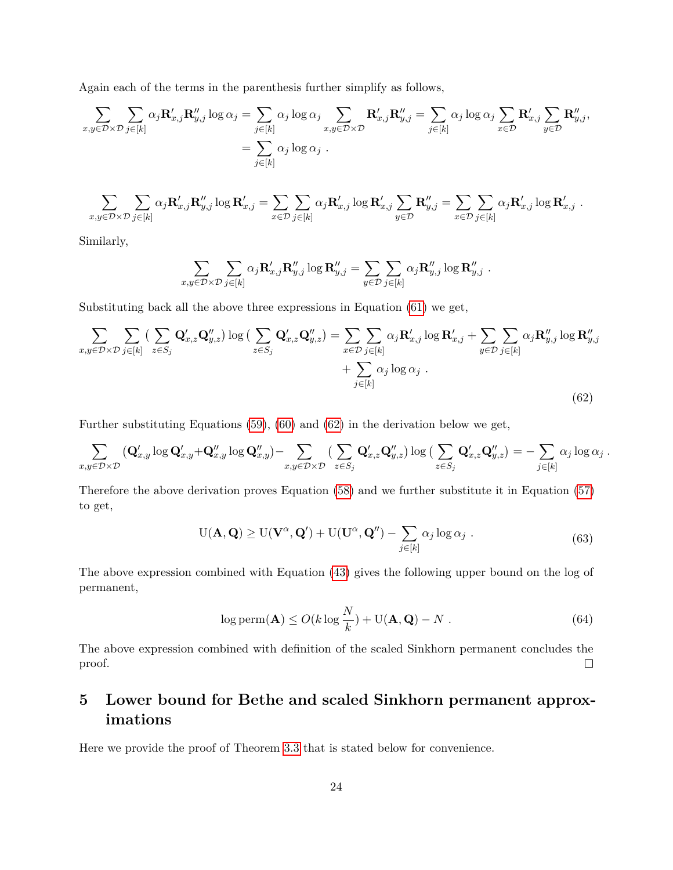Again each of the terms in the parenthesis further simplify as follows,

$$
\sum_{x,y \in \mathcal{D} \times \mathcal{D}} \sum_{j \in [k]} \alpha_j \mathbf{R}'_{x,j} \mathbf{R}''_{y,j} \log \alpha_j = \sum_{j \in [k]} \alpha_j \log \alpha_j \sum_{x,y \in \mathcal{D} \times \mathcal{D}} \mathbf{R}'_{x,j} \mathbf{R}''_{y,j} = \sum_{j \in [k]} \alpha_j \log \alpha_j \sum_{x \in \mathcal{D}} \mathbf{R}'_{x,j} \sum_{y \in \mathcal{D}} \mathbf{R}''_{y,j},
$$

$$
= \sum_{j \in [k]} \alpha_j \log \alpha_j.
$$

$$
\sum_{x,y\in\mathcal{D}\times\mathcal{D}}\sum_{j\in[k]}\alpha_j\mathbf{R}'_{x,j}\mathbf{R}''_{y,j}\log\mathbf{R}'_{x,j} = \sum_{x\in\mathcal{D}}\sum_{j\in[k]}\alpha_j\mathbf{R}'_{x,j}\log\mathbf{R}'_{x,j}\sum_{y\in\mathcal{D}}\mathbf{R}''_{y,j} = \sum_{x\in\mathcal{D}}\sum_{j\in[k]}\alpha_j\mathbf{R}'_{x,j}\log\mathbf{R}'_{x,j}.
$$

Similarly,

$$
\sum_{x,y\in\mathcal{D}\times\mathcal{D}}\sum_{j\in[k]}\alpha_j\mathbf{R}'_{x,j}\mathbf{R}''_{y,j}\log\mathbf{R}''_{y,j}=\sum_{y\in\mathcal{D}}\sum_{j\in[k]}\alpha_j\mathbf{R}''_{y,j}\log\mathbf{R}''_{y,j}.
$$

Substituting back all the above three expressions in Equation [\(61\)](#page-23-3) we get,

<span id="page-24-1"></span>
$$
\sum_{x,y \in \mathcal{D} \times \mathcal{D}} \sum_{j \in [k]} \left( \sum_{z \in S_j} \mathbf{Q}'_{x,z} \mathbf{Q}''_{y,z} \right) \log \left( \sum_{z \in S_j} \mathbf{Q}'_{x,z} \mathbf{Q}''_{y,z} \right) = \sum_{x \in \mathcal{D}} \sum_{j \in [k]} \alpha_j \mathbf{R}'_{x,j} \log \mathbf{R}'_{x,j} + \sum_{y \in \mathcal{D}} \sum_{j \in [k]} \alpha_j \mathbf{R}''_{y,j} \log \mathbf{R}''_{y,j} + \sum_{j \in [k]} \alpha_j \log \alpha_j + \sum_{j \in [k]} \alpha_j \log \alpha_j \right).
$$
\n(62)

Further substituting Equations [\(59\)](#page-23-4), [\(60\)](#page-23-5) and [\(62\)](#page-24-1) in the derivation below we get,

$$
\sum_{x,y\in\mathcal{D}\times\mathcal{D}}\left(\mathbf{Q}'_{x,y}\log\mathbf{Q}'_{x,y}+\mathbf{Q}''_{x,y}\log\mathbf{Q}''_{x,y}\right)-\sum_{x,y\in\mathcal{D}\times\mathcal{D}}\left(\sum_{z\in S_j}\mathbf{Q}'_{x,z}\mathbf{Q}''_{y,z}\right)\log\left(\sum_{z\in S_j}\mathbf{Q}'_{x,z}\mathbf{Q}''_{y,z}\right)=-\sum_{j\in[k]}\alpha_j\log\alpha_j.
$$

Therefore the above derivation proves Equation [\(58\)](#page-23-2) and we further substitute it in Equation [\(57\)](#page-23-6) to get,

$$
U(\mathbf{A}, \mathbf{Q}) \ge U(\mathbf{V}^{\alpha}, \mathbf{Q}') + U(\mathbf{U}^{\alpha}, \mathbf{Q}'') - \sum_{j \in [k]} \alpha_j \log \alpha_j.
$$
 (63)

The above expression combined with Equation [\(43\)](#page-21-1) gives the following upper bound on the log of permanent,

$$
\log \text{perm}(\mathbf{A}) \le O(k \log \frac{N}{k}) + \text{U}(\mathbf{A}, \mathbf{Q}) - N \tag{64}
$$

The above expression combined with definition of the scaled Sinkhorn permanent concludes the proof.  $\Box$ 

## <span id="page-24-0"></span>**5 Lower bound for Bethe and scaled Sinkhorn permanent approximations**

Here we provide the proof of Theorem [3.3](#page-9-2) that is stated below for convenience.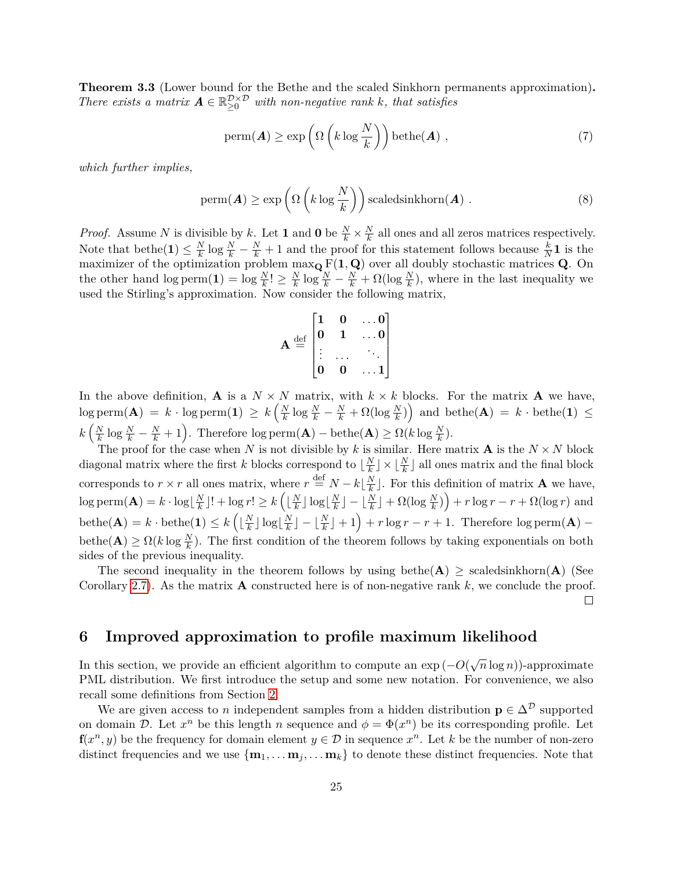**Theorem 3.3** (Lower bound for the Bethe and the scaled Sinkhorn permanents approximation)**.** *There exists a matrix*  $\mathbf{A} \in \mathbb{R}_{\geq 0}^{\mathcal{D} \times \mathcal{D}}$  *with non-negative rank k, that satisfies* 

$$
\text{perm}(\boldsymbol{A}) \ge \exp\left(\Omega\left(k\log\frac{N}{k}\right)\right)\text{bethe}(\boldsymbol{A}),\tag{7}
$$

*which further implies,*

$$
\text{perm}(\boldsymbol{A}) \ge \exp\left(\Omega\left(k\log\frac{N}{k}\right)\right) \text{scaledsinkhorn}(\boldsymbol{A})\ .
$$
 (8)

*Proof.* Assume *N* is divisible by *k*. Let **1** and **0** be  $\frac{N}{k} \times \frac{N}{k}$  $\frac{N}{k}$  all ones and all zeros matrices respectively. Note that bethe(1)  $\leq \frac{N}{k}$  $\frac{N}{k}$  log  $\frac{N}{k} - \frac{N}{k} + 1$  and the proof for this statement follows because  $\frac{k}{N}$ **1** is the maximizer of the optimization problem max**<sup>Q</sup>** F(**1***,* **Q**) over all doubly stochastic matrices **Q**. On the other hand  $\log \text{perm}(\mathbf{1}) = \log \frac{N}{k}! \geq \frac{N}{k}$  $\frac{N}{k} \log \frac{N}{k} - \frac{N}{k} + \Omega(\log \frac{N}{k})$ , where in the last inequality we used the Stirling's approximation. Now consider the following matrix,

$$
\mathbf{A} \stackrel{\text{def}}{=} \begin{bmatrix} 1 & 0 & \dots & 0 \\ 0 & 1 & \dots & 0 \\ \vdots & \dots & \ddots & \vdots \\ 0 & 0 & \dots & 1 \end{bmatrix}
$$

In the above definition, **A** is a  $N \times N$  matrix, with  $k \times k$  blocks. For the matrix **A** we have,  $\log \text{perm}(\mathbf{A}) = k \cdot \log \text{perm}(\mathbf{1}) \geq k \left( \frac{N}{k} \right)$  $\frac{N}{k}$  log  $\frac{N}{k} - \frac{N}{k} + \Omega(\log \frac{N}{k})$  and bethe(**A**) =  $k \cdot \text{bethe(1)} \leq$  $k\left(\frac{N}{k}\right)$  $\frac{N}{k} \log \frac{N}{k} - \frac{N}{k} + 1$ . Therefore log perm $(A)$  – bethe $(A) \ge \Omega(k \log \frac{N}{k})$ .

The proof for the case when *N* is not divisible by *k* is similar. Here matrix **A** is the  $N \times N$  block diagonal matrix where the first *k* blocks correspond to  $\frac{N}{k}$  $\lfloor \frac{N}{k} \rfloor \times \lfloor \frac{N}{k} \rfloor$  all ones matrix and the final block corresponds to  $r \times r$  all ones matrix, where  $r \stackrel{\text{def}}{=} N - k \vert \frac{N}{k}$  $\frac{N}{k}$ . For this definition of matrix **A** we have,  $\log \text{perm}(\mathbf{A}) = k \cdot \log \left| \frac{N}{k} \right|$  $\frac{N}{k}$ ]! + log *r*!  $\geq k \left( \lfloor \frac{N}{k} \rfloor \right)$  $\frac{N}{k}$ ]  $\log\left[\frac{N}{k}\right]$  $\frac{N}{k}$ ] –  $\lfloor \frac{N}{k} \rfloor$  +  $\Omega(\log \frac{N}{k})$  +  $r \log r - r + \Omega(\log r)$  and  $\text{beta}(\mathbf{A}) = k \cdot \text{beta}(\mathbf{1}) \leq k \left( \frac{N}{k} \right)$  $\frac{N}{k}$ ]  $\log\left[\frac{N}{k}\right]$  $\frac{N}{k}$ ] –  $\lfloor \frac{N}{k} \rfloor + 1$  + *r* log *r* – *r* + 1. Therefore log perm(**A**) –  $\text{beta}(\mathbf{A}) \geq \Omega(k \log \frac{N}{k})$ . The first condition of the theorem follows by taking exponentials on both sides of the previous inequality.

The second inequality in the theorem follows by using bethe( $\mathbf{A}$ ) > scaledsinkhorn( $\mathbf{A}$ ) (See Corollary [2.7\)](#page-6-1). As the matrix  $\bf{A}$  constructed here is of non-negative rank  $k$ , we conclude the proof.  $\Box$ 

## <span id="page-25-0"></span>**6 Improved approximation to profile maximum likelihood**

In this section, we provide an efficient algorithm to compute an exp (−*O*( √ *n* log *n*))-approximate PML distribution. We first introduce the setup and some new notation. For convenience, we also recall some definitions from Section [2.](#page-5-0)

We are given access to *n* independent samples from a hidden distribution  $\mathbf{p} \in \Delta^{\mathcal{D}}$  supported on domain D. Let  $x^n$  be this length *n* sequence and  $\phi = \Phi(x^n)$  be its corresponding profile. Let **f**( $x^n, y$ ) be the frequency for domain element  $y \in \mathcal{D}$  in sequence  $x^n$ . Let k be the number of non-zero distinct frequencies and we use  ${\bf{m}}_1, \ldots, {\bf{m}}_j, \ldots, {\bf{m}}_k$  to denote these distinct frequencies. Note that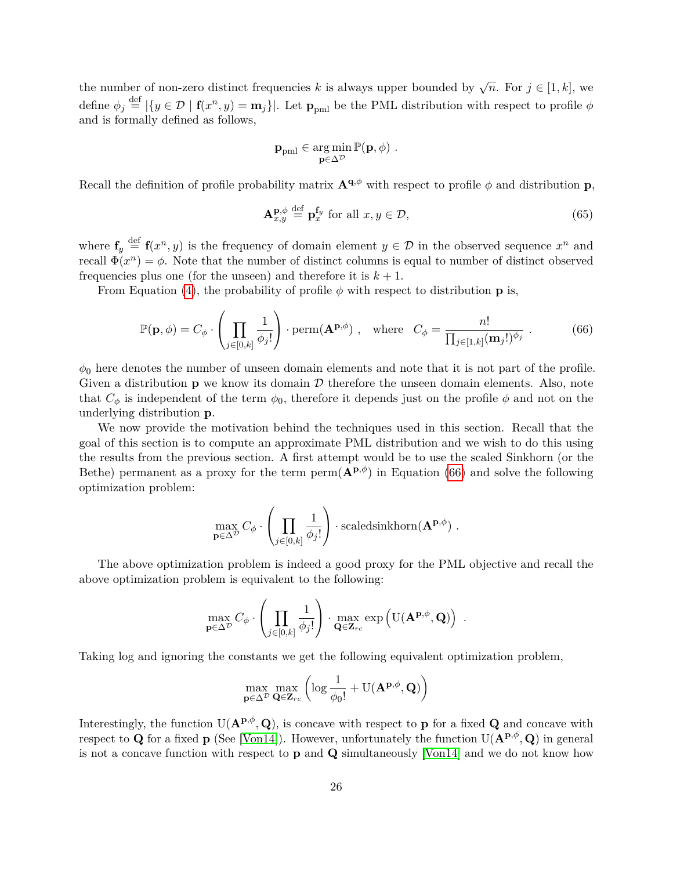the number of non-zero distinct frequencies *k* is always upper bounded by  $\sqrt{n}$ . For  $j \in [1, k]$ , we define  $\phi_j \stackrel{\text{def}}{=} |\{y \in \mathcal{D} \mid \mathbf{f}(x^n, y) = \mathbf{m}_j\}|$ . Let  $\mathbf{p}_{pml}$  be the PML distribution with respect to profile  $\phi$ and is formally defined as follows,

$$
\mathbf{p}_{pml} \in \argmin_{\mathbf{p} \in \Delta^{\mathcal{D}}} \mathbb{P}(\mathbf{p}, \phi) \ .
$$

Recall the definition of profile probability matrix  $\mathbf{A}^{\mathbf{q},\phi}$  with respect to profile  $\phi$  and distribution **p**,

<span id="page-26-1"></span>
$$
\mathbf{A}_{x,y}^{\mathbf{p},\phi} \stackrel{\text{def}}{=} \mathbf{p}_x^{\mathbf{f}_y} \text{ for all } x, y \in \mathcal{D},\tag{65}
$$

where  $f_y \stackrel{\text{def}}{=} f(x^n, y)$  is the frequency of domain element  $y \in \mathcal{D}$  in the observed sequence  $x^n$  and recall  $\Phi(x^n) = \phi$ . Note that the number of distinct columns is equal to number of distinct observed frequencies plus one (for the unseen) and therefore it is  $k + 1$ .

From Equation [\(4\)](#page-7-2), the probability of profile  $\phi$  with respect to distribution **p** is,

<span id="page-26-0"></span>
$$
\mathbb{P}(\mathbf{p},\phi) = C_{\phi} \cdot \left(\prod_{j \in [0,k]} \frac{1}{\phi_j!}\right) \cdot \text{perm}(\mathbf{A}^{\mathbf{p},\phi}) \ , \quad \text{where} \quad C_{\phi} = \frac{n!}{\prod_{j \in [1,k]} (\mathbf{m}_j!)^{\phi_j}} \ . \tag{66}
$$

 $\phi_0$  here denotes the number of unseen domain elements and note that it is not part of the profile. Given a distribution  $\bf{p}$  we know its domain  $\mathcal D$  therefore the unseen domain elements. Also, note that  $C_{\phi}$  is independent of the term  $\phi_0$ , therefore it depends just on the profile  $\phi$  and not on the underlying distribution **p**.

We now provide the motivation behind the techniques used in this section. Recall that the goal of this section is to compute an approximate PML distribution and we wish to do this using the results from the previous section. A first attempt would be to use the scaled Sinkhorn (or the Bethe) permanent as a proxy for the term perm $(\mathbf{A}^{p,\phi})$  in Equation [\(66\)](#page-26-0) and solve the following optimization problem:

$$
\max_{\mathbf{p}\in\Delta^{\mathcal{D}}} C_{\phi} \cdot \left(\prod_{j\in[0,k]} \frac{1}{\phi_j!}\right) \cdot \text{scaledsinkhorn}(\mathbf{A}^{\mathbf{p},\phi}) \ .
$$

The above optimization problem is indeed a good proxy for the PML objective and recall the above optimization problem is equivalent to the following:

$$
\max_{\mathbf{p}\in\Delta^{\mathcal{D}}} C_{\phi}\cdot \left(\prod_{j\in[0,k]} \frac{1}{\phi_j!}\right)\cdot \max_{\mathbf{Q}\in \mathbf{Z}_{rc}} \exp\left(\mathrm{U}(\mathbf{A}^{\mathbf{p},\phi},\mathbf{Q})\right) \ .
$$

Taking log and ignoring the constants we get the following equivalent optimization problem,

$$
\max_{\mathbf{p}\in\Delta^{\mathcal{D}}} \max_{\mathbf{Q}\in \mathbf{Z}_{rc}} \left( \log \frac{1}{\phi_0!} + \mathrm{U}(\mathbf{A}^{\mathbf{p},\phi}, \mathbf{Q}) \right)
$$

Interestingly, the function  $U(\mathbf{A}^{\mathbf{p},\phi},\mathbf{Q})$ , is concave with respect to **p** for a fixed **Q** and concave with respect to **Q** for a fixed **p** (See [\[Von14\]](#page-57-6)). However, unfortunately the function  $U(A^{p,\phi}, Q)$  in general is not a concave function with respect to **p** and **Q** simultaneously [\[Von14\]](#page-57-6) and we do not know how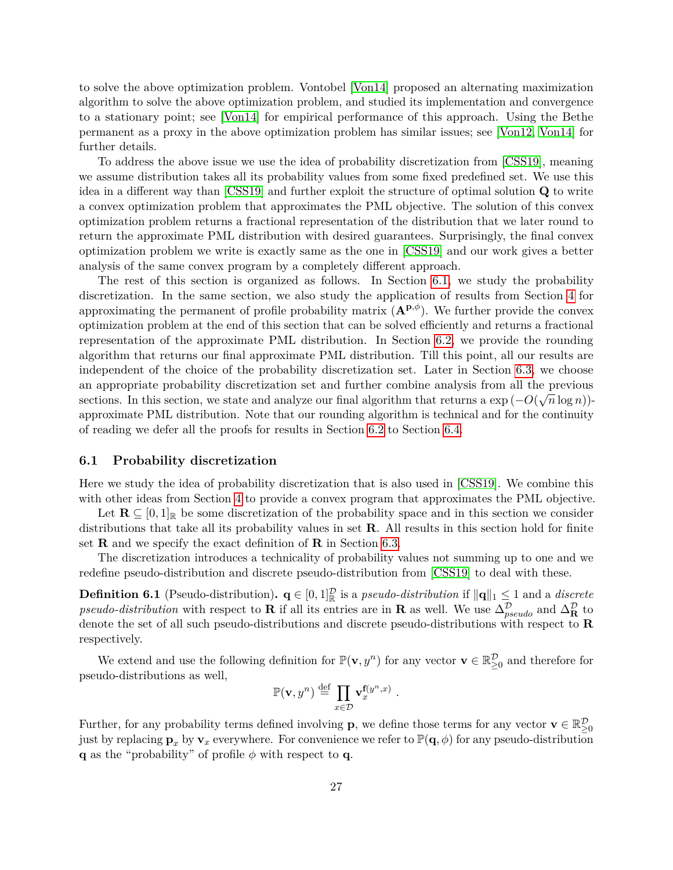to solve the above optimization problem. Vontobel [\[Von14\]](#page-57-6) proposed an alternating maximization algorithm to solve the above optimization problem, and studied its implementation and convergence to a stationary point; see [\[Von14\]](#page-57-6) for empirical performance of this approach. Using the Bethe permanent as a proxy in the above optimization problem has similar issues; see [\[Von12,](#page-56-7) [Von14\]](#page-57-6) for further details.

To address the above issue we use the idea of probability discretization from [\[CSS19\]](#page-54-7), meaning we assume distribution takes all its probability values from some fixed predefined set. We use this idea in a different way than [\[CSS19\]](#page-54-7) and further exploit the structure of optimal solution **Q** to write a convex optimization problem that approximates the PML objective. The solution of this convex optimization problem returns a fractional representation of the distribution that we later round to return the approximate PML distribution with desired guarantees. Surprisingly, the final convex optimization problem we write is exactly same as the one in [\[CSS19\]](#page-54-7) and our work gives a better analysis of the same convex program by a completely different approach.

The rest of this section is organized as follows. In Section [6.1,](#page-27-0) we study the probability discretization. In the same section, we also study the application of results from Section [4](#page-12-0) for approximating the permanent of profile probability matrix  $(\mathbf{A}^{\mathbf{p},\phi})$ . We further provide the convex optimization problem at the end of this section that can be solved efficiently and returns a fractional representation of the approximate PML distribution. In Section [6.2,](#page-34-0) we provide the rounding algorithm that returns our final approximate PML distribution. Till this point, all our results are independent of the choice of the probability discretization set. Later in Section [6.3,](#page-39-0) we choose an appropriate probability discretization set and further combine analysis from all the previous  $\left( \begin{array}{c} \mathcal{O}(\sqrt{2}) \end{array} \right)$ sections. In this section, we state and analyze our final algorithm that returns a  $\exp(-O(\sqrt{n}\log n))$ approximate PML distribution. Note that our rounding algorithm is technical and for the continuity of reading we defer all the proofs for results in Section [6.2](#page-34-0) to Section [6.4.](#page-41-0)

#### <span id="page-27-0"></span>**6.1 Probability discretization**

Here we study the idea of probability discretization that is also used in [\[CSS19\]](#page-54-7). We combine this with other ideas from Section [4](#page-12-0) to provide a convex program that approximates the PML objective.

Let  $\mathbf{R} \subseteq [0,1]_{\mathbb{R}}$  be some discretization of the probability space and in this section we consider distributions that take all its probability values in set **R**. All results in this section hold for finite set **R** and we specify the exact definition of **R** in Section [6.3.](#page-39-0)

The discretization introduces a technicality of probability values not summing up to one and we redefine pseudo-distribution and discrete pseudo-distribution from [\[CSS19\]](#page-54-7) to deal with these.

**Definition 6.1** (Pseudo-distribution).  $\mathbf{q} \in [0,1]_{\mathbb{R}}^{D}$  is a *pseudo-distribution* if  $\|\mathbf{q}\|_{1} \leq 1$  and a *discrete pseudo-distribution* with respect to **R** if all its entries are in **R** as well. We use  $\Delta_{pseudo}^{\mathcal{D}}$  and  $\Delta_{\mathbf{R}}^{\mathcal{D}}$  to denote the set of all such pseudo-distributions and discrete pseudo-distributions with respect to **R** respectively.

We extend and use the following definition for  $\mathbb{P}(\mathbf{v}, y^n)$  for any vector  $\mathbf{v} \in \mathbb{R}_{\geq 0}^{\mathcal{D}}$  and therefore for pseudo-distributions as well,

$$
\mathbb{P}(\mathbf{v},y^n) \stackrel{\text{def}}{=} \prod_{x \in \mathcal{D}} \mathbf{v}_x^{\mathbf{f}(y^n,x)}.
$$

Further, for any probability terms defined involving **p**, we define those terms for any vector **v**  $\in \mathbb{R}^{\mathcal{D}}_{\geq 0}$ just by replacing  $\mathbf{p}_x$  by  $\mathbf{v}_x$  everywhere. For convenience we refer to  $\mathbb{P}(\mathbf{q},\phi)$  for any pseudo-distribution **q** as the "probability" of profile  $\phi$  with respect to **q**.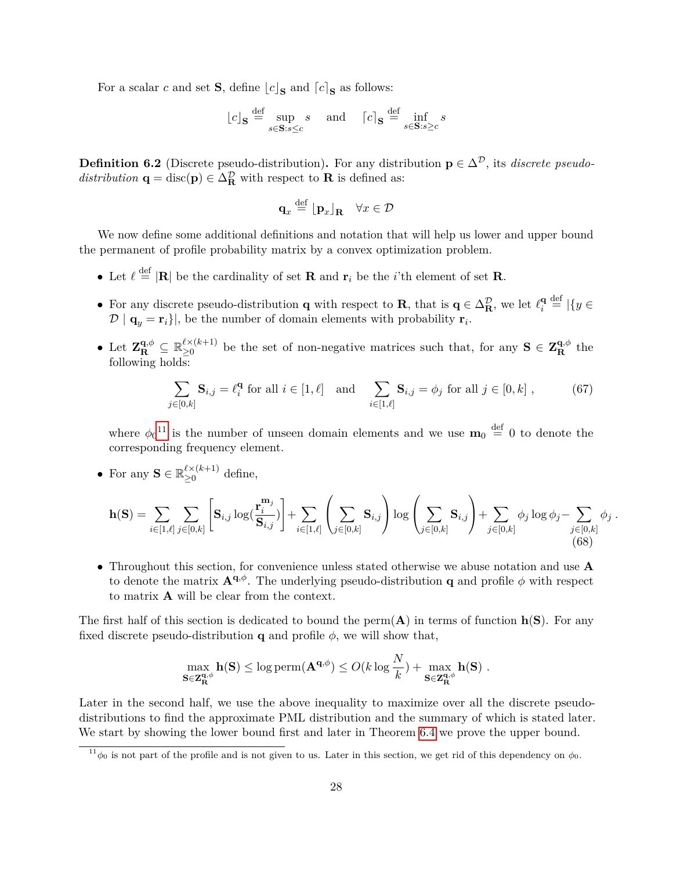For a scalar *c* and set **S**, define  $\lfloor c \rfloor_S$  and  $\lceil c \rceil_S$  as follows:

$$
\lfloor c \rfloor_{\mathbf{S}} \stackrel{\text{def}}{=} \sup_{s \in \mathbf{S}: s \le c} s \quad \text{and} \quad \lceil c \rceil_{\mathbf{S}} \stackrel{\text{def}}{=} \inf_{s \in \mathbf{S}: s \ge c} s
$$

**Definition 6.2** (Discrete pseudo-distribution). For any distribution  $p \in \Delta^{\mathcal{D}}$ , its *discrete pseudo*distribution **q** = disc(**p**)  $\in \Delta_{\mathbf{R}}^{\mathcal{D}}$  with respect to **R** is defined as:

$$
\mathbf{q}_x \stackrel{\text{def}}{=} \lfloor \mathbf{p}_x \rfloor_\mathbf{R} \quad \forall x \in \mathcal{D}
$$

We now define some additional definitions and notation that will help us lower and upper bound the permanent of profile probability matrix by a convex optimization problem.

- Let  $\ell \stackrel{\text{def}}{=} |\mathbf{R}|$  be the cardinality of set **R** and  $\mathbf{r}_i$  be the *i*'th element of set **R**.
- For any discrete pseudo-distribution **q** with respect to **R**, that is  $\mathbf{q} \in \Delta_{\mathbf{R}}^{\mathcal{D}}$ , we let  $\ell_i^{\mathbf{q}}$  $\frac{\mathbf{q}}{i} \stackrel{\text{def}}{=} |\{y \in$  $\mathcal{D} \mid \mathbf{q}_y = \mathbf{r}_i\,$ , be the number of domain elements with probability  $\mathbf{r}_i$ .
- Let  $\mathbf{Z}_{\mathbf{R}}^{\mathbf{q},\phi} \subseteq \mathbb{R}_{\geq 0}^{\ell \times (k+1)}$  $\sum_{k=0}^{\ell} (k+1)$  be the set of non-negative matrices such that, for any  $S \in \mathbb{Z}_{R}^{q,\phi}$  the following holds:

$$
\sum_{j \in [0,k]} \mathbf{S}_{i,j} = \ell_i^{\mathbf{q}} \text{ for all } i \in [1,\ell] \quad \text{and} \quad \sum_{i \in [1,\ell]} \mathbf{S}_{i,j} = \phi_j \text{ for all } j \in [0,k] \tag{67}
$$

where  $\phi_0$ <sup>[11](#page-28-0)</sup> is the number of unseen domain elements and we use  $\mathbf{m}_0 \stackrel{\text{def}}{=} 0$  to denote the corresponding frequency element.

• For any  $\mathbf{S} \in \mathbb{R}_{\geq 0}^{\ell \times (k+1)}$  $\geq 0$ <sup>cx(k+1)</sup> define,

$$
\mathbf{h}(\mathbf{S}) = \sum_{i \in [1,\ell]} \sum_{j \in [0,k]} \left[ \mathbf{S}_{i,j} \log(\frac{\mathbf{r}_i^{\mathbf{m}_j}}{\mathbf{S}_{i,j}}) \right] + \sum_{i \in [1,\ell]} \left( \sum_{j \in [0,k]} \mathbf{S}_{i,j} \right) \log \left( \sum_{j \in [0,k]} \mathbf{S}_{i,j} \right) + \sum_{j \in [0,k]} \phi_j \log \phi_j - \sum_{j \in [0,k]} \phi_j . \tag{68}
$$

• Throughout this section, for convenience unless stated otherwise we abuse notation and use **A** to denote the matrix  $\mathbf{A}^{\mathbf{q},\phi}$ . The underlying pseudo-distribution **q** and profile  $\phi$  with respect to matrix **A** will be clear from the context.

The first half of this section is dedicated to bound the perm $(A)$  in terms of function  $h(S)$ . For any fixed discrete pseudo-distribution **q** and profile  $\phi$ , we will show that,

$$
\max_{\mathbf{S}\in \mathbf{Z}_{\mathbf{R}}^{\mathbf{q},\phi}} \mathbf{h}(\mathbf{S}) \le \log \mathrm{perm}(\mathbf{A}^{\mathbf{q},\phi}) \le O(k \log \frac{N}{k}) + \max_{\mathbf{S}\in \mathbf{Z}_{\mathbf{R}}^{\mathbf{q},\phi}} \mathbf{h}(\mathbf{S}) .
$$

Later in the second half, we use the above inequality to maximize over all the discrete pseudodistributions to find the approximate PML distribution and the summary of which is stated later. We start by showing the lower bound first and later in Theorem [6.4](#page-30-0) we prove the upper bound.

<span id="page-28-1"></span><span id="page-28-0"></span> $11\phi_0$  is not part of the profile and is not given to us. Later in this section, we get rid of this dependency on  $\phi_0$ .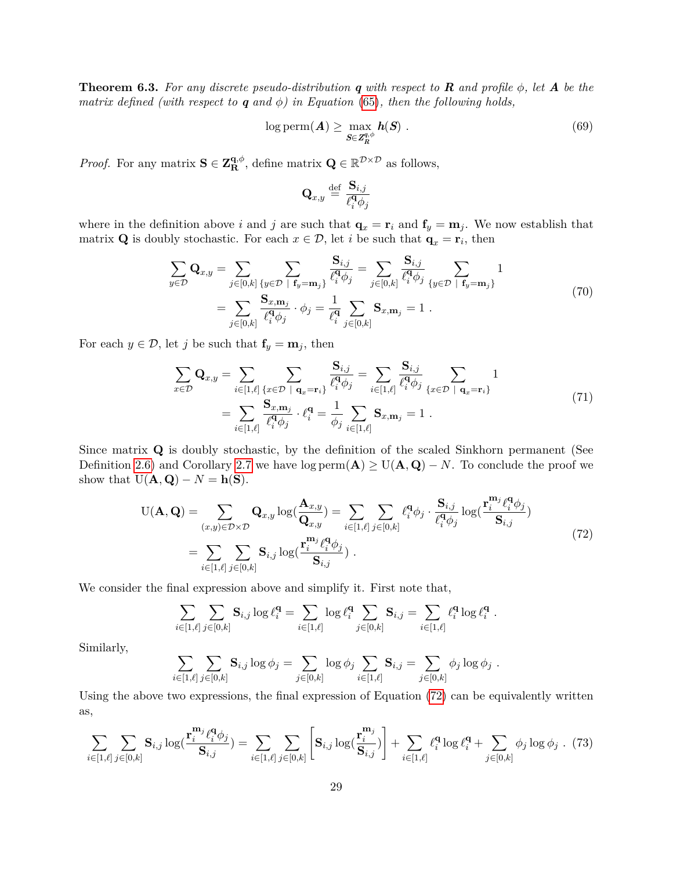**Theorem 6.3.** For any discrete pseudo-distribution q with respect to  $\bf{R}$  and profile  $\phi$ , let  $\bf{A}$  be the *matrix defined (with respect to*  $q$  *and*  $\phi$ ) *in Equation* [\(65\)](#page-26-1)*, then the following holds,* 

$$
\log \mathrm{perm}(\boldsymbol{A}) \ge \max_{\boldsymbol{S} \in \mathbf{Z}^{q,\phi}_{R}} \boldsymbol{h}(\boldsymbol{S}) . \tag{69}
$$

*Proof.* For any matrix  $S \in \mathbb{Z}_{R}^{\mathbf{q}, \phi}$ , define matrix  $\mathbf{Q} \in \mathbb{R}^{\mathcal{D} \times \mathcal{D}}$  as follows,

$$
\mathbf{Q}_{x,y} \stackrel{\text{def}}{=} \frac{\mathbf{S}_{i,j}}{\ell_i^{\mathbf{q}}\phi_j}
$$

where in the definition above *i* and *j* are such that  $\mathbf{q}_x = \mathbf{r}_i$  and  $\mathbf{f}_y = \mathbf{m}_j$ . We now establish that matrix **Q** is doubly stochastic. For each  $x \in \mathcal{D}$ , let *i* be such that  $\mathbf{q}_x = \mathbf{r}_i$ , then

$$
\sum_{y \in \mathcal{D}} \mathbf{Q}_{x,y} = \sum_{j \in [0,k]} \sum_{\{y \in \mathcal{D} \mid \mathbf{f}_y = \mathbf{m}_j\}} \frac{\mathbf{S}_{i,j}}{\ell_i^q \phi_j} = \sum_{j \in [0,k]} \frac{\mathbf{S}_{i,j}}{\ell_i^q \phi_j} \sum_{\{y \in \mathcal{D} \mid \mathbf{f}_y = \mathbf{m}_j\}} 1
$$
\n
$$
= \sum_{j \in [0,k]} \frac{\mathbf{S}_{x,\mathbf{m}_j}}{\ell_i^q \phi_j} \cdot \phi_j = \frac{1}{\ell_i^q} \sum_{j \in [0,k]} \mathbf{S}_{x,\mathbf{m}_j} = 1.
$$
\n(70)

For each  $y \in \mathcal{D}$ , let *j* be such that  $\mathbf{f}_y = \mathbf{m}_j$ , then

$$
\sum_{x \in \mathcal{D}} \mathbf{Q}_{x,y} = \sum_{i \in [1,\ell]} \sum_{\{x \in \mathcal{D} \mid \mathbf{q}_x = \mathbf{r}_i\}} \frac{\mathbf{S}_{i,j}}{\ell_i^{\mathbf{q}} \phi_j} = \sum_{i \in [1,\ell]} \frac{\mathbf{S}_{i,j}}{\ell_i^{\mathbf{q}} \phi_j} \sum_{\{x \in \mathcal{D} \mid \mathbf{q}_x = \mathbf{r}_i\}} 1
$$
\n
$$
= \sum_{i \in [1,\ell]} \frac{\mathbf{S}_{x,\mathbf{m}_j}}{\ell_i^{\mathbf{q}} \phi_j} \cdot \ell_i^{\mathbf{q}} = \frac{1}{\phi_j} \sum_{i \in [1,\ell]} \mathbf{S}_{x,\mathbf{m}_j} = 1 .
$$
\n(71)

Since matrix **Q** is doubly stochastic, by the definition of the scaled Sinkhorn permanent (See Definition [2.6\)](#page-6-4) and Corollary [2.7](#page-6-1) we have  $log \text{perm}(A) \ge U(A, Q) - N$ . To conclude the proof we show that  $U(\mathbf{A}, \mathbf{Q}) - N = \mathbf{h}(\mathbf{S}).$ 

$$
U(\mathbf{A}, \mathbf{Q}) = \sum_{(x,y)\in\mathcal{D}\times\mathcal{D}} \mathbf{Q}_{x,y} \log(\frac{\mathbf{A}_{x,y}}{\mathbf{Q}_{x,y}}) = \sum_{i\in[1,\ell]} \sum_{j\in[0,k]} \ell_i^{\mathbf{q}} \phi_j \cdot \frac{\mathbf{S}_{i,j}}{\ell_i^{\mathbf{q}} \phi_j} \log(\frac{\mathbf{r}_i^{\mathbf{m}_j} \ell_i^{\mathbf{q}} \phi_j}{\mathbf{S}_{i,j}})
$$
  
= 
$$
\sum_{i\in[1,\ell]} \sum_{j\in[0,k]} \mathbf{S}_{i,j} \log(\frac{\mathbf{r}_i^{\mathbf{m}_j} \ell_i^{\mathbf{q}} \phi_j}{\mathbf{S}_{i,j}}).
$$
 (72)

<span id="page-29-0"></span>We consider the final expression above and simplify it. First note that,

$$
\sum_{i\in[1,\ell]}\sum_{j\in[0,k]}{\bf S}_{i,j}\log\ell_i^{\mathbf q}=\sum_{i\in[1,\ell]}\log\ell_i^{\mathbf q}\sum_{j\in[0,k]}{\bf S}_{i,j}=\sum_{i\in[1,\ell]}\ell_i^{\mathbf q}\log\ell_i^{\mathbf q}\ .
$$

Similarly,

$$
\sum_{i \in [1,\ell]} \sum_{j \in [0,k]} \mathbf{S}_{i,j} \log \phi_j = \sum_{j \in [0,k]} \log \phi_j \sum_{i \in [1,\ell]} \mathbf{S}_{i,j} = \sum_{j \in [0,k]} \phi_j \log \phi_j.
$$

Using the above two expressions, the final expression of Equation [\(72\)](#page-29-0) can be equivalently written as,

<span id="page-29-1"></span>
$$
\sum_{i\in[1,\ell]} \sum_{j\in[0,k]} \mathbf{S}_{i,j} \log(\frac{\mathbf{r}_i^{\mathbf{m}_j} \ell_i^{\mathbf{q}} \phi_j}{\mathbf{S}_{i,j}}) = \sum_{i\in[1,\ell]} \sum_{j\in[0,k]} \left[ \mathbf{S}_{i,j} \log(\frac{\mathbf{r}_i^{\mathbf{m}_j}}{\mathbf{S}_{i,j}}) \right] + \sum_{i\in[1,\ell]} \ell_i^{\mathbf{q}} \log \ell_i^{\mathbf{q}} + \sum_{j\in[0,k]} \phi_j \log \phi_j
$$
 (73)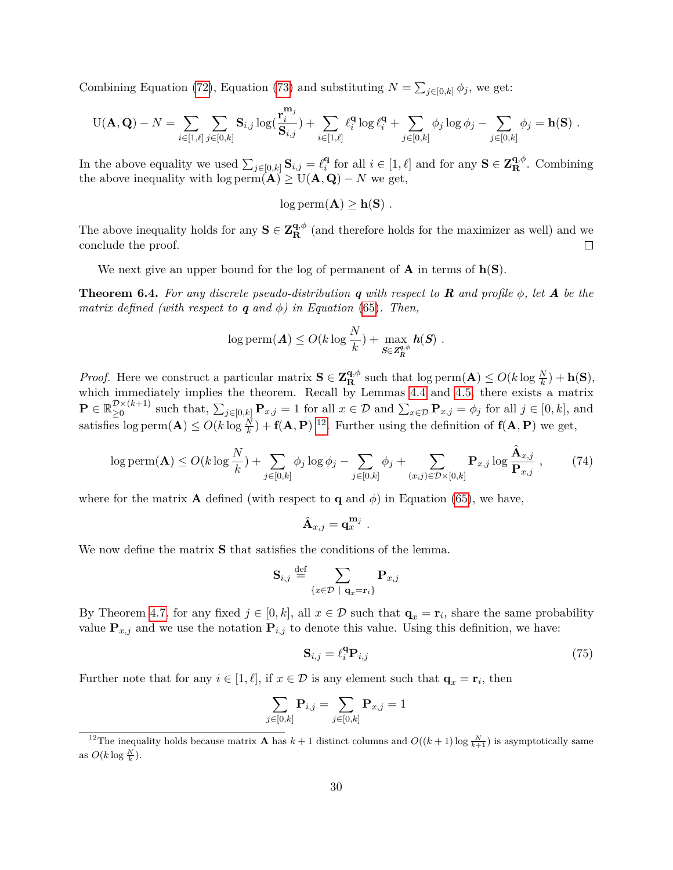Combining Equation [\(72\)](#page-29-0), Equation [\(73\)](#page-29-1) and substituting  $N = \sum_{j \in [0,k]} \phi_j$ , we get:

$$
U(\mathbf{A},\mathbf{Q})-N=\sum_{i\in[1,\ell]}\sum_{j\in[0,k]}S_{i,j}\log(\frac{\mathbf{r}_{i}^{\mathbf{m}_{j}}}{\mathbf{S}_{i,j}})+\sum_{i\in[1,\ell]}\ell_{i}^{\mathbf{q}}\log\ell_{i}^{\mathbf{q}}+\sum_{j\in[0,k]}\phi_{j}\log\phi_{j}-\sum_{j\in[0,k]}\phi_{j}=\mathbf{h}(\mathbf{S}) .
$$

In the above equality we used  $\sum_{j \in [0,k]} \mathbf{S}_{i,j} = \ell_i^{\mathbf{q}}$ **<sup>q</sup>** for all  $i \in [1, \ell]$  and for any **S**  $\in \mathbf{Z}_{\mathbf{R}}^{\mathbf{q},\phi}$ . Combining the above inequality with  $\log \text{perm}(A) \ge U(A, Q) - N$  we get,

$$
\log \mathrm{perm}(\mathbf{A}) \geq \mathbf{h}(\mathbf{S}) \ .
$$

The above inequality holds for any  $S \in \mathbb{Z}_{\mathbb{R}}^{q,\phi}$  (and therefore holds for the maximizer as well) and we conclude the proof.  $\Box$ 

We next give an upper bound for the log of permanent of  $\bf{A}$  in terms of  $\bf{h}(S)$ .

<span id="page-30-0"></span>**Theorem 6.4.** For any discrete pseudo-distribution q with respect to  $\bf{R}$  and profile  $\phi$ , let  $\bf{A}$  be the *matrix defined (with respect to*  $q$  *and*  $\phi$ ) *in Equation* [\(65\)](#page-26-1)*. Then,* 

$$
\log \mathrm{perm}(\boldsymbol{A}) \leq O(k \log \frac{N}{k}) + \max_{\boldsymbol{S} \in \mathbb{Z}_R^{q,\phi}} \boldsymbol{h}(\boldsymbol{S}) \ .
$$

*Proof.* Here we construct a particular matrix  $S \in \mathbb{Z}_{\mathbb{R}}^{q,\phi}$  such that  $\log \text{perm}(\mathbf{A}) \leq O(k \log \frac{N}{k}) + \mathbf{h}(\mathbf{S}),$ which immediately implies the theorem. Recall by Lemmas [4.4](#page-14-0) and [4.5,](#page-14-1) there exists a matrix  $\mathbf{P} \in \mathbb{R}_{>0}^{\mathcal{D} \times (k+1)}$  $\sum_{i=0}^{D} P_{x,i}(x+1)$  such that,  $\sum_{j\in[0,k]} P_{x,j} = 1$  for all  $x \in \mathcal{D}$  and  $\sum_{x\in\mathcal{D}} P_{x,j} = \phi_j$  for all  $j \in [0,k]$ , and satisfies  $\log \text{perm}(\mathbf{A}) \leq O(k \log \frac{N}{k}) + \mathbf{f}(\mathbf{A}, \mathbf{P})$ <sup>[12](#page-30-1)</sup>. Further using the definition of  $\mathbf{f}(\mathbf{A}, \mathbf{P})$  we get,

<span id="page-30-2"></span>
$$
\log \text{perm}(\mathbf{A}) \le O(k \log \frac{N}{k}) + \sum_{j \in [0,k]} \phi_j \log \phi_j - \sum_{j \in [0,k]} \phi_j + \sum_{(x,j) \in \mathcal{D} \times [0,k]} \mathbf{P}_{x,j} \log \frac{\hat{\mathbf{A}}_{x,j}}{\mathbf{P}_{x,j}} ,\qquad(74)
$$

where for the matrix **A** defined (with respect to **q** and  $\phi$ ) in Equation [\(65\)](#page-26-1), we have,

$$
\hat{\mathbf{A}}_{x,j} = \mathbf{q}_x^{\mathbf{m}_j} .
$$

We now define the matrix **S** that satisfies the conditions of the lemma.

$$
\mathbf{S}_{i,j} \stackrel{\text{def}}{=} \sum_{\{x \in \mathcal{D} \; | \; \mathbf{q}_x = \mathbf{r}_i\}} \mathbf{P}_{x,j}
$$

By Theorem [4.7,](#page-18-0) for any fixed  $j \in [0, k]$ , all  $x \in \mathcal{D}$  such that  $\mathbf{q}_x = \mathbf{r}_i$ , share the same probability value  $P_{x,j}$  and we use the notation  $P_{i,j}$  to denote this value. Using this definition, we have:

<span id="page-30-3"></span>
$$
\mathbf{S}_{i,j} = \ell_i^{\mathbf{q}} \mathbf{P}_{i,j} \tag{75}
$$

Further note that for any  $i \in [1, \ell]$ , if  $x \in \mathcal{D}$  is any element such that  $\mathbf{q}_x = \mathbf{r}_i$ , then

$$
\sum_{j\in[0,k]} \mathbf{P}_{i,j} = \sum_{j\in[0,k]} \mathbf{P}_{x,j} = 1
$$

<span id="page-30-1"></span><sup>&</sup>lt;sup>12</sup>The inequality holds because matrix **A** has  $k+1$  distinct columns and  $O((k+1)\log \frac{N}{k+1})$  is asymptotically same as  $O(k \log \frac{N}{k})$ .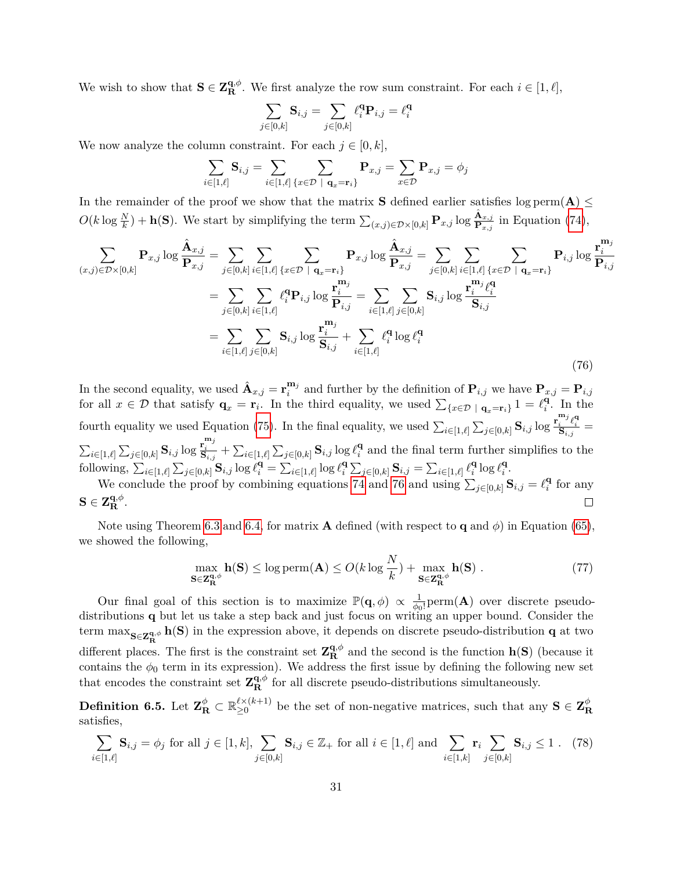We wish to show that  $S \in \mathbb{Z}_{\mathbb{R}}^{q,\phi}$ . We first analyze the row sum constraint. For each  $i \in [1,\ell],$ 

$$
\sum_{j \in [0,k]} \mathbf{S}_{i,j} = \sum_{j \in [0,k]} \ell_i^{\mathbf{q}} \mathbf{P}_{i,j} = \ell_i^{\mathbf{q}}
$$

We now analyze the column constraint. For each  $j \in [0, k]$ ,

$$
\sum_{i\in[1,\ell]}{\bf S}_{i,j}=\sum_{i\in[1,\ell]}\sum_{\{x\in\mathcal{D}\ |\ {\bf q}_x={\bf r}_i\}}{\bf P}_{x,j}=\sum_{x\in\mathcal{D}}{\bf P}_{x,j}=\phi_j
$$

In the remainder of the proof we show that the matrix **S** defined earlier satisfies  $\log \text{perm}(A) \leq$  $O(k \log \frac{N}{k}) + \mathbf{h}(\mathbf{S})$ . We start by simplifying the term  $\sum_{(x,j) \in \mathcal{D} \times [0,k]} \mathbf{P}_{x,j} \log \frac{\hat{\mathbf{A}}_{x,j}}{\mathbf{P}_{x,j}}$  in Equation [\(74\)](#page-30-2),

<span id="page-31-0"></span>
$$
\sum_{(x,j)\in\mathcal{D}\times[0,k]} \mathbf{P}_{x,j} \log \frac{\hat{\mathbf{A}}_{x,j}}{\mathbf{P}_{x,j}} = \sum_{j\in[0,k]} \sum_{i\in[1,\ell]} \sum_{\{x\in\mathcal{D} \mid \mathbf{q}_x = \mathbf{r}_i\}} \mathbf{P}_{x,j} \log \frac{\hat{\mathbf{A}}_{x,j}}{\mathbf{P}_{x,j}} = \sum_{j\in[0,k]} \sum_{i\in[1,\ell]} \sum_{\{x\in\mathcal{D} \mid \mathbf{q}_x = \mathbf{r}_i\}} \mathbf{P}_{i,j} \log \frac{\mathbf{r}_i^{\mathbf{m}_j}}{\mathbf{P}_{i,j}}
$$
\n
$$
= \sum_{j\in[0,k]} \sum_{i\in[1,\ell]} \ell_i^{\mathbf{q}} \mathbf{P}_{i,j} \log \frac{\mathbf{r}_i^{\mathbf{m}_j}}{\mathbf{P}_{i,j}} = \sum_{i\in[1,\ell]} \sum_{j\in[0,k]} \mathbf{S}_{i,j} \log \frac{\mathbf{r}_i^{\mathbf{m}_j} \ell_i^{\mathbf{q}}}{\mathbf{S}_{i,j}}
$$
\n
$$
= \sum_{i\in[1,\ell]} \sum_{j\in[0,k]} \mathbf{S}_{i,j} \log \frac{\mathbf{r}_i^{\mathbf{m}_j}}{\mathbf{S}_{i,j}} + \sum_{i\in[1,\ell]} \ell_i^{\mathbf{q}} \log \ell_i^{\mathbf{q}}
$$
\n(76)

In the second equality, we used  $\hat{\mathbf{A}}_{x,j} = \mathbf{r}_i^{\mathbf{m}_j}$  $\mathbf{P}_{i,j}$  and further by the definition of  $\mathbf{P}_{i,j}$  we have  $\mathbf{P}_{x,j} = \mathbf{P}_{i,j}$ for all  $x \in \mathcal{D}$  that satisfy  $\mathbf{q}_x = \mathbf{r}_i$ . In the third equality, we used  $\sum_{\{x \in \mathcal{D} \mid \mathbf{q}_x = \mathbf{r}_i\}} 1 = \ell_i^{\mathbf{q}}$  $i<sup>q</sup>$ . In the fourth equality we used Equation [\(75\)](#page-30-3). In the final equality, we used  $\sum_{i\in[1,\ell]}\sum_{j\in[0,k]}$   $S_{i,j}$  log  $\frac{\mathbf{r}_i^{m_j}\ell_i^{\mathbf{q}}}{S_{i,j}} =$  $\sum_{i \in [1,\ell]} \sum_{j \in [0,k]} \mathbf{S}_{i,j} \log \frac{\mathbf{r}^{\mathbf{m}_j}_i}{\mathbf{S}_{i,j}} + \sum_{i \in [1,\ell]} \sum_{j \in [0,k]} \mathbf{S}_{i,j} \log \ell_i^{\mathbf{q}}$  $\frac{q}{i}$  and the final term further simplifies to the following,  $\sum_{i\in[1,\ell]}\sum_{j\in[0,k]}$   $\mathbf{S}_{i,j}$  log  $\ell_i^{\mathbf{q}} = \sum_{i\in[1,\ell]}$  log  $\ell_i^{\mathbf{q}}$ **s**<sup>*{s*</sup>} $\sum_{j \in [0,k]}$   $\mathbf{S}_{i,j} = \sum_{i \in [1,\ell]} \ell_i^{\mathbf{q}}$  $\sum_{i}^{\mathbf{q}}\log \ell_i^{\mathbf{q}}$ *i* . We conclude the proof by combining equations [74](#page-30-2) and [76](#page-31-0) and using  $\sum_{j\in[0,k]}$   $\mathbf{S}_{i,j} = \ell_i^{\mathbf{q}}$  $i$ <sup> $\alpha$ </sup> for any

$$
\mathbf{S} \in \mathbf{Z}_{\mathbf{R}}^{\mathbf{q},\phi}.
$$

Note using Theorem [6.3](#page-28-1) and [6.4,](#page-30-0) for matrix **A** defined (with respect to **q** and  $\phi$ ) in Equation [\(65\)](#page-26-1), we showed the following,

<span id="page-31-2"></span>
$$
\max_{\mathbf{S}\in\mathbf{Z}_{\mathbf{R}}^{\mathbf{q},\phi}}\mathbf{h}(\mathbf{S}) \le \log \mathrm{perm}(\mathbf{A}) \le O(k \log \frac{N}{k}) + \max_{\mathbf{S}\in\mathbf{Z}_{\mathbf{R}}^{\mathbf{q},\phi}}\mathbf{h}(\mathbf{S})\ .
$$
 (77)

Our final goal of this section is to maximize  $\mathbb{P}(\mathbf{q},\phi) \propto \frac{1}{\phi_0}$  $\frac{1}{\phi_0!}$  perm(**A**) over discrete pseudodistributions **q** but let us take a step back and just focus on writing an upper bound. Consider the term  $\max_{S \in \mathbb{Z}_R^{\mathbf{q},\phi}} \mathbf{h}(S)$  in the expression above, it depends on discrete pseudo-distribution **q** at two different places. The first is the constraint set  $\mathbf{Z}_{\mathbf{R}}^{\mathbf{q},\phi}$  and the second is the function  $\mathbf{h}(\mathbf{S})$  (because it contains the  $\phi_0$  term in its expression). We address the first issue by defining the following new set that encodes the constraint set  $\mathbf{Z}_{\mathbf{R}}^{\mathbf{q},\phi}$  for all discrete pseudo-distributions simultaneously.

 $\mathbf{Definition}$  6.5. Let  $\mathbf{Z}_\mathbf{R}^\phi \subset \mathbb{R}_{\geq 0}^{\ell \times (k+1)}$  $\sum_{k=0}^{\ell} (k+1)$  be the set of non-negative matrices, such that any  $S \in \mathbb{Z}_{\mathbb{R}}^{\phi}$ **R** satisfies,

<span id="page-31-1"></span>
$$
\sum_{i \in [1,\ell]} \mathbf{S}_{i,j} = \phi_j \text{ for all } j \in [1,k], \sum_{j \in [0,k]} \mathbf{S}_{i,j} \in \mathbb{Z}_+ \text{ for all } i \in [1,\ell] \text{ and } \sum_{i \in [1,k]} \mathbf{r}_i \sum_{j \in [0,k]} \mathbf{S}_{i,j} \le 1. \tag{78}
$$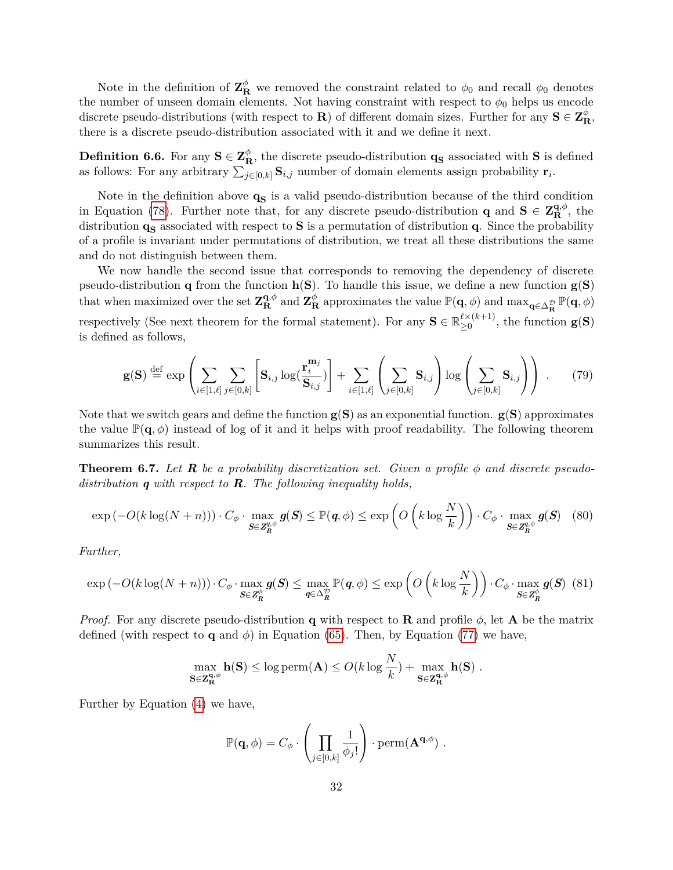Note in the definition of  $\mathbf{Z}_{\mathbf{R}}^{\phi}$  we removed the constraint related to  $\phi_0$  and recall  $\phi_0$  denotes the number of unseen domain elements. Not having constraint with respect to  $\phi_0$  helps us encode discrete pseudo-distributions (with respect to **R**) of different domain sizes. Further for any  $S \in \mathbb{Z}_{R}^{\phi}$ , there is a discrete pseudo-distribution associated with it and we define it next.

<span id="page-32-0"></span>**Definition 6.6.** For any  $S \in \mathbb{Z}_{\mathbb{R}}^{\phi}$ , the discrete pseudo-distribution  $\mathbf{q}_{\mathbf{S}}$  associated with S is defined as follows: For any arbitrary  $\sum_{j\in[0,k]}$  **S***i,j* number of domain elements assign probability  $\mathbf{r}_i$ .

Note in the definition above  $q<sub>S</sub>$  is a valid pseudo-distribution because of the third condition in Equation [\(78\)](#page-31-1). Further note that, for any discrete pseudo-distribution **q** and **S**  $\in \mathbb{Z}_{\mathbb{R}}^{\mathbf{q},\phi}$ , the distribution **q**<sub>**S**</sub> associated with respect to **S** is a permutation of distribution **q**. Since the probability of a profile is invariant under permutations of distribution, we treat all these distributions the same and do not distinguish between them.

We now handle the second issue that corresponds to removing the dependency of discrete pseudo-distribution **q** from the function **h**(**S**). To handle this issue, we define a new function **g**(**S**) that when maximized over the set  $\mathbf{Z}_{\mathbf{R}}^{\mathbf{q},\phi}$  and  $\mathbf{Z}_{\mathbf{R}}^{\phi}$  approximates the value  $\mathbb{P}(\mathbf{q},\phi)$  and  $\max_{\mathbf{q}\in\Delta_{\mathbf{R}}^{\mathcal{D}}}\mathbb{P}(\mathbf{q},\phi)$ respectively (See next theorem for the formal statement). For any  $\mathbf{S} \in \mathbb{R}_{\geq 0}^{\ell \times (k+1)}$  $\sum_{n=0}^{\infty}$  (k<sup>+1)</sup>, the function **g(S)** is defined as follows,

$$
\mathbf{g(S)} \stackrel{\text{def}}{=} \exp\left(\sum_{i \in [1,\ell]} \sum_{j \in [0,k]} \left[\mathbf{S}_{i,j} \log(\frac{\mathbf{r}_i^{\mathbf{m}_j}}{\mathbf{S}_{i,j}})\right] + \sum_{i \in [1,\ell]} \left(\sum_{j \in [0,k]} \mathbf{S}_{i,j}\right) \log\left(\sum_{j \in [0,k]} \mathbf{S}_{i,j}\right)\right) \tag{79}
$$

Note that we switch gears and define the function **g**(**S**) as an exponential function. **g**(**S**) approximates the value  $\mathbb{P}(\mathbf{q},\phi)$  instead of log of it and it helps with proof readability. The following theorem summarizes this result.

<span id="page-32-1"></span>**Theorem 6.7.** *Let R be a probability discretization set. Given a profile φ and discrete pseudodistribution q with respect to R. The following inequality holds,*

$$
\exp(-O(k\log(N+n))) \cdot C_{\phi} \cdot \max_{\mathbf{S} \in \mathbf{Z}_{R}^{q,\phi}} \mathbf{g}(\mathbf{S}) \leq \mathbb{P}(\mathbf{q}, \phi) \leq \exp\left(O\left(k\log\frac{N}{k}\right)\right) \cdot C_{\phi} \cdot \max_{\mathbf{S} \in \mathbf{Z}_{R}^{q,\phi}} \mathbf{g}(\mathbf{S}) \tag{80}
$$

*Further,*

$$
\exp(-O(k\log(N+n))) \cdot C_{\phi} \cdot \max_{\mathbf{S} \in \mathbf{Z}_{R}^{\phi}} \mathbf{g}(\mathbf{S}) \le \max_{\mathbf{q} \in \Delta_{R}^{\mathcal{D}}} \mathbb{P}(\mathbf{q}, \phi) \le \exp\left(O\left(k\log\frac{N}{k}\right)\right) \cdot C_{\phi} \cdot \max_{\mathbf{S} \in \mathbf{Z}_{R}^{\phi}} \mathbf{g}(\mathbf{S}) \tag{81}
$$

*Proof.* For any discrete pseudo-distribution **q** with respect to **R** and profile  $\phi$ , let **A** be the matrix defined (with respect to **q** and  $\phi$ ) in Equation [\(65\)](#page-26-1). Then, by Equation [\(77\)](#page-31-2) we have,

$$
\max_{\mathbf{S}\in \mathbf{Z}_{\mathbf{R}}^{\mathbf{q},\phi}} \mathbf{h}(\mathbf{S}) \le \log \mathrm{perm}(\mathbf{A}) \le O(k \log \frac{N}{k}) + \max_{\mathbf{S}\in \mathbf{Z}_{\mathbf{R}}^{\mathbf{q},\phi}} \mathbf{h}(\mathbf{S}) .
$$

Further by Equation [\(4\)](#page-7-2) we have,

$$
\mathbb{P}(\mathbf{q},\phi) = C_{\phi} \cdot \left( \prod_{j \in [0,k]} \frac{1}{\phi_j!} \right) \cdot \mathrm{perm}(\mathbf{A}^{\mathbf{q},\phi}) \ .
$$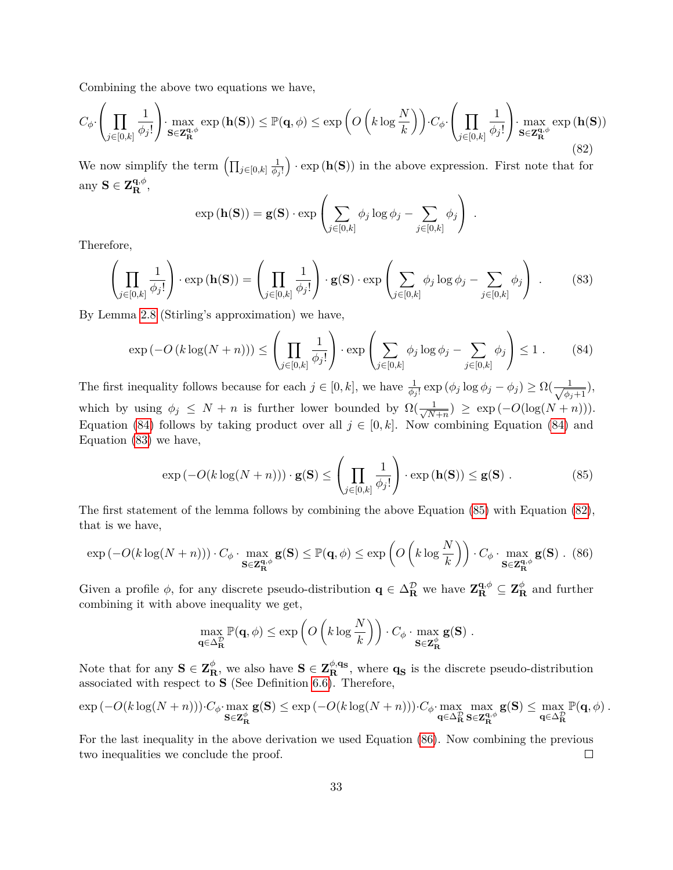Combining the above two equations we have,

<span id="page-33-3"></span>
$$
C_{\phi} \cdot \left( \prod_{j \in [0,k]} \frac{1}{\phi_j!} \right) \cdot \max_{\mathbf{S} \in \mathbf{Z}_{\mathbf{R}}^{\mathbf{q},\phi}} \exp\left(\mathbf{h}(\mathbf{S})\right) \leq \mathbb{P}(\mathbf{q},\phi) \leq \exp\left(O\left(k \log \frac{N}{k}\right)\right) \cdot C_{\phi} \cdot \left(\prod_{j \in [0,k]} \frac{1}{\phi_j!}\right) \cdot \max_{\mathbf{S} \in \mathbf{Z}_{\mathbf{R}}^{\mathbf{q},\phi}} \exp\left(\mathbf{h}(\mathbf{S})\right)
$$
\n(82)

We now simplify the term  $\left(\prod_{j\in[0,k]}\frac{1}{\phi_j}\right)$ *φ<sup>j</sup>* !  $\cdot$  exp ( $\mathbf{h}(\mathbf{S})$ ) in the above expression. First note that for any  $S \in \mathbf{Z}_{\mathbf{R}}^{\mathbf{q},\phi}$ ,

$$
\exp(\mathbf{h}(\mathbf{S})) = \mathbf{g}(\mathbf{S}) \cdot \exp\left(\sum_{j \in [0,k]} \phi_j \log \phi_j - \sum_{j \in [0,k]} \phi_j\right) .
$$

<span id="page-33-1"></span>Therefore,

$$
\left(\prod_{j\in[0,k]}\frac{1}{\phi_j!}\right)\cdot\exp\left(\mathbf{h}(\mathbf{S})\right)=\left(\prod_{j\in[0,k]}\frac{1}{\phi_j!}\right)\cdot\mathbf{g}(\mathbf{S})\cdot\exp\left(\sum_{j\in[0,k]}\phi_j\log\phi_j-\sum_{j\in[0,k]}\phi_j\right)\ .\tag{83}
$$

By Lemma [2.8](#page-6-3) (Stirling's approximation) we have,

<span id="page-33-0"></span>
$$
\exp\left(-O\left(k\log(N+n)\right)\right) \le \left(\prod_{j\in[0,k]} \frac{1}{\phi_j!}\right) \cdot \exp\left(\sum_{j\in[0,k]} \phi_j \log \phi_j - \sum_{j\in[0,k]} \phi_j\right) \le 1. \tag{84}
$$

The first inequality follows because for each  $j \in [0, k]$ , we have  $\frac{1}{\phi_j!} \exp(\phi_j \log \phi_j - \phi_j) \ge \Omega(\frac{1}{\sqrt{\phi_j}})$  $\frac{1}{\phi_j+1}$ ), which by using  $\phi_j \leq N + n$  is further lower bounded by  $\Omega(\frac{1}{\sqrt{N}})$  $\frac{1}{N+n}$ ) ≥ exp( $-O(\log(N+n))$ ). Equation [\(84\)](#page-33-0) follows by taking product over all  $j \in [0, k]$ . Now combining Equation (84) and Equation [\(83\)](#page-33-1) we have,

<span id="page-33-2"></span>
$$
\exp(-O(k\log(N+n))) \cdot \mathbf{g}(\mathbf{S}) \le \left(\prod_{j \in [0,k]} \frac{1}{\phi_j!}\right) \cdot \exp(\mathbf{h}(\mathbf{S})) \le \mathbf{g}(\mathbf{S}) . \tag{85}
$$

The first statement of the lemma follows by combining the above Equation [\(85\)](#page-33-2) with Equation [\(82\)](#page-33-3), that is we have,

<span id="page-33-4"></span>
$$
\exp\left(-O(k\log(N+n))\right)\cdot C_{\phi}\cdot \max_{\mathbf{S}\in\mathbf{Z}_{\mathbf{R}}^{\mathbf{q},\phi}}\mathbf{g}(\mathbf{S})\leq \mathbb{P}(\mathbf{q},\phi)\leq \exp\left(O\left(k\log\frac{N}{k}\right)\right)\cdot C_{\phi}\cdot \max_{\mathbf{S}\in\mathbf{Z}_{\mathbf{R}}^{\mathbf{q},\phi}}\mathbf{g}(\mathbf{S})\ .\tag{86}
$$

Given a profile  $\phi$ , for any discrete pseudo-distribution  $q \in \Delta_R^{\mathcal{D}}$  we have  $\mathbf{Z}_{\mathbf{R}}^{q,\phi} \subseteq \mathbf{Z}_{\mathbf{R}}^{\phi}$  and further combining it with above inequality we get,

$$
\max_{\mathbf{q}\in\Delta_{\mathbf{R}}^{\mathcal{D}}} \mathbb{P}(\mathbf{q},\phi) \le \exp\left(O\left(k\log\frac{N}{k}\right)\right) \cdot C_{\phi} \cdot \max_{\mathbf{S}\in\mathbf{Z}_{\mathbf{R}}^{\phi}} \mathbf{g}(\mathbf{S}) \ .
$$

Note that for any  $S \in \mathbb{Z}_{\mathbb{R}}^{\phi}$ , we also have  $S \in \mathbb{Z}_{\mathbb{R}}^{\phi,q_s}$ , where  $q_S$  is the discrete pseudo-distribution associated with respect to **S** (See Definition [6.6\)](#page-32-0). Therefore,

$$
\exp(-O(k\log(N+n)))\cdot C_{\phi}\cdot \max_{\mathbf{S}\in\mathbf{Z}^{\phi}_{\mathbf{R}}}\mathbf{g}(\mathbf{S})\leq \exp(-O(k\log(N+n)))\cdot C_{\phi}\cdot \max_{\mathbf{q}\in\Delta^{\mathcal{D}}_{\mathbf{R}}}\max_{\mathbf{S}\in\mathbf{Z}^{\mathbf{q},\phi}_{\mathbf{R}}}\mathbf{g}(\mathbf{S})\leq \max_{\mathbf{q}\in\Delta^{\mathcal{D}}_{\mathbf{R}}}\mathbb{P}(\mathbf{q},\phi).
$$

For the last inequality in the above derivation we used Equation [\(86\)](#page-33-4). Now combining the previous two inequalities we conclude the proof.  $\Box$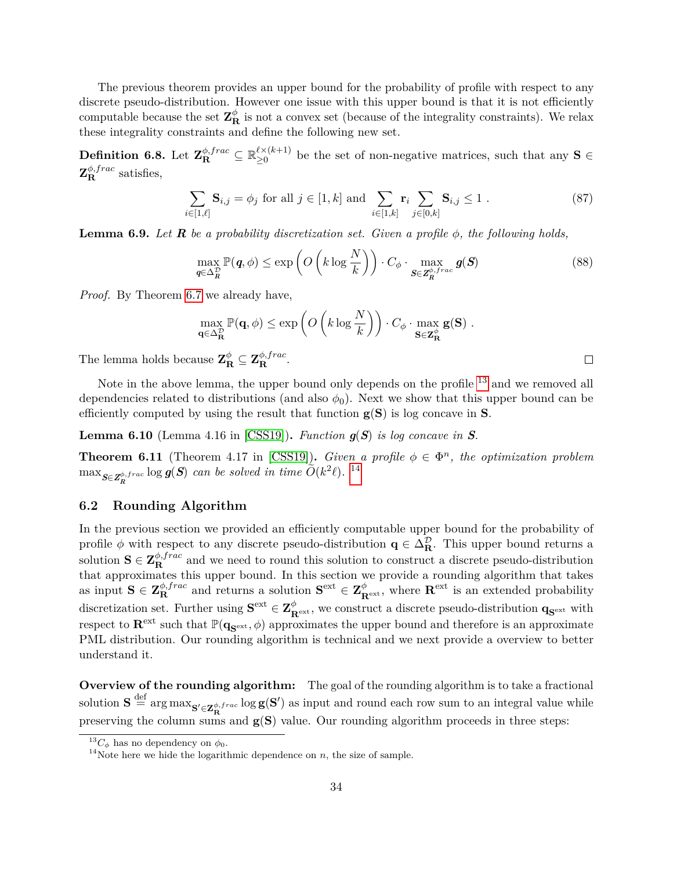The previous theorem provides an upper bound for the probability of profile with respect to any discrete pseudo-distribution. However one issue with this upper bound is that it is not efficiently computable because the set  $\mathbf{Z}_{\mathbf{R}}^{\phi}$  is not a convex set (because of the integrality constraints). We relax these integrality constraints and define the following new set.

 $\textbf{Definition 6.8.} \text{ Let } \textbf{Z}_\textbf{R}^{\phi, frac} \subseteq \mathbb{R}_{\geq 0}^{\ell \times (k+1)}$  $\sum_{n=0}^{\ell \times (\ell+1)}$  be the set of non-negative matrices, such that any **S** ∈  $\mathbf{Z}_{\mathbf{R}}^{\phi,frac}$  satisfies,

$$
\sum_{i \in [1,\ell]} \mathbf{S}_{i,j} = \phi_j \text{ for all } j \in [1,k] \text{ and } \sum_{i \in [1,k]} \mathbf{r}_i \sum_{j \in [0,k]} \mathbf{S}_{i,j} \le 1. \tag{87}
$$

<span id="page-34-3"></span>**Lemma 6.9.** *Let R be a probability discretization set. Given a profile φ, the following holds,*

$$
\max_{\boldsymbol{q}\in\Delta_{\boldsymbol{R}}^{\mathcal{D}}} \mathbb{P}(\boldsymbol{q},\phi) \le \exp\left(O\left(k\log\frac{N}{k}\right)\right) \cdot C_{\phi} \cdot \max_{\boldsymbol{S}\in\mathbf{Z}_{\boldsymbol{R}}^{\phi,frac}} g(\boldsymbol{S})
$$
\n(88)

*Proof.* By Theorem [6.7](#page-32-1) we already have,

$$
\max_{\mathbf{q}\in\Delta_{\mathbf{R}}^{\mathcal{D}}} \mathbb{P}(\mathbf{q},\phi) \le \exp\left(O\left(k\log\frac{N}{k}\right)\right) \cdot C_{\phi} \cdot \max_{\mathbf{S}\in\mathbf{Z}_{\mathbf{R}}^{\phi}} \mathbf{g}(\mathbf{S}) \ .
$$

 $\Box$ 

The lemma holds because  $\mathbf{Z}_{\mathbf{R}}^{\phi} \subseteq \mathbf{Z}_{\mathbf{R}}^{\phi, frac}$ .

Note in the above lemma, the upper bound only depends on the profile <sup>[13](#page-34-1)</sup> and we removed all dependencies related to distributions (and also  $\phi_0$ ). Next we show that this upper bound can be efficiently computed by using the result that function **g**(**S**) is log concave in **S**.

**Lemma 6.10** (Lemma 4.16 in [\[CSS19\]](#page-54-7)). *Function*  $g(S)$  *is log concave in*  $S$ *.* 

<span id="page-34-4"></span>**Theorem 6.11** (Theorem 4.17 in [\[CSS19\]](#page-54-7)). *Given a profile*  $\phi \in \Phi^n$ , the optimization problem  $\max_{S \in \mathbb{Z}_R^{\phi,frac}} \log g(S)$  *can be solved in time*  $\widetilde{O}(k^2\ell)$ *.* <sup>[14](#page-34-2)</sup>

## <span id="page-34-0"></span>**6.2 Rounding Algorithm**

In the previous section we provided an efficiently computable upper bound for the probability of profile  $\phi$  with respect to any discrete pseudo-distribution  $q \in \Delta_{\mathbf{R}}^{\mathcal{D}}$ . This upper bound returns a solution  $S \in \mathbb{Z}_{R}^{\phi, frac}$  and we need to round this solution to construct a discrete pseudo-distribution that approximates this upper bound. In this section we provide a rounding algorithm that takes  $\mathbf{S} \in \mathbf{Z}_{\mathbf{R}}^{\phi, frac}$  and returns a solution  $\mathbf{S}^{\text{ext}} \in \mathbf{Z}_{\mathbf{R}^{\text{ext}}}^{\phi}$ , where  $\mathbf{R}^{\text{ext}}$  is an extended probability discretization set. Further using  $S^{\text{ext}} \in \mathbb{Z}_{R^{\text{ext}}}^{\phi}$ , we construct a discrete pseudo-distribution  $\mathbf{q}_{S^{\text{ext}}}$  with respect to  $\mathbf{R}^{\text{ext}}$  such that  $\mathbb{P}(\mathbf{q}_{\mathbf{S}^{\text{ext}}}, \phi)$  approximates the upper bound and therefore is an approximate PML distribution. Our rounding algorithm is technical and we next provide a overview to better understand it.

**Overview of the rounding algorithm:** The goal of the rounding algorithm is to take a fractional  $S \stackrel{\text{def}}{=} \arg \max_{\mathbf{S}' \in \mathbf{Z}_{\mathbf{R}}^{\phi, frac}} \log \mathbf{g}(\mathbf{S}')$  as input and round each row sum to an integral value while preserving the column sums and **g**(**S**) value. Our rounding algorithm proceeds in three steps:

<span id="page-34-1"></span><sup>&</sup>lt;sup>13</sup> $C_{\phi}$  has no dependency on  $\phi_0$ .

<span id="page-34-2"></span><sup>&</sup>lt;sup>14</sup>Note here we hide the logarithmic dependence on  $n$ , the size of sample.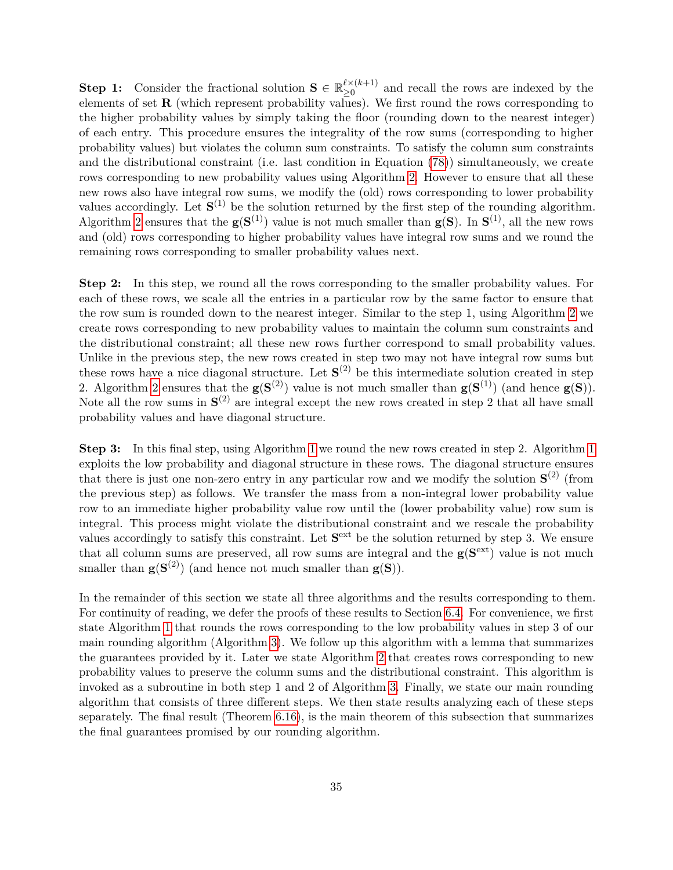**Step 1:** Consider the fractional solution  $\mathbf{S} \in \mathbb{R}_{>0}^{\ell \times (k+1)}$  $\sum_{k=0}^{\ell \times (\kappa+1)}$  and recall the rows are indexed by the elements of set **R** (which represent probability values). We first round the rows corresponding to the higher probability values by simply taking the floor (rounding down to the nearest integer) of each entry. This procedure ensures the integrality of the row sums (corresponding to higher probability values) but violates the column sum constraints. To satisfy the column sum constraints and the distributional constraint (i.e. last condition in Equation [\(78\)](#page-31-1)) simultaneously, we create rows corresponding to new probability values using Algorithm [2.](#page-37-0) However to ensure that all these new rows also have integral row sums, we modify the (old) rows corresponding to lower probability values accordingly. Let  $S^{(1)}$  be the solution returned by the first step of the rounding algorithm. Algorithm [2](#page-37-0) ensures that the  $\mathbf{g}(\mathbf{S}^{(1)})$  value is not much smaller than  $\mathbf{g}(\mathbf{S})$ . In  $\mathbf{S}^{(1)}$ , all the new rows and (old) rows corresponding to higher probability values have integral row sums and we round the remaining rows corresponding to smaller probability values next.

**Step 2:** In this step, we round all the rows corresponding to the smaller probability values. For each of these rows, we scale all the entries in a particular row by the same factor to ensure that the row sum is rounded down to the nearest integer. Similar to the step 1, using Algorithm [2](#page-37-0) we create rows corresponding to new probability values to maintain the column sum constraints and the distributional constraint; all these new rows further correspond to small probability values. Unlike in the previous step, the new rows created in step two may not have integral row sums but these rows have a nice diagonal structure. Let  $S^{(2)}$  be this intermediate solution created in step 2. Algorithm [2](#page-37-0) ensures that the  $g(S^{(2)})$  value is not much smaller than  $g(S^{(1)})$  (and hence  $g(S)$ ). Note all the row sums in  $S^{(2)}$  are integral except the new rows created in step 2 that all have small probability values and have diagonal structure.

**Step 3:** In this final step, using Algorithm [1](#page-36-0) we round the new rows created in step 2. Algorithm 1 exploits the low probability and diagonal structure in these rows. The diagonal structure ensures that there is just one non-zero entry in any particular row and we modify the solution  $S^{(2)}$  (from the previous step) as follows. We transfer the mass from a non-integral lower probability value row to an immediate higher probability value row until the (lower probability value) row sum is integral. This process might violate the distributional constraint and we rescale the probability values accordingly to satisfy this constraint. Let  $S<sup>ext</sup>$  be the solution returned by step 3. We ensure that all column sums are preserved, all row sums are integral and the  $g(S<sup>ext</sup>)$  value is not much smaller than  $g(S^{(2)})$  (and hence not much smaller than  $g(S)$ ).

In the remainder of this section we state all three algorithms and the results corresponding to them. For continuity of reading, we defer the proofs of these results to Section [6.4.](#page-41-0) For convenience, we first state Algorithm [1](#page-36-0) that rounds the rows corresponding to the low probability values in step 3 of our main rounding algorithm (Algorithm [3\)](#page-38-0). We follow up this algorithm with a lemma that summarizes the guarantees provided by it. Later we state Algorithm [2](#page-37-0) that creates rows corresponding to new probability values to preserve the column sums and the distributional constraint. This algorithm is invoked as a subroutine in both step 1 and 2 of Algorithm [3.](#page-38-0) Finally, we state our main rounding algorithm that consists of three different steps. We then state results analyzing each of these steps separately. The final result (Theorem [6.16\)](#page-39-1), is the main theorem of this subsection that summarizes the final guarantees promised by our rounding algorithm.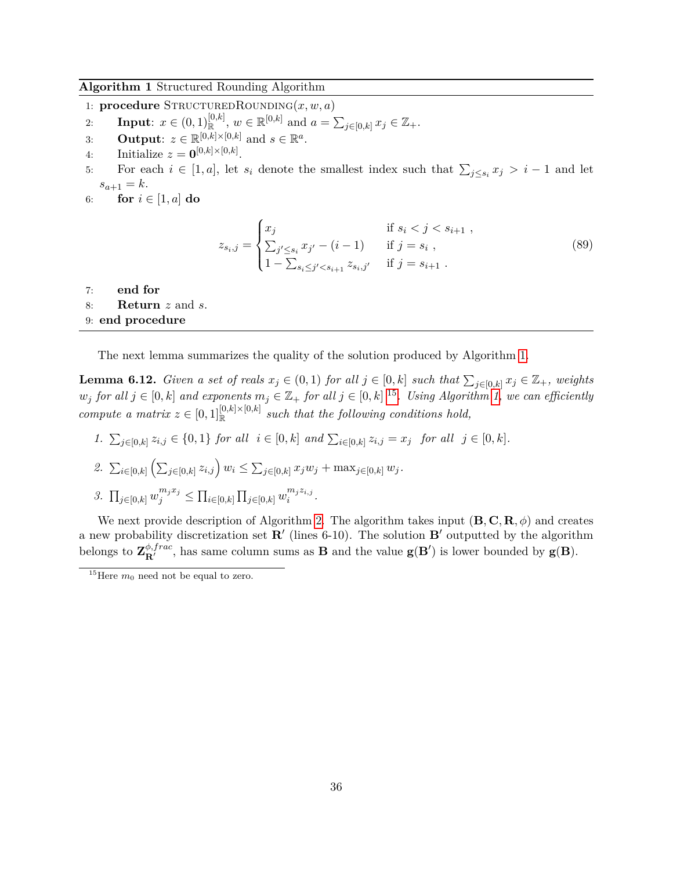#### **Algorithm 1** Structured Rounding Algorithm

- 1: **procedure**  $STRUCTUREDROWDING(x, w, a)$
- 2: **Input**:  $x \in (0,1)_{\mathbb{R}}^{[0,k]}, w \in \mathbb{R}^{[0,k]}$  and  $a = \sum_{j \in [0,k]} x_j \in \mathbb{Z}_+$ .
- 3: **Output**:  $z \in \mathbb{R}^{[0,k] \times [0,k]}$  and  $s \in \mathbb{R}^a$ .
- 4: Initialize  $z = \mathbf{0}^{[0,k] \times [0,k]}$ .
- 5: For each  $i \in [1, a]$ , let  $s_i$  denote the smallest index such that  $\sum_{j \leq s_i} x_j > i 1$  and let  $s_{a+1} = k.$
- 6: **for**  $i \in [1, a]$  **do**

$$
z_{s_i,j} = \begin{cases} x_j & \text{if } s_i < j < s_{i+1} ,\\ \sum_{j' \le s_i} x_{j'} - (i-1) & \text{if } j = s_i ,\\ 1 - \sum_{s_i \le j' < s_{i+1}} z_{s_i,j'} & \text{if } j = s_{i+1} . \end{cases}
$$
(89)

- 7: **end for**
- <span id="page-36-2"></span>8: **Return** *z* and *s*.

## <span id="page-36-0"></span>9: **end procedure**

The next lemma summarizes the quality of the solution produced by Algorithm [1.](#page-36-0)

<span id="page-36-3"></span>**Lemma 6.12.** *Given a set of reals*  $x_j \in (0,1)$  *for all*  $j \in [0,k]$  *such that*  $\sum_{j\in [0,k]} x_j \in \mathbb{Z}_+$ *, weights*  $w_j$  *for all*  $j \in [0, k]$  *and exponents*  $m_j \in \mathbb{Z}_+$  *for all*  $j \in [0, k]$  <sup>[15](#page-36-1)</sup>*. Using Algorithm* [1,](#page-36-0) we can efficiently *compute a matrix*  $z \in [0,1]^{[0,k] \times [0,k]}$  *such that the following conditions hold,* 

1.  $\sum_{j\in[0,k]}z_{i,j}\in\{0,1\}$  for all  $i\in[0,k]$  and  $\sum_{i\in[0,k]}z_{i,j}=x_j$  for all  $j\in[0,k]$ .

2. 
$$
\sum_{i \in [0,k]} \left( \sum_{j \in [0,k]} z_{i,j} \right) w_i \leq \sum_{j \in [0,k]} x_j w_j + \max_{j \in [0,k]} w_j.
$$

3. 
$$
\prod_{j \in [0,k]} w_j^{m_j x_j} \leq \prod_{i \in [0,k]} \prod_{j \in [0,k]} w_i^{m_j z_{i,j}}
$$
.

We next provide description of Algorithm [2.](#page-37-0) The algorithm takes input  $(\mathbf{B}, \mathbf{C}, \mathbf{R}, \phi)$  and creates a new probability discretization set  $\mathbb{R}'$  (lines 6-10). The solution  $\mathbb{B}'$  outputted by the algorithm belongs to  $\mathbf{Z}_{\mathbf{R}'}^{\phi, frac}$ , has same column sums as **B** and the value  $\mathbf{g}(\mathbf{B}')$  is lower bounded by  $\mathbf{g}(\mathbf{B})$ .

<span id="page-36-1"></span><sup>&</sup>lt;sup>15</sup>Here  $m_0$  need not be equal to zero.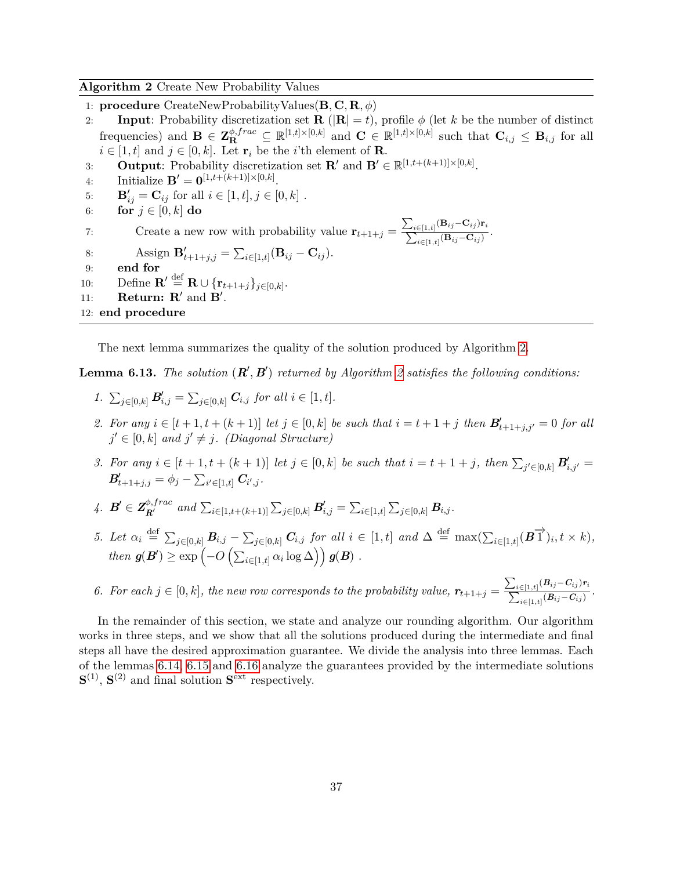**Algorithm 2** Create New Probability Values

- 1: **procedure** CreateNewProbabilityValues(**B***,* **C***,* **R***, φ*)
- 2: **Input**: Probability discretization set **R** ( $|\mathbf{R}| = t$ ), profile  $\phi$  (let *k* be the number of distinct  $\mathbf{E} = \mathbf{Z}_{\mathbf{R}}^{\phi, frac} \subseteq \mathbb{R}^{[1,t] \times [0,k]}$  and  $\mathbf{C} \in \mathbb{R}^{[1,t] \times [0,k]}$  such that  $\mathbf{C}_{i,j} \leq \mathbf{B}_{i,j}$  for all  $i \in [1, t]$  and  $j \in [0, k]$ . Let  $\mathbf{r}_i$  be the *i*'th element of **R**.
- 3: **Output**: Probability discretization set  $\mathbf{R}'$  and  $\mathbf{B}' \in \mathbb{R}^{[1,t+(k+1)] \times [0,k]}$ .
- 4: Initialize  $\mathbf{B}' = \mathbf{0}^{[1,t+(k+1)] \times [0,k]}$ .
- 5: **B**<sup>'</sup><sub>ij</sub> = **C**<sub>ij</sub> for all  $i \in [1, t], j \in [0, k]$ .
- 6: **for**  $j \in [0, k]$  **do**

7: Create a new row with probability value  $\mathbf{r}_{t+1+j} = \frac{\sum_{i \in [1,t]} f(i)}{\sum_{i \in [1,t]} f(i)}$  $({\bf B}_{ij}$ − ${\bf C}_{ij}){\bf r}_i$  $\frac{\sum_{i\in[1,t]}(-i)^{j-i}}{i\in[1,t]}$  (**B**<sub>*ij*</sub>−**C**<sub>*ij*</sub>)</sub>.

- 8: Assign  $\mathbf{B}'_{t+1+j,j} = \sum_{i \in [1,t]} (\mathbf{B}_{ij} \mathbf{C}_{ij}).$
- 9: **end for**
- 10: Define  $\mathbf{R}' \stackrel{\text{def}}{=} \mathbf{R} \cup \{\mathbf{r}_{t+1+j}\}_{j\in[0,k]}.$
- 11: **Return: R'** and  $\dot{\mathbf{B}}'$ .
- <span id="page-37-0"></span>12: **end procedure**

The next lemma summarizes the quality of the solution produced by Algorithm [2.](#page-37-0)

<span id="page-37-1"></span>**Lemma 6.13.** *The solution*  $(R', B')$  *returned by Algorithm* [2](#page-37-0) *satisfies the following conditions:* 

- *1.*  $\sum_{j \in [0,k]} B'_{i,j} = \sum_{j \in [0,k]} C_{i,j}$  *for all*  $i \in [1,t]$ *.*
- 2. For any  $i \in [t+1, t+(k+1)]$  let  $j \in [0, k]$  be such that  $i = t+1+j$  then  $B'_{t+1+j, j'} = 0$  for all  $j' \in [0, k]$  *and*  $j' \neq j$ *.* (Diagonal Structure)
- 3. For any  $i \in [t+1, t+(k+1)]$  let  $j \in [0, k]$  be such that  $i = t+1+j$ , then  $\sum_{j' \in [0, k]} B'_{i,j'} =$  $B'_{t+1+j,j} = \phi_j - \sum_{i' \in [1,t]} C_{i',j}$ .
- 4.  $B' \in Z_{R'}^{\phi, frac}$  and  $\sum_{i \in [1,t+(k+1)]} \sum_{j \in [0,k]} B'_{i,j} = \sum_{i \in [1,t]} \sum_{j \in [0,k]} B_{i,j}$ .
- 5. Let  $\alpha_i \stackrel{\text{def}}{=} \sum_{j \in [0,k]} \mathbf{B}_{i,j} \sum_{j \in [0,k]} \mathbf{C}_{i,j}$  for all  $i \in [1,t]$  and  $\Delta \stackrel{\text{def}}{=} \max(\sum_{i \in [1,t]} (\mathbf{B} \overrightarrow{1})_i, t \times k)$ , *then*  $g(B') \ge \exp\left(-O\left(\sum_{i \in [1,t]} \alpha_i \log \Delta\right)\right) g(B)$ .
- *6.* For each  $j \in [0, k]$ , the new row corresponds to the probability value,  $r_{t+1+j} = \frac{\sum_{i \in [1,t]} f(i)}{\sum_{i \in [1,t]} f(i)}$  $(B_{ij}-C_{ij})r_i$  $\frac{C[1,t]\setminus -U}{C[1,t]}(B_{ij}-C_{ij})$ .

In the remainder of this section, we state and analyze our rounding algorithm. Our algorithm works in three steps, and we show that all the solutions produced during the intermediate and final steps all have the desired approximation guarantee. We divide the analysis into three lemmas. Each of the lemmas [6.14,](#page-38-1) [6.15](#page-38-2) and [6.16](#page-39-1) analyze the guarantees provided by the intermediate solutions  $S^{(1)}$ ,  $S^{(2)}$  and final solution  $S<sup>ext</sup>$  respectively.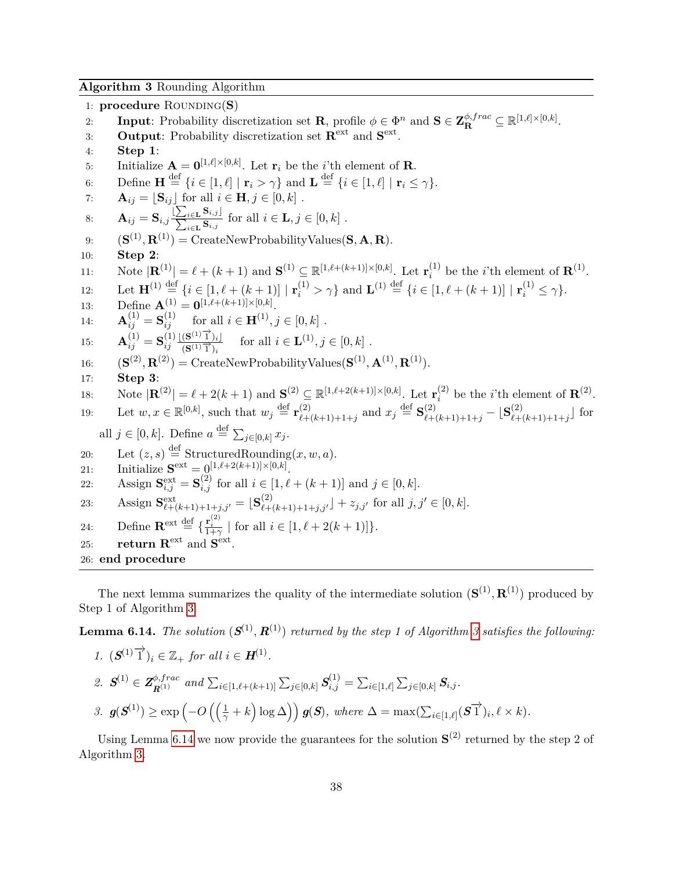**Algorithm 3** Rounding Algorithm

1: **procedure** ROUNDING(S) 2: **Input**: Probability discretization set **R**, profile  $\phi \in \Phi^n$  and  $\mathbf{S} \in \mathbf{Z}_{\mathbf{R}}^{\phi, frac} \subseteq \mathbb{R}^{[1,\ell] \times [0,k]}$ . 3: **Output:** Probability discretization set  $\mathbf{R}^{\text{ext}}$  and  $\mathbf{S}^{\text{ext}}$ . 4: **Step 1**: 5: Initialize  $\mathbf{A} = \mathbf{0}^{[1,\ell] \times [0,k]}$ . Let  $\mathbf{r}_i$  be the *i*'th element of **R**. 6: Define  $\mathbf{H} \stackrel{\text{def}}{=} \{i \in [1, \ell] \mid \mathbf{r}_i > \gamma\}$  and  $\mathbf{L} \stackrel{\text{def}}{=} \{i \in [1, \ell] \mid \mathbf{r}_i \leq \gamma\}.$ 7:  $\mathbf{A}_{ij} = [\mathbf{S}_{ij}]$  for all  $i \in \mathbf{H}, j \in [0, k]$ .  $\mathbf{A}_{ij} = \mathbf{S}_{i,j} \frac{|\sum_{i \in \mathbf{L}} \mathbf{S}_{i,j}|}{\sum_{i \in \mathbf{L}} \mathbf{S}_{i,j}}$  $\sum_{i \in \mathbf{L}} \mathbf{S}_{i,j}$  for all  $i \in \mathbf{L}, j \in [0, k]$ . 9:  $(\mathbf{S}^{(1)}, \mathbf{R}^{(1)}) = \text{CreateNewProbabilityValues}(\mathbf{S}, \mathbf{A}, \mathbf{R}).$ 10: **Step 2**: 11: Note  $|\mathbf{R}^{(1)}| = \ell + (k+1)$  and  $\mathbf{S}^{(1)} \subseteq \mathbb{R}^{[1,\ell+(k+1)] \times [0,k]}$ . Let  $\mathbf{r}_i^{(1)}$  $i^{(1)}$  be the *i*'th element of  $\mathbf{R}^{(1)}$ . 12: Let  $\mathbf{H}^{(1)} \stackrel{\text{def}}{=} \{i \in [1, \ell + (k+1)] \mid \mathbf{r}_i^{(1)} > \gamma\}$  and  $\mathbf{L}^{(1)} \stackrel{\text{def}}{=} \{i \in [1, \ell + (k+1)] \mid \mathbf{r}_i^{(1)} \leq \gamma\}.$ 13: Define  $\mathbf{A}^{(1)} = \mathbf{0}^{[1,\ell+(k+1)] \times [0,k]}$ . 14:  $\mathbf{A}_{ij}^{(1)} = \mathbf{S}_{ij}^{(1)}$  for all  $i \in \mathbf{H}^{(1)}, j \in [0, k]$ . 15:  $\mathbf{A}_{ij}^{(1)} = \mathbf{S}_{ij}^{(1)}$ *ij*  $\lfloor (\mathbf{S}^{(1)}\overrightarrow{1})_i \rfloor$  $(\mathbf{S}^{(1)}\mathbf{I})_i\mathbf{S}$  for all  $i \in \mathbf{L}^{(1)}, j \in [0, k]$ . 16:  $(\mathbf{S}^{(2)}, \mathbf{R}^{(2)}) = \text{CreateNewProbabilityValues}(\mathbf{S}^{(1)}, \mathbf{A}^{(1)}, \mathbf{R}^{(1)}).$ 17: **Step 3**: 18: Note  $|\mathbf{R}^{(2)}| = \ell + 2(k+1)$  and  $\mathbf{S}^{(2)} \subseteq \mathbb{R}^{[1,\ell+2(k+1)] \times [0,k]}$ . Let  $\mathbf{r}_i^{(2)}$  $i^{(2)}$  be the *i*'th element of  $\mathbf{R}^{(2)}$ . 19: Let  $w, x \in \mathbb{R}^{[0,k]}$ , such that  $w_j \stackrel{\text{def}}{=} \mathbf{r}_{\ell+1}^{(2)}$  $\sum_{\ell+(k+1)+1+j}^{(2)}$  and  $x_j \stackrel{\text{def}}{=} \mathbf{S}_{\ell+(k+1)+1+j}^{(2)} - \lfloor \mathbf{S}_{\ell+1}^{(2)} \rfloor$  $\binom{2}{k+(k+1)+1+j}$  for all  $j \in [0, k]$ . Define  $a \stackrel{\text{def}}{=} \sum_{j \in [0, k]} x_j$ . 20: Let  $(z, s) \stackrel{\text{def}}{=}$  StructuredRounding $(x, w, a)$ . 21: Initialize  $S^{\text{ext}} = 0^{[1,\ell+2(k+1)] \times [0,k]}$ . 22: Assign  $S_{i,j}^{\text{ext}} = S_{i,j}^{(2)}$  for all  $i \in [1, \ell + (k+1)]$  and  $j \in [0, k]$ . 23: Assign  $\mathbf{S}_{\ell+(k+1)+1+j,j'}^{\text{ext}} = [\mathbf{S}_{\ell+(k+1)+1+j,j'}^{(2)}] + z_{j,j'}$  for all  $j, j' \in [0, k]$ . 24: Define  $\mathbf{R}^{\text{ext}} \stackrel{\text{def}}{=} \left\{ \frac{\mathbf{r}_i^{(2)}}{1+\gamma} \mid \text{for all } i \in [1, \ell+2(k+1)] \right\}.$ 25: **return R**<sup>ext</sup> and  $S$ <sup>ext</sup>. 26: **end procedure**

<span id="page-38-0"></span>The next lemma summarizes the quality of the intermediate solution  $(\mathbf{S}^{(1)}, \mathbf{R}^{(1)})$  produced by Step 1 of Algorithm [3.](#page-38-0)

<span id="page-38-1"></span>**Lemma 6.14.** *The solution*  $(S^{(1)}, R^{(1)})$  *returned by the step 1 of Algorithm [3](#page-38-0) satisfies the following:* 

1. 
$$
(\mathbf{S}^{(1)}\vec{\mathbf{1}})_i \in \mathbb{Z}_+
$$
 for all  $i \in \mathbf{H}^{(1)}$ .  
\n2.  $\mathbf{S}^{(1)} \in \mathbf{Z}_{\mathbf{R}^{(1)}}^{b, frac}$  and  $\sum_{i \in [1,\ell+(\ell+1)]} \sum_{j \in [0,k]} \mathbf{S}_{i,j}^{(1)} = \sum_{i \in [1,\ell]} \sum_{j \in [0,k]} \mathbf{S}_{i,j}.$   
\n3.  $\mathbf{g}(\mathbf{S}^{(1)}) \ge \exp\left(-O\left(\left(\frac{1}{\gamma} + k\right) \log \Delta\right)\right) \mathbf{g}(\mathbf{S}), \text{ where } \Delta = \max(\sum_{i \in [1,\ell]} (\mathbf{S}\vec{\mathbf{1}})_i, \ell \times k).$ 

<span id="page-38-2"></span>Using Lemma [6.14](#page-38-1) we now provide the guarantees for the solution  $S^{(2)}$  returned by the step 2 of Algorithm [3.](#page-38-0)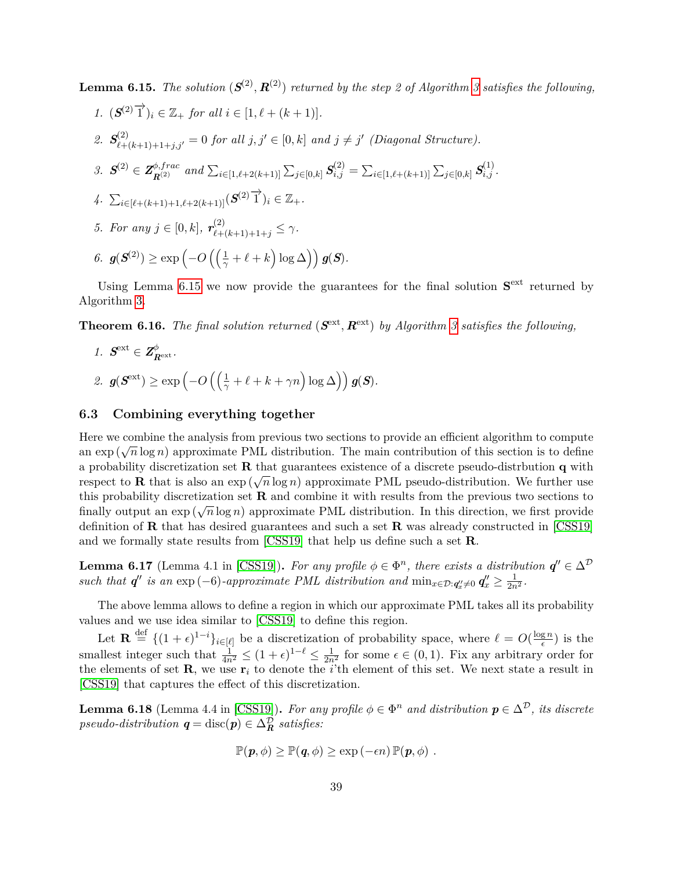**Lemma 6.15.** *The solution*  $(S^{(2)}, R^{(2)})$  *returned by the step 2 of Algorithm [3](#page-38-0) satisfies the following,* 

\n- 1. 
$$
(S^{(2)}\vec{1})_i \in \mathbb{Z}_+
$$
 for all  $i \in [1, \ell + (k+1)].$
\n- 2.  $S^{(2)}_{\ell+(k+1)+1+j,j'} = 0$  for all  $j, j' \in [0, k]$  and  $j \neq j'$  (Diagonal Structure).
\n- 3.  $S^{(2)} \in \mathbb{Z}_{R^{(2)}}^{\phi, frac}$  and  $\sum_{i \in [1, \ell+2(k+1)]} \sum_{j \in [0,k]} S^{(2)}_{i,j} = \sum_{i \in [1, \ell+(k+1)]} \sum_{j \in [0,k]} S^{(1)}_{i,j}.$
\n- 4.  $\sum_{i \in [\ell+(k+1)+1, \ell+2(k+1)]} (S^{(2)}\vec{1})_i \in \mathbb{Z}_+.$
\n- 5. For any  $j \in [0, k]$ ,  $r^{(2)}_{\ell+(k+1)+1+j} \leq \gamma$ .
\n- 6.  $g(S^{(2)}) \geq \exp(-O\left(\left(\frac{1}{\gamma} + \ell + k\right) \log \Delta\right)) g(S).$
\n

Using Lemma  $6.15$  we now provide the guarantees for the final solution  $S<sup>ext</sup>$  returned by Algorithm [3.](#page-38-0)

<span id="page-39-1"></span>**Theorem 6.16.** The final solution returned  $(\mathbf{S}^{\text{ext}}, \mathbf{R}^{\text{ext}})$  by Algorithm [3](#page-38-0) satisfies the following,

*1.*  $S^{\text{ext}} \in \mathbb{Z}_{R^{\text{ext}}}^{\phi}$ .  $2.$   $g(\mathcal{S}^{\text{ext}}) \ge \exp\left(-O\left(\left(\frac{1}{\gamma} + \ell + k + \gamma n\right) \log \Delta\right)\right) g(\mathcal{S}).$ 

#### <span id="page-39-0"></span>**6.3 Combining everything together**

Here we combine the analysis from previous two sections to provide an efficient algorithm to compute an exp ( $\sqrt{n} \log n$ ) approximate PML distribution. The main contribution of this section is to define a probability discretization set **R** that guarantees existence of a discrete pseudo-distrbution **q** with respect to **R** that is also an  $exp(\sqrt{n}\log n)$  approximate PML pseudo-distribution. We further use this probability discretization set **R** and combine it with results from the previous two sections to finally output an  $\exp(\sqrt{n}\log n)$  approximate PML distribution. In this direction, we first provide definition of **R** that has desired guarantees and such a set **R** was already constructed in [\[CSS19\]](#page-54-7) and we formally state results from [\[CSS19\]](#page-54-7) that help us define such a set **R**.

<span id="page-39-3"></span>**Lemma 6.17** (Lemma 4.1 in [\[CSS19\]](#page-54-7)). For any profile  $\phi \in \Phi^n$ , there exists a distribution  $q'' \in \Delta^{\mathcal{D}}$ *such that*  $q''$  *is an*  $\exp(-6)$ *-approximate PML distribution and*  $\min_{x \in \mathcal{D}: q''_x \neq 0} q''_x \geq \frac{1}{2n^2}$ *.* 

The above lemma allows to define a region in which our approximate PML takes all its probability values and we use idea similar to [\[CSS19\]](#page-54-7) to define this region.

Let  $\mathbf{R} \stackrel{\text{def}}{=} \{(1+\epsilon)^{1-i}\}_{i \in [\ell]}$  be a discretization of probability space, where  $\ell = O(\frac{\log n}{\epsilon})$  $\frac{g n}{\epsilon}$ ) is the smallest integer such that  $\frac{1}{4n^2} \leq (1+\epsilon)^{1-\ell} \leq \frac{1}{2n^2}$  for some  $\epsilon \in (0,1)$ . Fix any arbitrary order for the elements of set  $\mathbf{R}$ , we use  $\mathbf{r}_i$  to denote the *i*'th element of this set. We next state a result in [\[CSS19\]](#page-54-7) that captures the effect of this discretization.

<span id="page-39-2"></span>**Lemma 6.18** (Lemma 4.4 in [\[CSS19\]](#page-54-7)). For any profile  $\phi \in \Phi^n$  and distribution  $p \in \Delta^{\mathcal{D}}$ , its discrete  $pseudo-distribution$   $q = \text{disc}(p) \in \Delta_R^{\mathcal{D}}$  *satisfies:* 

$$
\mathbb{P}(\mathbf{p},\phi) \geq \mathbb{P}(\mathbf{q},\phi) \geq \exp(-\epsilon n) \, \mathbb{P}(\mathbf{p},\phi) \; .
$$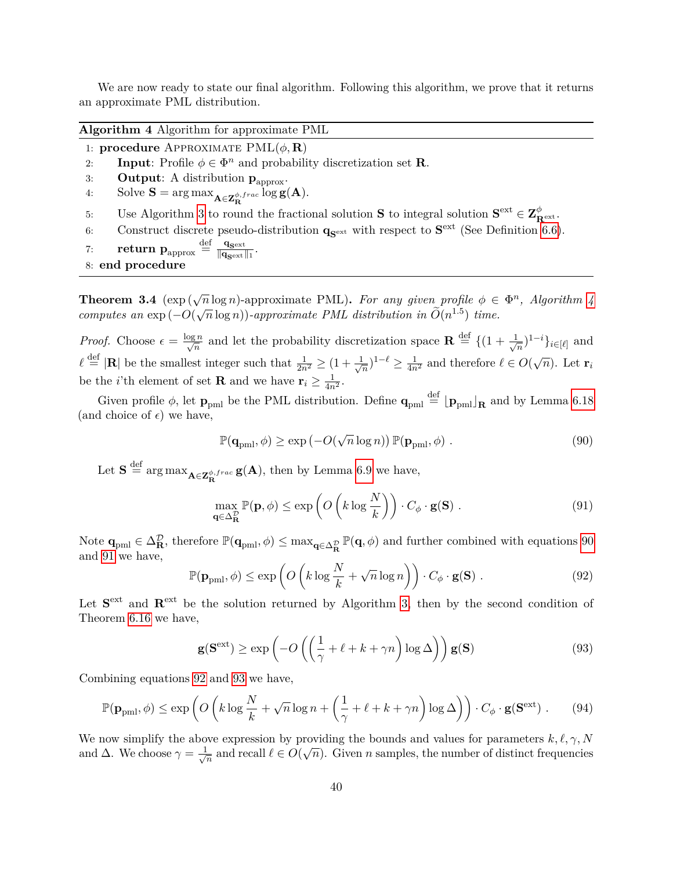We are now ready to state our final algorithm. Following this algorithm, we prove that it returns an approximate PML distribution.

<span id="page-40-0"></span>**Algorithm 4** Algorithm for approximate PML

1: **procedure** APPROXIMATE  $PML(\phi, \mathbf{R})$ 

- 2: **Input**: Profile  $\phi \in \Phi^n$  and probability discretization set **R**.
- 3: **Output:** A distribution  $\mathbf{p}_{approx}$ .
- 4: Solve **S** =  $\arg \max_{\mathbf{A} \in \mathbf{Z}_{\mathbf{R}}^{\phi, frac}} \log \mathbf{g}(\mathbf{A}).$
- 5: Use Algorithm [3](#page-38-0) to round the fractional solution **S** to integral solution  $S^{ext} \in \mathbf{Z}_{\mathbf{R}^{ext}}^{\phi}$ .
- 6: Construct discrete pseudo-distribution  $\mathbf{q}_{\mathbf{S}^{\text{ext}}}$  with respect to  $\mathbf{S}^{\text{ext}}$  (See Definition [6.6\)](#page-32-0).
- 7: **return**  $\mathbf{p}_{\text{approx}} \stackrel{\text{def}}{=} \frac{\mathbf{q}_{\text{sext}}}{\|\mathbf{q}_{\text{sext}}\|}$  $\frac{\mathbf{q_{sext}}}{\|\mathbf{q_{sext}}\|_1}.$
- 8: **end procedure**

**Theorem 3.4** ( $\exp(\sqrt{n}\log n)$ -approximate PML). For any given profile  $\phi \in \Phi^n$ , Algorithm [4](#page-40-0) *computes an*  $\exp(-O(\sqrt{n}\log n))$ *-approximate PML distribution in*  $\widetilde{O}(n^{1.5})$  *time.* 

*Proof.* Choose  $\epsilon = \frac{\log n}{\sqrt{n}}$  and let the probability discretization space  $\mathbf{R} \stackrel{\text{def}}{=} \{(1 + \frac{1}{\sqrt{n}})\}$  $(\frac{1}{n})^{1-i}$ *}*<sub>*i*∈[ $\ell$ ]</sub> and  $\ell \stackrel{\text{def}}{=} |\mathbf{R}|$  be the smallest integer such that  $\frac{1}{2n^2} \geq (1 + \frac{1}{\sqrt{\ell}})$  $\frac{1}{\sqrt{n}}$ <sup>1- $\ell \geq \frac{1}{4n^2}$  and therefore  $\ell \in O(\sqrt{n})$ . Let **r**<sub>*i*</sub></sup> be the *i*'th element of set **R** and we have  $\mathbf{r}_i \geq \frac{1}{4n^2}$ .

Given profile  $\phi$ , let  $\mathbf{p}_{pml}$  be the PML distribution. Define  $\mathbf{q}_{pml} \stackrel{\text{def}}{=} \lfloor \mathbf{p}_{pml} \rfloor_{\mathbf{R}}$  and by Lemma [6.18](#page-39-2) (and choice of  $\epsilon$ ) we have,

<span id="page-40-1"></span>
$$
\mathbb{P}(\mathbf{q}_{pml},\phi) \ge \exp(-O(\sqrt{n}\log n)) \mathbb{P}(\mathbf{p}_{pml},\phi) . \tag{90}
$$

Let  $S \stackrel{\text{def}}{=} \arg \max_{A \in \mathbf{Z}_{\mathbf{R}}^{\phi, frac}} g(A)$ , then by Lemma [6.9](#page-34-3) we have,

<span id="page-40-2"></span>
$$
\max_{\mathbf{q}\in\Delta_{\mathbf{R}}^{\mathcal{D}}} \mathbb{P}(\mathbf{p},\phi) \le \exp\left(O\left(k\log\frac{N}{k}\right)\right) \cdot C_{\phi} \cdot \mathbf{g}(\mathbf{S})\ .
$$
\n(91)

Note  $\mathbf{q}_{pm} \in \Delta_{\mathbf{R}}^{\mathcal{D}}$ , therefore  $\mathbb{P}(\mathbf{q}_{pml}, \phi) \leq \max_{\mathbf{q} \in \Delta_{\mathbf{R}}^{\mathcal{D}}} \mathbb{P}(\mathbf{q}, \phi)$  and further combined with equations [90](#page-40-1) and [91](#page-40-2) we have,

<span id="page-40-3"></span>
$$
\mathbb{P}(\mathbf{p}_{pml}, \phi) \le \exp\left(O\left(k \log \frac{N}{k} + \sqrt{n} \log n\right)\right) \cdot C_{\phi} \cdot \mathbf{g}(\mathbf{S}) . \tag{92}
$$

Let  $S<sup>ext</sup>$  and  $R<sup>ext</sup>$  be the solution returned by Algorithm [3,](#page-38-0) then by the second condition of Theorem [6.16](#page-39-1) we have,

<span id="page-40-4"></span>
$$
\mathbf{g}(\mathbf{S}^{\text{ext}}) \ge \exp\left(-O\left(\left(\frac{1}{\gamma} + \ell + k + \gamma n\right) \log \Delta\right)\right) \mathbf{g}(\mathbf{S})\tag{93}
$$

Combining equations [92](#page-40-3) and [93](#page-40-4) we have,

<span id="page-40-5"></span>
$$
\mathbb{P}(\mathbf{p}_{pml}, \phi) \le \exp\left(O\left(k \log \frac{N}{k} + \sqrt{n} \log n + \left(\frac{1}{\gamma} + \ell + k + \gamma n\right) \log \Delta\right)\right) \cdot C_{\phi} \cdot \mathbf{g}(\mathbf{S}^{\text{ext}}) \,. \tag{94}
$$

We now simplify the above expression by providing the bounds and values for parameters  $k, \ell, \gamma, N$ and  $\Delta$ . We choose  $\gamma = \frac{1}{\sqrt{2}}$  $\frac{1}{n}$  and recall  $\ell \in O(\sqrt{n})$ . Given *n* samples, the number of distinct frequencies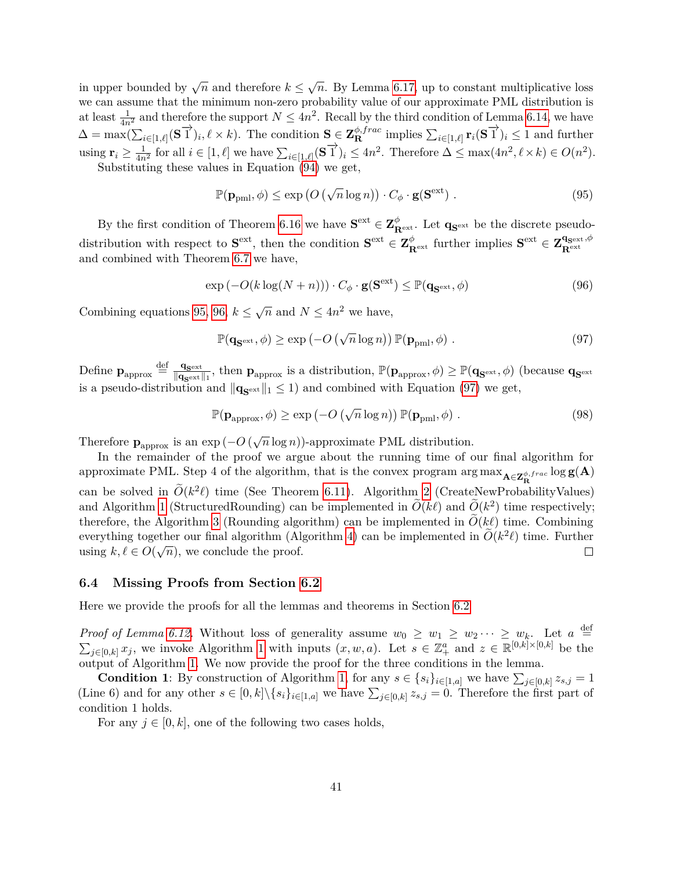in upper bounded by  $\sqrt{n}$  and therefore  $k \leq \sqrt{n}$ . By Lemma [6.17,](#page-39-3) up to constant multiplicative loss we can assume that the minimum non-zero probability value of our approximate PML distribution is at least  $\frac{1}{4n^2}$  and therefore the support  $N \le 4n^2$ . Recall by the third condition of Lemma [6.14,](#page-38-1) we have  $\Delta = \max(\sum_{i \in [1,\ell]} (\mathbf{S}^{\text{max}})_{i}, \ell \times k).$  The condition  $\mathbf{S} \in \mathbf{Z}_{\mathbf{R}}^{\phi,frac}$  implies  $\sum_{i \in [1,\ell]} \mathbf{r}_{i} (\mathbf{S}^{\text{max}})_{i} \leq 1$  and further using  $\mathbf{r}_i \geq \frac{1}{4n^2}$  for all  $i \in [1, \ell]$  we have  $\sum_{i \in [1, \ell]} (\mathbf{S} \vec{\mathbf{1}})_i \leq 4n^2$ . Therefore  $\Delta \leq \max(4n^2, \ell \times k) \in O(n^2)$ .

Substituting these values in Equation [\(94\)](#page-40-5) we get,

<span id="page-41-1"></span>
$$
\mathbb{P}(\mathbf{p}_{pml}, \phi) \le \exp\left(O\left(\sqrt{n}\log n\right)\right) \cdot C_{\phi} \cdot \mathbf{g}(\mathbf{S}^{\text{ext}}) \tag{95}
$$

By the first condition of Theorem [6.16](#page-39-1) we have  $S^{\text{ext}} \in \mathbb{Z}_{R^{\text{ext}}}^{\phi}$ . Let  $q_{S^{\text{ext}}}$  be the discrete pseudo- $\mathbf{S}_{\text{ext}}$  is  $\mathbf{S}_{\text{ext}}$ , then the condition  $\mathbf{S}_{\text{ext}} \in \mathbf{Z}_{\text{R}_{\text{ext}}}^{\phi}$  further implies  $\mathbf{S}_{\text{ext}} \in \mathbf{Z}_{\text{R}_{\text{ext}}}^{\mathbf{q}_{\text{ext}},\phi}$ **R**ext and combined with Theorem [6.7](#page-32-1) we have,

<span id="page-41-2"></span>
$$
\exp(-O(k\log(N+n))) \cdot C_{\phi} \cdot \mathbf{g}(\mathbf{S}^{\text{ext}}) \leq \mathbb{P}(\mathbf{q}_{\mathbf{S}^{\text{ext}}}, \phi)
$$
\n(96)

Combining equations [95,](#page-41-1) [96,](#page-41-2)  $k \leq \sqrt{n}$  and  $N \leq 4n^2$  we have,

<span id="page-41-3"></span>
$$
\mathbb{P}(\mathbf{q}_{\mathbf{S}^{\text{ext}}}, \phi) \ge \exp(-O\left(\sqrt{n}\log n\right)) \mathbb{P}(\mathbf{p}_{\text{pml}}, \phi) \tag{97}
$$

Define  $\mathbf{p}_{\text{approx}} \stackrel{\text{def}}{=} \frac{\mathbf{q}_{\text{sext}}}{\|\mathbf{q}_{\text{sext}}\|}$  $\frac{\mathbf{q}_{\mathbf{S}^{\text{ext}}}}{\|\mathbf{q}_{\mathbf{S}^{\text{ext}}}\|_1}$ , then  $\mathbf{p}_{\text{approx}}$  is a distribution,  $\mathbb{P}(\mathbf{p}_{\text{approx}}, \phi) \geq \mathbb{P}(\mathbf{q}_{\mathbf{S}^{\text{ext}}}, \phi)$  (because  $\mathbf{q}_{\mathbf{S}^{\text{ext}}}$ ) is a pseudo-distribution and  $\|\mathbf{q}_{\mathbf{S}^{\text{ext}}}\|_1 \leq 1$  and combined with Equation [\(97\)](#page-41-3) we get,

$$
\mathbb{P}(\mathbf{p}_{\text{approx}}, \phi) \ge \exp(-O\left(\sqrt{n}\log n\right)) \mathbb{P}(\mathbf{p}_{\text{pml}}, \phi) \tag{98}
$$

Therefore  $\mathbf{p}_{\text{approx}}$  is an  $\exp(-O(\sqrt{n}\log n))$ -approximate PML distribution.

In the remainder of the proof we argue about the running time of our final algorithm for  $\alpha$  approximate PML. Step 4 of the algorithm, that is the convex program  $\arg\max_{\mathbf{A}\in\mathbf{Z}_{\mathbf{R}}^{\phi,frac}\{R}}\log g(\mathbf{A})$ can be solved in  $\widetilde{O}(k^2\ell)$  time (See Theorem [6.11\)](#page-34-4). Algorithm [2](#page-37-0) (CreateNewProbabilityValues) and Algorithm [1](#page-36-0) (StructuredRounding) can be implemented in  $\widetilde{O}(k\ell)$  and  $\widetilde{O}(k^2)$  time respectively; therefore, the Algorithm [3](#page-38-0) (Rounding algorithm) can be implemented in  $O(k\ell)$  time. Combining everything together our final algorithm (Algorithm [4\)](#page-36-2) can be implemented in  $\tilde{O}(k^2\ell)$  time. Further using  $k, \ell \in O(\sqrt{n})$ , we conclude the proof.  $\Box$ 

#### <span id="page-41-0"></span>**6.4 Missing Proofs from Section [6.2](#page-34-0)**

Here we provide the proofs for all the lemmas and theorems in Section [6.2](#page-34-0)

*Proof of Lemma [6.12.](#page-36-3)* Without loss of generality assume  $w_0 \geq w_1 \geq w_2 \cdots \geq w_k$ . Let  $a \stackrel{\text{def}}{=}$  $\sum_{j\in[0,k]}x_j$ , we invoke Algorithm [1](#page-36-0) with inputs  $(x, w, a)$ . Let  $s \in \mathbb{Z}_+^a$  and  $z \in \mathbb{R}^{[0,k]\times[0,k]}$  be the output of Algorithm [1.](#page-36-0) We now provide the proof for the three conditions in the lemma.

**Condition 1**: By construction of Algorithm [1,](#page-36-0) for any  $s \in \{s_i\}_{i \in [1,a]}$  we have  $\sum_{j \in [0,k]} z_{s,j} = 1$ (Line 6) and for any other  $s \in [0,k] \setminus \{s_i\}_{i \in [1,a]}$  we have  $\sum_{j \in [0,k]} z_{s,j} = 0$ . Therefore the first part of condition 1 holds.

For any  $j \in [0, k]$ , one of the following two cases holds,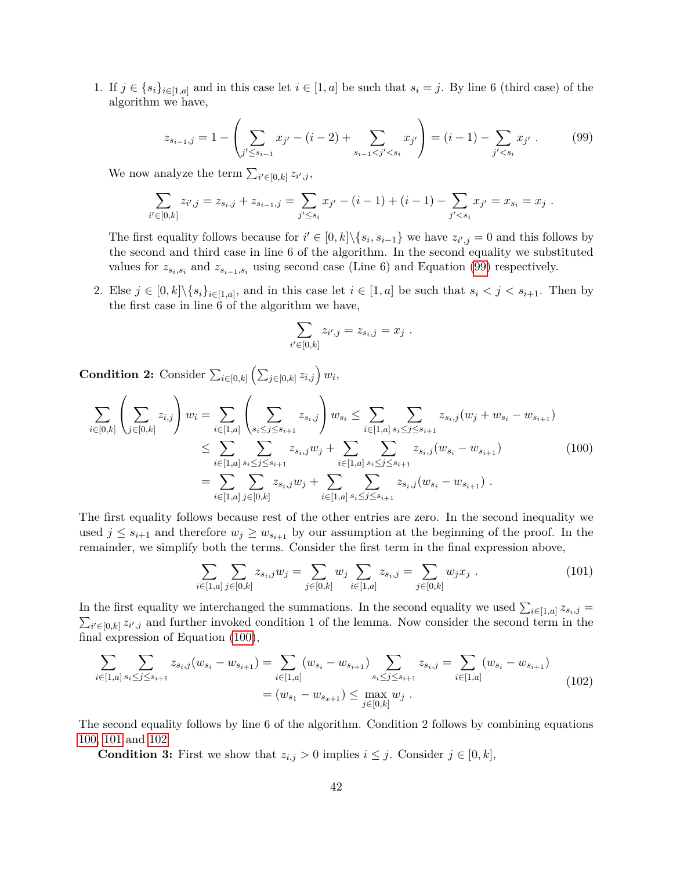1. If  $j \in \{s_i\}_{i \in [1,a]}$  and in this case let  $i \in [1,a]$  be such that  $s_i = j$ . By line 6 (third case) of the algorithm we have,

<span id="page-42-0"></span>
$$
z_{s_{i-1},j} = 1 - \left(\sum_{j' \le s_{i-1}} x_{j'} - (i-2) + \sum_{s_{i-1} < j' < s_i} x_{j'}\right) = (i-1) - \sum_{j' < s_i} x_{j'} \tag{99}
$$

We now analyze the term  $\sum_{i' \in [0,k]} z_{i',j}$ ,

$$
\sum_{i' \in [0,k]} z_{i',j} = z_{s_i,j} + z_{s_{i-1},j} = \sum_{j' \le s_i} x_{j'} - (i-1) + (i-1) - \sum_{j' < s_i} x_{j'} = x_{s_i} = x_j.
$$

The first equality follows because for  $i' \in [0, k] \setminus \{s_i, s_{i-1}\}\$  we have  $z_{i', j} = 0$  and this follows by the second and third case in line 6 of the algorithm. In the second equality we substituted values for  $z_{s_i,s_i}$  and  $z_{s_{i-1},s_i}$  using second case (Line 6) and Equation [\(99\)](#page-42-0) respectively.

2. Else  $j \in [0,k] \setminus \{s_i\}_{i \in [1,a]}$ , and in this case let  $i \in [1,a]$  be such that  $s_i < j < s_{i+1}$ . Then by the first case in line 6 of the algorithm we have,

$$
\sum_{i' \in [0,k]} z_{i',j} = z_{s_i,j} = x_j .
$$

**Condition 2:** Consider  $\sum_{i \in [0,k]} \left( \sum_{j \in [0,k]} z_{i,j} \right) w_i$ 

<span id="page-42-1"></span>
$$
\sum_{i \in [0,k]} \left( \sum_{j \in [0,k]} z_{i,j} \right) w_i = \sum_{i \in [1,a]} \left( \sum_{s_i \leq j \leq s_{i+1}} z_{s_i,j} \right) w_{s_i} \leq \sum_{i \in [1,a]} \sum_{s_i \leq j \leq s_{i+1}} z_{s_i,j} (w_j + w_{s_i} - w_{s_{i+1}})
$$
\n
$$
\leq \sum_{i \in [1,a]} \sum_{s_i \leq j \leq s_{i+1}} z_{s_i,j} w_j + \sum_{i \in [1,a]} \sum_{s_i \leq j \leq s_{i+1}} z_{s_i,j} (w_{s_i} - w_{s_{i+1}})
$$
\n
$$
= \sum_{i \in [1,a]} \sum_{j \in [0,k]} z_{s_i,j} w_j + \sum_{i \in [1,a]} \sum_{s_i \leq j \leq s_{i+1}} z_{s_i,j} (w_{s_i} - w_{s_{i+1}}).
$$
\n(100)

The first equality follows because rest of the other entries are zero. In the second inequality we used  $j \leq s_{i+1}$  and therefore  $w_j \geq w_{s_{i+1}}$  by our assumption at the beginning of the proof. In the remainder, we simplify both the terms. Consider the first term in the final expression above,

<span id="page-42-2"></span>
$$
\sum_{i \in [1,a]} \sum_{j \in [0,k]} z_{s_i,j} w_j = \sum_{j \in [0,k]} w_j \sum_{i \in [1,a]} z_{s_i,j} = \sum_{j \in [0,k]} w_j x_j . \qquad (101)
$$

In the first equality we interchanged the summations. In the second equality we used  $\sum_{i\in[1,a]} z_{s_i,j} =$  $\sum_{i' \in [0,k]} z_{i',j}$  and further invoked condition 1 of the lemma. Now consider the second term in the final expression of Equation [\(100\)](#page-42-1),

<span id="page-42-3"></span>
$$
\sum_{i \in [1,a]} \sum_{s_i \leq j \leq s_{i+1}} z_{s_i,j}(w_{s_i} - w_{s_{i+1}}) = \sum_{i \in [1,a]} (w_{s_i} - w_{s_{i+1}}) \sum_{s_i \leq j \leq s_{i+1}} z_{s_i,j} = \sum_{i \in [1,a]} (w_{s_i} - w_{s_{i+1}})
$$
\n
$$
= (w_{s_1} - w_{s_{s+1}}) \leq \max_{j \in [0,k]} w_j.
$$
\n(102)

The second equality follows by line 6 of the algorithm. Condition 2 follows by combining equations [100,](#page-42-1) [101](#page-42-2) and [102.](#page-42-3)

**Condition 3:** First we show that  $z_{i,j} > 0$  implies  $i \leq j$ . Consider  $j \in [0, k]$ ,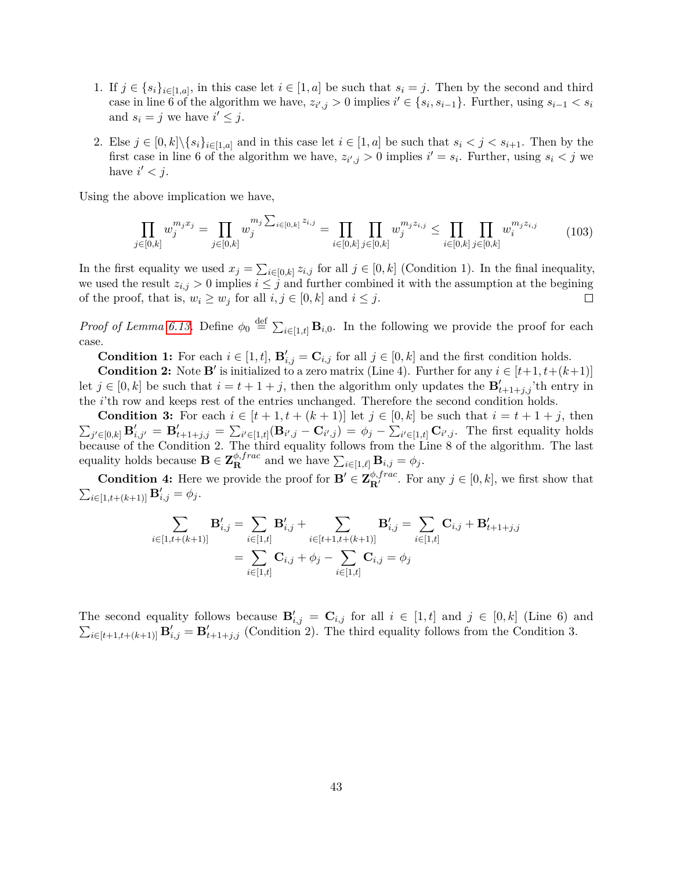- 1. If  $j \in \{s_i\}_{i \in [1,a]}$ , in this case let  $i \in [1,a]$  be such that  $s_i = j$ . Then by the second and third case in line 6 of the algorithm we have,  $z_{i',j} > 0$  implies  $i' \in \{s_i, s_{i-1}\}$ . Further, using  $s_{i-1} < s_i$ and  $s_i = j$  we have  $i' \leq j$ .
- 2. Else  $j \in [0, k] \setminus \{s_i\}_{i \in [1, a]}$  and in this case let  $i \in [1, a]$  be such that  $s_i < j < s_{i+1}$ . Then by the first case in line 6 of the algorithm we have,  $z_{i',j} > 0$  implies  $i' = s_i$ . Further, using  $s_i < j$  we have  $i' < j$ .

Using the above implication we have,

$$
\prod_{j \in [0,k]} w_j^{m_j x_j} = \prod_{j \in [0,k]} w_j^{m_j \sum_{i \in [0,k]} z_{i,j}} = \prod_{i \in [0,k]} \prod_{j \in [0,k]} w_j^{m_j z_{i,j}} \le \prod_{i \in [0,k]} \prod_{j \in [0,k]} w_i^{m_j z_{i,j}} \tag{103}
$$

In the first equality we used  $x_j = \sum_{i \in [0,k]} z_{i,j}$  for all  $j \in [0,k]$  (Condition 1). In the final inequality, we used the result  $z_{i,j} > 0$  implies  $i \leq j$  and further combined it with the assumption at the begining of the proof, that is,  $w_i \geq w_j$  for all  $i, j \in [0, k]$  and  $i \leq j$ .  $\Box$ 

*Proof of Lemma [6.13.](#page-37-1)* Define  $\phi_0 \stackrel{\text{def}}{=} \sum_{i \in [1,t]} \mathbf{B}_{i,0}$ . In the following we provide the proof for each case.

**Condition 1:** For each  $i \in [1, t]$ ,  $\mathbf{B}'_{i,j} = \mathbf{C}_{i,j}$  for all  $j \in [0, k]$  and the first condition holds.

**Condition 2:** Note **B**' is initialized to a zero matrix (Line 4). Further for any  $i \in [t+1, t+(k+1)]$ let  $j \in [0, k]$  be such that  $i = t + 1 + j$ , then the algorithm only updates the  $\mathbf{B}'_{t+1+j,j}$  th entry in the *i*'th row and keeps rest of the entries unchanged. Therefore the second condition holds.

**Condition 3:** For each  $i \in [t+1, t+(k+1)]$  let  $j \in [0, k]$  be such that  $i = t+1+j$ , then  $\sum_{j'\in[0,k]} \mathbf{B}'_{i,j'} = \mathbf{B}'_{t+1+j,j} = \sum_{i'\in[1,t]} (\mathbf{B}_{i',j} - \mathbf{C}_{i',j}) = \phi_j - \sum_{i'\in[1,t]} \mathbf{C}_{i',j}.$  The first equality holds because of the Condition 2. The third equality follows from the Line 8 of the algorithm. The last equality holds because  $\mathbf{B} \in \mathbf{Z}_{\mathbf{R}}^{\phi, frac}$  and we have  $\sum_{i \in [1,\ell]} \mathbf{B}_{i,j} = \phi_j$ .

**Condition 4:** Here we provide the proof for  $\mathbf{B}' \in \mathbf{Z}_{\mathbf{R}'}^{\phi, frac}$ . For any  $j \in [0, k]$ , we first show that  $\sum_{i \in [1, t + (k+1)]} \mathbf{B}'_{i,j} = \phi_j.$ 

$$
\sum_{i \in [1, t+(k+1)]} \mathbf{B}'_{i,j} = \sum_{i \in [1,t]} \mathbf{B}'_{i,j} + \sum_{i \in [t+1, t+(k+1)]} \mathbf{B}'_{i,j} = \sum_{i \in [1,t]} \mathbf{C}_{i,j} + \mathbf{B}'_{t+1+j,j}
$$

$$
= \sum_{i \in [1,t]} \mathbf{C}_{i,j} + \phi_j - \sum_{i \in [1,t]} \mathbf{C}_{i,j} = \phi_j
$$

The second equality follows because  $\mathbf{B}'_{i,j} = \mathbf{C}_{i,j}$  for all  $i \in [1, t]$  and  $j \in [0, k]$  (Line 6) and  $\sum_{i\in[t+1,t+(k+1)]} \mathbf{B}'_{i,j} = \mathbf{B}'_{t+1+j,j}$  (Condition 2). The third equality follows from the Condition 3.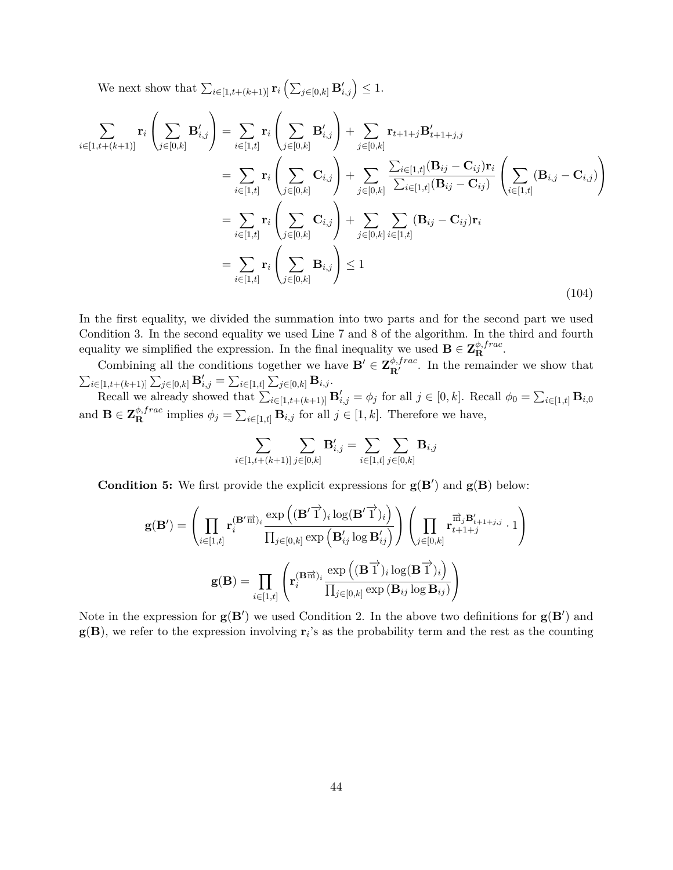We next show that  $\sum_{i\in[1,t+(k+1)]} \mathbf{r}_i \left( \sum_{j\in[0,k]} \mathbf{B}'_{i,j} \right) \leq 1.$ 

$$
\sum_{i \in [1, t+(k+1)]} \mathbf{r}_{i} \left( \sum_{j \in [0,k]} \mathbf{B}'_{i,j} \right) = \sum_{i \in [1,t]} \mathbf{r}_{i} \left( \sum_{j \in [0,k]} \mathbf{B}'_{i,j} \right) + \sum_{j \in [0,k]} \mathbf{r}_{t+1+j} \mathbf{B}'_{t+1+j,j} \n= \sum_{i \in [1,t]} \mathbf{r}_{i} \left( \sum_{j \in [0,k]} \mathbf{C}_{i,j} \right) + \sum_{j \in [0,k]} \frac{\sum_{i \in [1,t]} (\mathbf{B}_{ij} - \mathbf{C}_{ij}) \mathbf{r}_{i}}{\sum_{i \in [1,t]} (\mathbf{B}_{ij} - \mathbf{C}_{ij})} \left( \sum_{i \in [1,t]} (\mathbf{B}_{i,j} - \mathbf{C}_{i,j}) \right) \n= \sum_{i \in [1,t]} \mathbf{r}_{i} \left( \sum_{j \in [0,k]} \mathbf{C}_{i,j} \right) + \sum_{j \in [0,k]} \sum_{i \in [1,t]} (\mathbf{B}_{ij} - \mathbf{C}_{ij}) \mathbf{r}_{i} \n= \sum_{i \in [1,t]} \mathbf{r}_{i} \left( \sum_{j \in [0,k]} \mathbf{B}_{i,j} \right) \le 1
$$
\n(104)

In the first equality, we divided the summation into two parts and for the second part we used Condition 3. In the second equality we used Line 7 and 8 of the algorithm. In the third and fourth equality we simplified the expression. In the final inequality we used  $\mathbf{B} \in \mathbf{Z}_{\mathbf{R}}^{\phi, frac}$ .

Combining all the conditions together we have  $\mathbf{B}' \in \mathbf{Z}_{\mathbf{R}'}^{\phi, frac}$ . In the remainder we show that  $\sum_{i \in [1, t+(k+1)]} \sum_{j \in [0,k]} \mathbf{B}'_{i,j} = \sum_{i \in [1,t]} \sum_{j \in [0,k]} \mathbf{B}_{i,j}.$ 

Recall we already showed that  $\sum_{i\in[1,t+(k+1)]} \mathbf{B}'_{i,j} = \phi_j$  for all  $j \in [0,k]$ . Recall  $\phi_0 = \sum_{i\in[1,t]} \mathbf{B}_{i,0}$ and  $\mathbf{B} \in \mathbf{Z}_{\mathbf{R}}^{\phi, frac}$  implies  $\phi_j = \sum_{i \in [1,t]} \mathbf{B}_{i,j}$  for all  $j \in [1, k]$ . Therefore we have,

$$
\sum_{i \in [1,t+(k+1)]} \sum_{j \in [0,k]} \mathbf{B}'_{i,j} = \sum_{i \in [1,t]} \sum_{j \in [0,k]} \mathbf{B}_{i,j}
$$

**Condition 5:** We first provide the explicit expressions for  $g(B')$  and  $g(B)$  below:

$$
\mathbf{g}(\mathbf{B}') = \left(\prod_{i \in [1,t]} \mathbf{r}_{i}^{(\mathbf{B}'\overrightarrow{\mathbf{n}})_{i}} \frac{\exp\left((\mathbf{B}'\overrightarrow{1})_{i}\log(\mathbf{B}'\overrightarrow{1})_{i}\right)}{\prod_{j \in [0,k]} \exp\left(\mathbf{B}'_{ij}\log\mathbf{B}'_{ij}\right)}\right) \left(\prod_{j \in [0,k]} \mathbf{r}_{t+1+j}^{\overrightarrow{\mathbf{m}}_{j}\mathbf{B}'_{t+1+j,j}} \cdot 1\right)
$$

$$
\mathbf{g}(\mathbf{B}) = \prod_{i \in [1,t]} \left(\mathbf{r}_{i}^{(\mathbf{B}\overrightarrow{\mathbf{n}})_{i}} \frac{\exp\left((\mathbf{B}\overrightarrow{1})_{i}\log(\mathbf{B}\overrightarrow{1})_{i}\right)}{\prod_{j \in [0,k]} \exp\left(\mathbf{B}_{ij}\log\mathbf{B}_{ij}\right)}\right)
$$

Note in the expression for  $g(B')$  we used Condition 2. In the above two definitions for  $g(B')$  and  $g(B)$ , we refer to the expression involving  $r_i$ 's as the probability term and the rest as the counting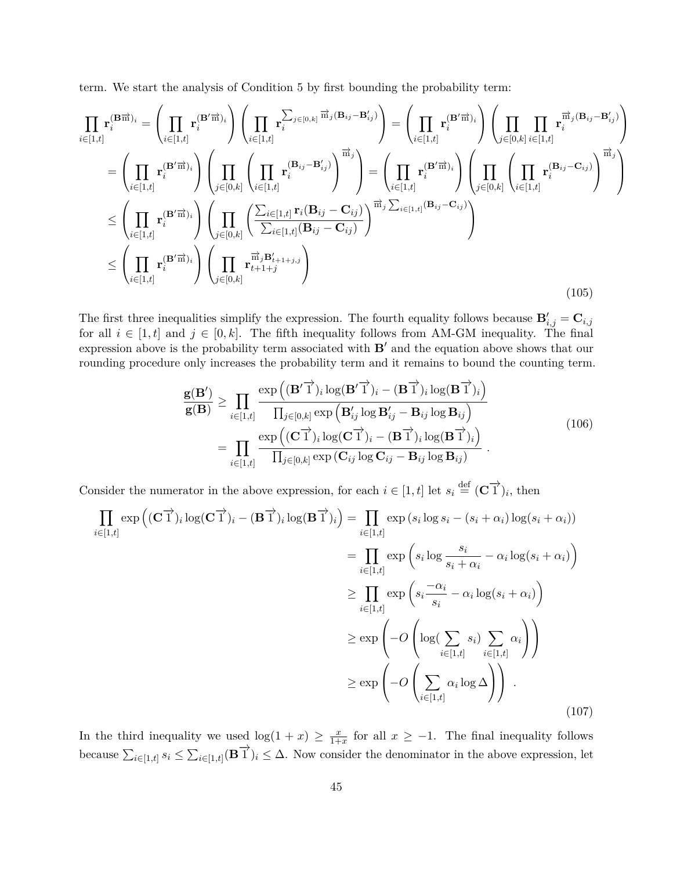term. We start the analysis of Condition 5 by first bounding the probability term:

$$
\prod_{i\in[1,t]} \mathbf{r}_{i}^{(\mathbf{B}\overrightarrow{\mathbf{n}})_{i}} = \left(\prod_{i\in[1,t]} \mathbf{r}_{i}^{(\mathbf{B}'\overrightarrow{\mathbf{n}})_{i}}\right) \left(\prod_{i\in[1,t]} \mathbf{r}_{i}^{\sum_{j\in[0,k]} \overrightarrow{\mathbf{m}}_{j}(\mathbf{B}_{ij} - \mathbf{B}'_{ij})}\right) = \left(\prod_{i\in[1,t]} \mathbf{r}_{i}^{(\mathbf{B}'\overrightarrow{\mathbf{n}})_{i}}\right) \left(\prod_{j\in[0,k]} \prod_{i\in[1,t]} \mathbf{r}_{i}^{\overrightarrow{\mathbf{m}}_{j}(\mathbf{B}_{ij} - \mathbf{B}'_{ij})}\right)
$$
\n
$$
= \left(\prod_{i\in[1,t]} \mathbf{r}_{i}^{(\mathbf{B}'\overrightarrow{\mathbf{n}})_{i}}\right) \left(\prod_{j\in[0,k]} \left(\prod_{i\in[1,t]} \mathbf{r}_{i}^{(\mathbf{B}_{ij} - \mathbf{B}'_{ij})}\right)^{\overrightarrow{\mathbf{m}}_{j}}\right) = \left(\prod_{i\in[1,t]} \mathbf{r}_{i}^{(\mathbf{B}'\overrightarrow{\mathbf{n}})_{i}}\right) \left(\prod_{j\in[0,k]} \left(\prod_{i\in[1,t]} \mathbf{r}_{i}^{(\mathbf{B}_{ij} - \mathbf{C}_{ij})}\right)^{\overrightarrow{\mathbf{m}}_{j}}\right)
$$
\n
$$
\leq \left(\prod_{i\in[1,t]} \mathbf{r}_{i}^{(\mathbf{B}'\overrightarrow{\mathbf{n}})_{i}}\right) \left(\prod_{j\in[0,k]} \left(\frac{\sum_{i\in[1,t]} \mathbf{r}_{i}(\mathbf{B}_{ij} - \mathbf{C}_{ij})}{\sum_{i\in[1,t]} (\mathbf{B}_{ij} - \mathbf{C}_{ij})}\right)^{\overrightarrow{\mathbf{m}}_{j} \sum_{i\in[1,t]} (\mathbf{B}_{ij} - \mathbf{C}_{ij})}\right)
$$
\n
$$
\leq \left(\prod_{i\in[1,t]} \mathbf{r}_{i}^{(\mathbf{B}'\overrightarrow{\mathbf{n}})_{i}}\right) \left(\prod_{j\in[0,k]} \frac{\overrightarrow{\mathbf{n}}_{j} \mathbf{B}'_{i+1+j,j}}{\sum_{i\in[1,t]}
$$

The first three inequalities simplify the expression. The fourth equality follows because  $\mathbf{B}'_{i,j} = \mathbf{C}_{i,j}$ for all  $i \in [1, t]$  and  $j \in [0, k]$ . The fifth inequality follows from AM-GM inequality. The final expression above is the probability term associated with  $B'$  and the equation above shows that our rounding procedure only increases the probability term and it remains to bound the counting term.

$$
\frac{\mathbf{g}(\mathbf{B}')}{\mathbf{g}(\mathbf{B})} \geq \prod_{i \in [1,t]} \frac{\exp((\mathbf{B}'\vec{\mathbf{1}})_i \log(\mathbf{B}'\vec{\mathbf{1}})_i - (\mathbf{B}\vec{\mathbf{1}})_i \log(\mathbf{B}\vec{\mathbf{1}})_i)}{\prod_{j \in [0,k]} \exp(\mathbf{B}'_{ij} \log \mathbf{B}'_{ij} - \mathbf{B}_{ij} \log \mathbf{B}_{ij})}
$$
\n
$$
= \prod_{i \in [1,t]} \frac{\exp((\mathbf{C}\vec{\mathbf{1}})_i \log(\mathbf{C}\vec{\mathbf{1}})_i - (\mathbf{B}\vec{\mathbf{1}})_i \log(\mathbf{B}\vec{\mathbf{1}})_i)}{\prod_{j \in [0,k]} \exp(\mathbf{C}_{ij} \log \mathbf{C}_{ij} - \mathbf{B}_{ij} \log \mathbf{B}_{ij})}.
$$
\n(106)

Consider the numerator in the above expression, for each  $i \in [1, t]$  let  $s_i \stackrel{\text{def}}{=} (\mathbf{C} \overrightarrow{1})_i$ , then

$$
\prod_{i \in [1,t]} \exp\left((\mathbf{C}^{\top})_i \log(\mathbf{C}^{\top})_i - (\mathbf{B}^{\top})_i \log(\mathbf{B}^{\top})_i\right) = \prod_{i \in [1,t]} \exp\left(s_i \log s_i - (s_i + \alpha_i) \log(s_i + \alpha_i)\right)
$$
\n
$$
= \prod_{i \in [1,t]} \exp\left(s_i \log \frac{s_i}{s_i + \alpha_i} - \alpha_i \log(s_i + \alpha_i)\right)
$$
\n
$$
\geq \prod_{i \in [1,t]} \exp\left(s_i \frac{-\alpha_i}{s_i} - \alpha_i \log(s_i + \alpha_i)\right)
$$
\n
$$
\geq \exp\left(-O\left(\log(\sum_{i \in [1,t]} s_i) \sum_{i \in [1,t]} \alpha_i\right)\right)
$$
\n
$$
\geq \exp\left(-O\left(\sum_{i \in [1,t]} \alpha_i \log \Delta\right)\right).
$$
\n(107)

In the third inequality we used  $log(1 + x) \ge \frac{x}{1+x}$  $\frac{x}{1+x}$  for all  $x \ge -1$ . The final inequality follows because  $\sum_{i\in[1,t]} s_i \leq \sum_{i\in[1,t]} (\mathbf{B}^{\text{T}})_i \leq \Delta$ . Now consider the denominator in the above expression, let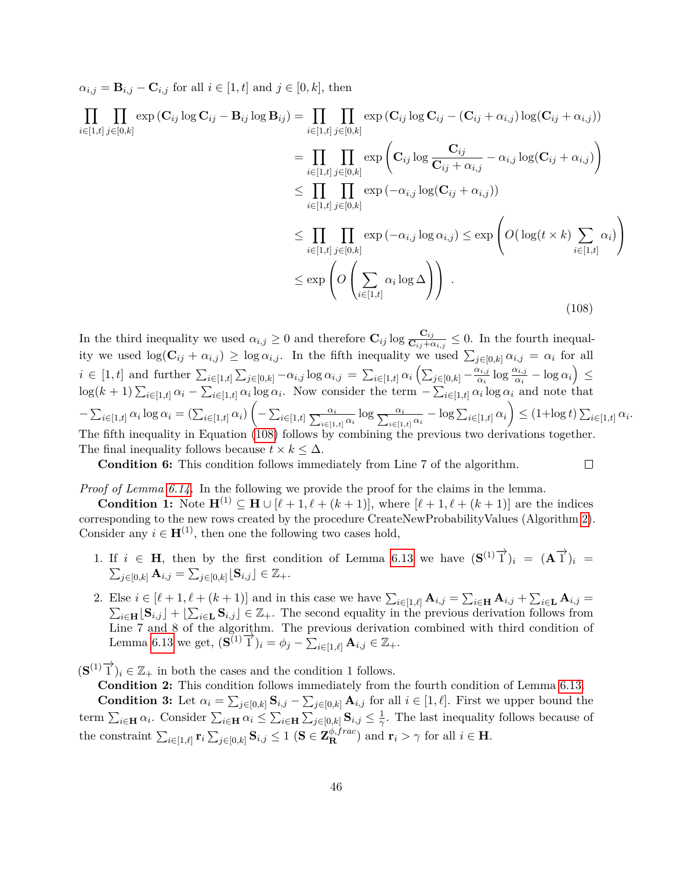$\alpha_{i,j} = \mathbf{B}_{i,j} - \mathbf{C}_{i,j}$  for all  $i \in [1, t]$  and  $j \in [0, k]$ , then

 $\Pi$   $\Pi$  $i ∈ [1,t]$   $j ∈ [0,k]$ *j*∈[0*,k*]  $\exp\left(\mathbf{C}_{ij}\log\mathbf{C}_{ij}-\mathbf{B}_{ij}\log\mathbf{B}_{ij}\right)=\prod_{i=1}^{n}$ *i*∈[1*,t*]  $\Pi$ *j*∈[0*,k*]  $\exp\left(\mathbf{C}_{ij}\log\mathbf{C}_{ij}-(\mathbf{C}_{ij}+\alpha_{i,j})\log(\mathbf{C}_{ij}+\alpha_{i,j})\right)$ 

<span id="page-46-0"></span>
$$
= \prod_{i \in [1,t]} \prod_{j \in [0,k]} \exp \left( \mathbf{C}_{ij} \log \frac{\mathbf{C}_{ij}}{\mathbf{C}_{ij} + \alpha_{i,j}} - \alpha_{i,j} \log(\mathbf{C}_{ij} + \alpha_{i,j}) \right)
$$
  
\n
$$
\leq \prod_{i \in [1,t]} \prod_{j \in [0,k]} \exp \left( -\alpha_{i,j} \log(\mathbf{C}_{ij} + \alpha_{i,j}) \right)
$$
  
\n
$$
\leq \prod_{i \in [1,t]} \prod_{j \in [0,k]} \exp \left( -\alpha_{i,j} \log \alpha_{i,j} \right) \leq \exp \left( O \left( \log(t \times k) \sum_{i \in [1,t]} \alpha_i \right) \right)
$$
  
\n
$$
\leq \exp \left( O \left( \sum_{i \in [1,t]} \alpha_i \log \Delta \right) \right).
$$
\n(108)

In the third inequality we used  $\alpha_{i,j} \geq 0$  and therefore  $\mathbf{C}_{ij} \log \frac{\mathbf{C}_{ij}}{\mathbf{C}_{ij} + \alpha_{i,j}} \leq 0$ . In the fourth inequality we used  $\log(\mathbf{C}_{ij} + \alpha_{i,j}) \geq \log \alpha_{i,j}$ . In the fifth inequality we used  $\sum_{j \in [0,k]} \alpha_{i,j} = \alpha_i$  for all  $i \in [1, t]$  and further  $\sum_{i \in [1, t]} \sum_{j \in [0, k]} -\alpha_{i,j} \log \alpha_{i,j} = \sum_{i \in [1, t]} \alpha_i \left( \sum_{j \in [0, k]} -\frac{\alpha_{i,j}}{\alpha_i} \right)$  $\frac{\alpha_{i,j}}{\alpha_i} \log \frac{\alpha_{i,j}}{\alpha_i} - \log \alpha_i \right) \leq$  $\log(k+1) \sum_{i\in[1,t]} \alpha_i - \sum_{i\in[1,t]} \alpha_i \log \alpha_i$ . Now consider the term  $-\sum_{i\in[1,t]} \alpha_i \log \alpha_i$  and note that  $-\sum_{i\in[1,t]}\alpha_i\log\alpha_i=(\sum_{i\in[1,t]}\alpha_i)\left(-\sum_{i\in[1,t]}\frac{\alpha_i}{\sum_{i\in[1,t]}\alpha_i}\log\frac{\alpha_i}{\sum_{i\in[1,t]}\alpha_i}-\log\sum_{i\in[1,t]}\alpha_i\right)\leq (1+\log t)\sum_{i\in[1,t]}\alpha_i.$ The fifth inequality in Equation [\(108\)](#page-46-0) follows by combining the previous two derivations together. The final inequality follows because  $t \times k \leq \Delta$ .

 $\Box$ 

**Condition 6:** This condition follows immediately from Line 7 of the algorithm.

*Proof of Lemma [6.14.](#page-38-1)* In the following we provide the proof for the claims in the lemma.

**Condition 1:** Note  $\mathbf{H}^{(1)} \subseteq \mathbf{H} \cup [\ell+1, \ell+(k+1)]$ , where  $[\ell+1, \ell+(k+1)]$  are the indices corresponding to the new rows created by the procedure CreateNewProbabilityValues (Algorithm [2\)](#page-37-0). Consider any  $i \in H^{(1)}$ , then one the following two cases hold,

- 1. If  $i \in H$ , then by the first condition of Lemma [6.13](#page-37-1) we have  $(S^{(1)}\vec{1})_i = (A\vec{1})_i =$  $\sum_{j \in [0,k]} \mathbf{A}_{i,j} = \sum_{j \in [0,k]} [\mathbf{S}_{i,j}] \in \mathbb{Z}_+.$
- 2. Else  $i \in [\ell+1, \ell+(k+1)]$  and in this case we have  $\sum_{i\in[1,\ell]} \mathbf{A}_{i,j} = \sum_{i\in\mathbf{H}} \mathbf{A}_{i,j} + \sum_{i\in\mathbf{L}} \mathbf{A}_{i,j} =$  $\sum_{i\in\mathbf{H}}[\mathbf{S}_{i,j}]+[\sum_{i\in\mathbf{L}}\mathbf{S}_{i,j}]\in\mathbb{Z}_+$ . The second equality in the previous derivation follows from Line 7 and 8 of the algorithm. The previous derivation combined with third condition of Lemma [6.13](#page-37-1) we get,  $(\mathbf{S}^{(1)}\vec{1})_i = \phi_j - \sum_{i\in[1,\ell]} \mathbf{A}_{i,j} \in \mathbb{Z}_+$ .

 $({\bf S}^{(1)}\overrightarrow{1})_i \in \mathbb{Z}_+$  in both the cases and the condition 1 follows.

**Condition 2:** This condition follows immediately from the fourth condition of Lemma [6.13.](#page-37-1) **Condition 3:** Let  $\alpha_i = \sum_{j \in [0,k]} \mathbf{S}_{i,j} - \sum_{j \in [0,k]} \mathbf{A}_{i,j}$  for all  $i \in [1,\ell]$ . First we upper bound the term  $\sum_{i\in\mathbf{H}}\alpha_i$ . Consider  $\sum_{i\in\mathbf{H}}\alpha_i \leq \sum_{i\in\mathbf{H}}\sum_{j\in[0,k]}$   $\mathbf{S}_{i,j} \leq \frac{1}{\gamma}$  $\frac{1}{\gamma}$ . The last inequality follows because of  $\sum_{i \in [1,\ell]} \mathbf{r}_i \sum_{j \in [0,k]} \mathbf{S}_{i,j} \leq 1 \text{ (}\mathbf{S} \in \mathbf{Z}_{\mathbf{R}}^{\phi,frac}$  and  $\mathbf{r}_i > \gamma \text{ for all } i \in \mathbf{H}$ .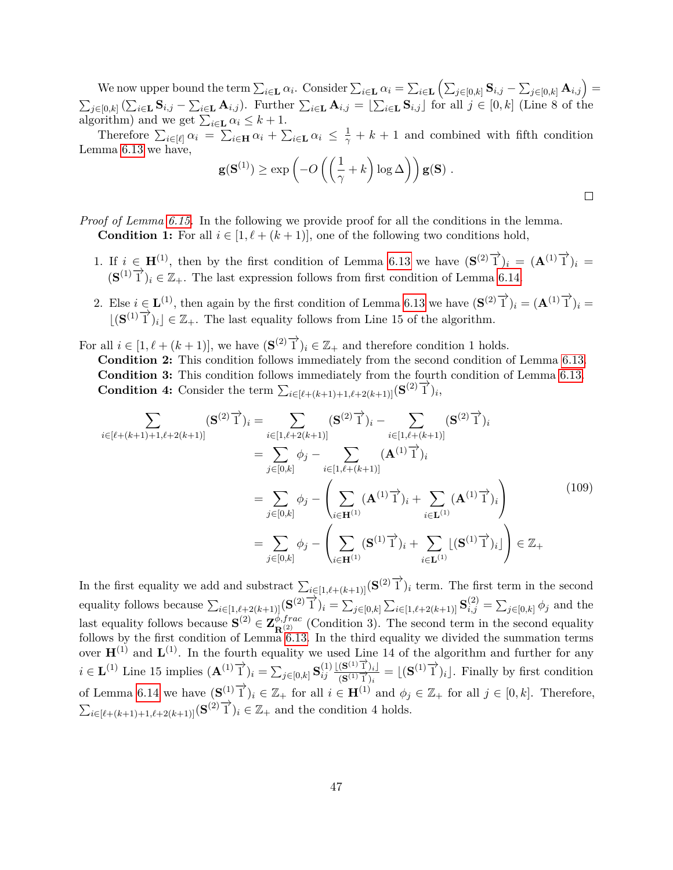We now upper bound the term  $\sum_{i\in \mathbf{L}} \alpha_i$ . Consider  $\sum_{i\in \mathbf{L}} \alpha_i = \sum_{i\in \mathbf{L}} \left( \sum_{j\in [0,k]} \mathbf{S}_{i,j} - \sum_{j\in [0,k]} \mathbf{A}_{i,j} \right) =$  $\sum_{j\in[0,k]}(\sum_{i\in\mathbf{L}}\mathbf{S}_{i,j}-\sum_{i\in\mathbf{L}}\mathbf{A}_{i,j})$ . Further  $\sum_{i\in\mathbf{L}}\mathbf{A}_{i,j}=\lfloor\sum_{i\in\mathbf{L}}\mathbf{S}_{i,j}\rfloor$  for all  $j\in[0,k]$  (Line 8 of the algorithm) and we get  $\sum_{i \in \mathbf{L}} \alpha_i \leq k+1$ .

Therefore  $\sum_{i\in[\ell]} \alpha_i = \sum_{i\in\mathbf{H}} \alpha_i + \sum_{i\in\mathbf{L}} \alpha_i \leq \frac{1}{\gamma} + k + 1$  and combined with fifth condition Lemma [6.13](#page-37-1) we have,

$$
\mathbf{g}(\mathbf{S}^{(1)}) \ge \exp\left(-O\left(\left(\frac{1}{\gamma} + k\right)\log \Delta\right)\right) \mathbf{g}(\mathbf{S}) \ .
$$

## *Proof of Lemma [6.15.](#page-38-2)* In the following we provide proof for all the conditions in the lemma. **Condition 1:** For all  $i \in [1, \ell + (k+1)]$ , one of the following two conditions hold,

- 1. If  $i \in H^{(1)}$ , then by the first condition of Lemma [6.13](#page-37-1) we have  $({\bf S}^{(2)}\vec{\uparrow})_i = ({\bf A}^{(1)}\vec{\uparrow})_i =$  $({\bf S}^{(1)}\vec{\bf 1})_i \in \mathbb{Z}_+$ . The last expression follows from first condition of Lemma [6.14.](#page-38-1)
- 2. Else  $i \in L^{(1)}$ , then again by the first condition of Lemma [6.13](#page-37-1) we have  $({\bf S}^{(2)}\overrightarrow{1})_i = ({\bf A}^{(1)}\overrightarrow{1})_i =$  $\lfloor (\mathbf{S}^{(1)}\mathbf{T})_i \rfloor \in \mathbb{Z}_+$ . The last equality follows from Line 15 of the algorithm.
- For all  $i \in [1, \ell + (k+1)]$ , we have  $(\mathbf{S}^{(2)}\overrightarrow{1})_i \in \mathbb{Z}_+$  and therefore condition 1 holds.
	- **Condition 2:** This condition follows immediately from the second condition of Lemma [6.13.](#page-37-1) **Condition 3:** This condition follows immediately from the fourth condition of Lemma [6.13.](#page-37-1) **Condition 4:** Consider the term  $\sum_{i \in [\ell+(k+1)+1,\ell+2(k+1)]} (\mathbf{S}^{(2)} \mathbf{I})_i$ ,

$$
\sum_{i \in [\ell + (k+1) + 1, \ell + 2(k+1)]} (\mathbf{S}^{(2)} \mathbf{I})_i = \sum_{i \in [1, \ell + 2(k+1)]} (\mathbf{S}^{(2)} \mathbf{I})_i - \sum_{i \in [1, \ell + (k+1)]} (\mathbf{S}^{(2)} \mathbf{I})_i
$$
\n
$$
= \sum_{j \in [0, k]} \phi_j - \sum_{i \in [1, \ell + (k+1)]} (\mathbf{A}^{(1)} \mathbf{I})_i
$$
\n
$$
= \sum_{j \in [0, k]} \phi_j - \left( \sum_{i \in \mathbf{H}^{(1)}} (\mathbf{A}^{(1)} \mathbf{I})_i + \sum_{i \in \mathbf{L}^{(1)}} (\mathbf{A}^{(1)} \mathbf{I})_i \right)
$$
\n
$$
= \sum_{j \in [0, k]} \phi_j - \left( \sum_{i \in \mathbf{H}^{(1)}} (\mathbf{S}^{(1)} \mathbf{I})_i + \sum_{i \in \mathbf{L}^{(1)}} [\mathbf{S}^{(1)} \mathbf{I})_i] \right) \in \mathbb{Z}_+
$$
\n(109)

In the first equality we add and substract  $\sum_{i\in[1,\ell+(k+1)]} (\mathbf{S}^{(2)}\overrightarrow{1})_i$  term. The first term in the second equality follows because  $\sum_{i\in[1,\ell+2(k+1)]} (\mathbf{S}^{(2)}\overrightarrow{1})_i = \sum_{j\in[0,k]} \sum_{i\in[1,\ell+2(k+1)]} \mathbf{S}_{i,j}^{(2)} = \sum_{j\in[0,k]} \phi_j$  and the last equality follows because  $\mathbf{S}^{(2)} \in \mathbf{Z}_{\mathbf{R}^{(2)}}^{\phi, frac}$  (Condition 3). The second term in the second equality follows by the first condition of Lemma [6.13.](#page-37-1) In the third equality we divided the summation terms over  $\mathbf{H}^{(1)}$  and  $\mathbf{L}^{(1)}$ . In the fourth equality we used Line 14 of the algorithm and further for any *i* ∈ **L**<sup>(1)</sup> Line 15 implies  $(\mathbf{A}^{(1)}\vec{\mathbf{T}})_i = \sum_{j \in [0,k]} \mathbf{S}_{ij}^{(1)}$ *ij*  $\lfloor (\mathbf{S}^{(1)}\overrightarrow{1})_i \rfloor$  $\frac{(\mathbf{S}^{(1)}\vec{\mathbf{T}})_{i}}{(\mathbf{S}^{(1)}\vec{\mathbf{T}})_{i}} = [(\mathbf{S}^{(1)}\vec{\mathbf{T}})_{i}].$  Finally by first condition of Lemma [6.14](#page-38-1) we have  $(\mathbf{S}^{(1)}\vec{\mathbf{T}})_i \in \mathbb{Z}_+$  for all  $i \in \mathbf{H}^{(1)}$  and  $\phi_j \in \mathbb{Z}_+$  for all  $j \in [0, k]$ . Therefore,  $\sum_{i \in [\ell + (k+1)+1, \ell + 2(k+1)]} (\mathbf{S}^{(2)} \mathbf{I}^{'})_i \in \mathbb{Z}_+$  and the condition 4 holds.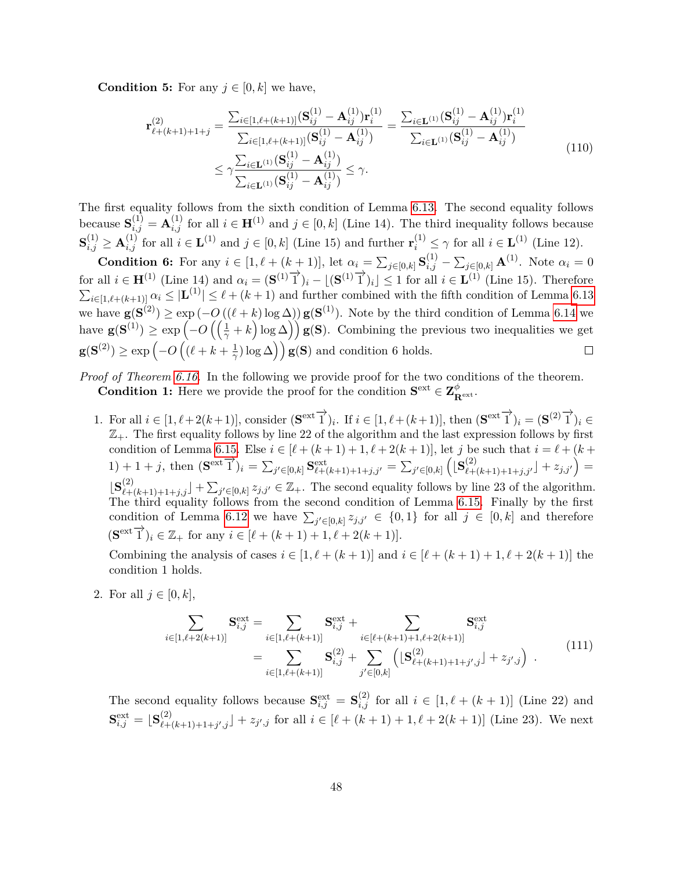**Condition 5:** For any  $j \in [0, k]$  we have,

$$
\mathbf{r}_{\ell+(k+1)+1+j}^{(2)} = \frac{\sum_{i\in[1,\ell+(k+1)]} (\mathbf{S}_{ij}^{(1)} - \mathbf{A}_{ij}^{(1)}) \mathbf{r}_i^{(1)}}{\sum_{i\in[1,\ell+(k+1)]} (\mathbf{S}_{ij}^{(1)} - \mathbf{A}_{ij}^{(1)})} = \frac{\sum_{i\in\mathbf{L}^{(1)}} (\mathbf{S}_{ij}^{(1)} - \mathbf{A}_{ij}^{(1)}) \mathbf{r}_i^{(1)}}{\sum_{i\in\mathbf{L}^{(1)}} (\mathbf{S}_{ij}^{(1)} - \mathbf{A}_{ij}^{(1)})}
$$
\n
$$
\leq \gamma \frac{\sum_{i\in\mathbf{L}^{(1)}} (\mathbf{S}_{ij}^{(1)} - \mathbf{A}_{ij}^{(1)})}{\sum_{i\in\mathbf{L}^{(1)}} (\mathbf{S}_{ij}^{(1)} - \mathbf{A}_{ij}^{(1)})} \leq \gamma.
$$
\n(110)

The first equality follows from the sixth condition of Lemma [6.13.](#page-37-1) The second equality follows because  $S_{i,j}^{(1)} = A_{i,j}^{(1)}$  for all  $i \in H^{(1)}$  and  $j \in [0, k]$  (Line 14). The third inequality follows because  $\mathbf{S}_{i,j}^{(1)} \geq \mathbf{A}_{i,j}^{(1)}$  for all  $i \in \mathbf{L}^{(1)}$  and  $j \in [0,k]$  (Line 15) and further  $\mathbf{r}_i^{(1)} \leq \gamma$  for all  $i \in \mathbf{L}^{(1)}$  (Line 12).

**Condition 6:** For any  $i \in [1, \ell + (k+1)]$ , let  $\alpha_i = \sum_{j \in [0,k]} \mathbf{S}_{i,j}^{(1)} - \sum_{j \in [0,k]} \mathbf{A}^{(1)}$ . Note  $\alpha_i = 0$ for all  $i \in \mathbf{H}^{(1)}$  (Line 14) and  $\alpha_i = (\mathbf{S}^{(1)}\vec{1})_i - \lfloor (\mathbf{S}^{(1)}\vec{1})_i \rfloor \leq 1$  for all  $i \in \mathbf{L}^{(1)}$  (Line 15). Therefore  $\sum_{i\in[1,\ell+(k+1)]}\alpha_i \leq |\mathbf{L}^{(1)}| \leq \ell+(k+1)$  and further combined with the fifth condition of Lemma [6.13](#page-37-1) we have  $$ have  $\mathbf{g}(\mathbf{S}^{(1)}) \ge \exp\left(-O\left(\left(\frac{1}{\gamma}+k\right)\log \Delta\right)\right) \mathbf{g}(\mathbf{S})$ . Combining the previous two inequalities we get  $g(S^{(2)}) \ge \exp\left(-O\left((\ell + k + \frac{1}{\alpha})\right)\right)$  $(\frac{1}{\gamma}) \log \Delta$ ) **g(S)** and condition 6 holds.  $\Box$ 

*Proof of Theorem [6.16.](#page-39-1)* In the following we provide proof for the two conditions of the theorem. **Condition 1:** Here we provide the proof for the condition  $S^{\text{ext}} \in \mathbb{Z}_{R^{\text{ext}}}^{\phi}$ .

1. For all  $i \in [1, \ell + 2(k+1)],$  consider  $(\mathbf{S}^{\text{ext}}\overrightarrow{1})_i$ . If  $i \in [1, \ell + (k+1)],$  then  $(\mathbf{S}^{\text{ext}}\overrightarrow{1})_i = (\mathbf{S}^{(2)}\overrightarrow{1})_i \in$  $\mathbb{Z}_+$ . The first equality follows by line 22 of the algorithm and the last expression follows by first condition of Lemma [6.15.](#page-38-2) Else  $i \in [\ell + (k+1) + 1, \ell + 2(k+1)]$ , let *j* be such that  $i = \ell + (k+1)$ 1) + 1 + j, then  $(\mathbf{S}^{\text{ext}}^{\top})_i = \sum_{j' \in [0,k]} \mathbf{S}^{\text{ext}}_{\ell+(k+1)+1+j,j'} = \sum_{j' \in [0,k]} \left( [\mathbf{S}^{(2)}_{\ell+(k+1)+1+j,j'}] + z_{j,j'} \right) =$  $\left[\mathbf{S}_{\ell+(k+1)+1+j,j}^{(2)}\right] + \sum_{j' \in [0,k]} z_{j,j'} \in \mathbb{Z}_+$ . The second equality follows by line 23 of the algorithm. The third equality follows from the second condition of Lemma [6.15.](#page-38-2) Finally by the first condition of Lemma [6.12](#page-36-3) we have  $\sum_{j' \in [0,k]} z_{j,j'} \in \{0,1\}$  for all  $j \in [0,k]$  and therefore  $(\mathbf{S}^{\text{ext}} \overrightarrow{1})_i \in \mathbb{Z}_+ \text{ for any } i \in [\ell + (k+1) + 1, \ell + 2(k+1)].$ 

Combining the analysis of cases  $i \in [1, \ell + (k+1)]$  and  $i \in [\ell + (k+1) + 1, \ell + 2(k+1)]$  the condition 1 holds.

<span id="page-48-0"></span>2. For all  $j \in [0, k]$ ,

$$
\sum_{i \in [1,\ell+2(k+1)]} \mathbf{S}_{i,j}^{\text{ext}} = \sum_{i \in [1,\ell+(k+1)]} \mathbf{S}_{i,j}^{\text{ext}} + \sum_{i \in [\ell+(k+1)+1,\ell+2(k+1)]} \mathbf{S}_{i,j}^{\text{ext}}
$$
\n
$$
= \sum_{i \in [1,\ell+(k+1)]} \mathbf{S}_{i,j}^{(2)} + \sum_{j' \in [0,k]} \left( \lfloor \mathbf{S}_{\ell+(k+1)+1+j',j}^{(2)} \rfloor + z_{j',j} \right) . \tag{111}
$$

The second equality follows because  $S_{i,j}^{\text{ext}} = S_{i,j}^{(2)}$  for all  $i \in [1, \ell + (k+1)]$  (Line 22) and  $\mathbf{S}_{i,j}^{\text{ext}}=\lfloor \mathbf{S}_{\ell+}^{(2)} \rfloor$  $\chi^{(2)}_{\ell+(k+1)+1+j',j}$  +  $z_{j',j}$  for all  $i \in [\ell+(k+1)+1,\ell+2(k+1)]$  (Line 23). We next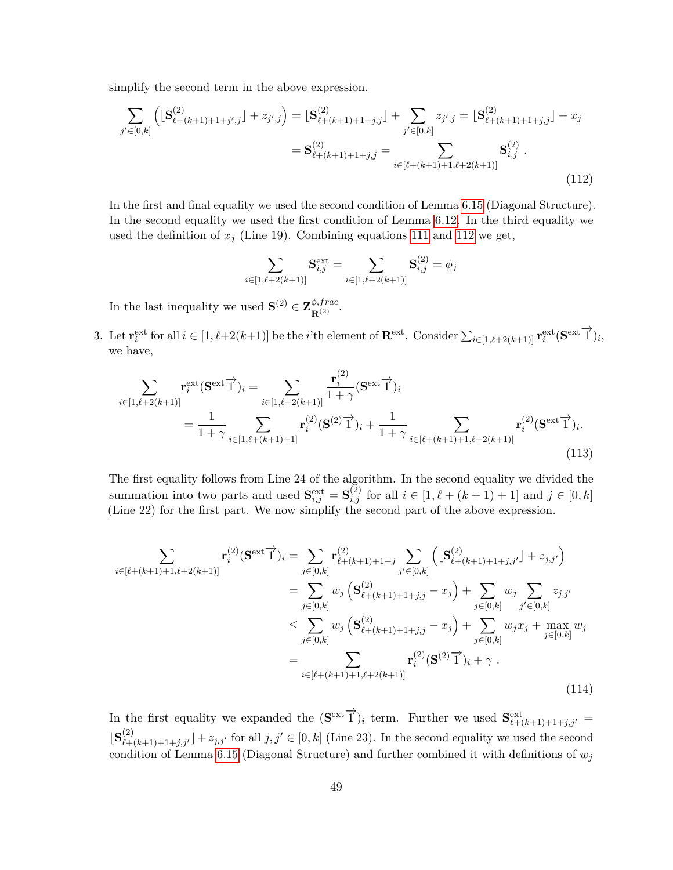simplify the second term in the above expression.

<span id="page-49-0"></span>
$$
\sum_{j' \in [0,k]} \left( \left[ \mathbf{S}_{\ell+(k+1)+1+j',j}^{(2)} \right] + z_{j',j} \right) = \left[ \mathbf{S}_{\ell+(k+1)+1+j,j}^{(2)} \right] + \sum_{j' \in [0,k]} z_{j',j} = \left[ \mathbf{S}_{\ell+(k+1)+1+j,j}^{(2)} \right] + x_j
$$
\n
$$
= \mathbf{S}_{\ell+(k+1)+1+j,j}^{(2)} = \sum_{i \in [\ell+(k+1)+1,\ell+2(k+1)]} \mathbf{S}_{i,j}^{(2)} .
$$
\n(112)

In the first and final equality we used the second condition of Lemma [6.15](#page-38-2) (Diagonal Structure). In the second equality we used the first condition of Lemma [6.12.](#page-36-3) In the third equality we used the definition of  $x_j$  (Line 19). Combining equations [111](#page-48-0) and [112](#page-49-0) we get,

$$
\sum_{i \in [1,\ell+2(k+1)]} \mathbf{S}_{i,j}^{\text{ext}} = \sum_{i \in [1,\ell+2(k+1)]} \mathbf{S}_{i,j}^{(2)} = \phi_j
$$

In the last inequality we used  $\mathbf{S}^{(2)} \in \mathbf{Z}_{\mathbf{R}^{(2)}}^{\phi, frac}$ .

3. Let  $\mathbf{r}^{\text{ext}}_i$  for all  $i \in [1, \ell+2(k+1)]$  be the *i*'th element of  $\mathbf{R}^{\text{ext}}$ . Consider  $\sum_{i \in [1, \ell+2(k+1)]} \mathbf{r}^{\text{ext}}_i(\mathbf{S}^{\text{ext}})$ ; we have,

<span id="page-49-1"></span>
$$
\sum_{i \in [1,\ell+2(k+1)]} \mathbf{r}_{i}^{\text{ext}}(\mathbf{S}^{\text{ext}} \overrightarrow{1})_{i} = \sum_{i \in [1,\ell+2(k+1)]} \frac{\mathbf{r}_{i}^{(2)}}{1+\gamma} (\mathbf{S}^{\text{ext}} \overrightarrow{1})_{i}
$$
\n
$$
= \frac{1}{1+\gamma} \sum_{i \in [1,\ell+(k+1)+1]} \mathbf{r}_{i}^{(2)}(\mathbf{S}^{(2)} \overrightarrow{1})_{i} + \frac{1}{1+\gamma} \sum_{i \in [\ell+(k+1)+1,\ell+2(k+1)]} \mathbf{r}_{i}^{(2)}(\mathbf{S}^{\text{ext}} \overrightarrow{1})_{i}.
$$
\n(113)

The first equality follows from Line 24 of the algorithm. In the second equality we divided the summation into two parts and used  $\mathbf{S}_{i,j}^{\text{ext}} = \mathbf{S}_{i,j}^{(2)}$  for all  $i \in [1, \ell + (k+1) + 1]$  and  $j \in [0, k]$ (Line 22) for the first part. We now simplify the second part of the above expression.

<span id="page-49-2"></span>
$$
\sum_{i \in [\ell+(k+1)+1,\ell+2(k+1)]} \mathbf{r}_{i}^{(2)}(\mathbf{S}^{\text{ext}}\vec{1})_{i} = \sum_{j \in [0,k]} \mathbf{r}_{\ell+(k+1)+1+j}^{(2)} \sum_{j' \in [0,k]} \left( [\mathbf{S}_{\ell+(k+1)+1+j,j'}^{(2)}] + z_{j,j'} \right)
$$
\n
$$
= \sum_{j \in [0,k]} w_{j} (\mathbf{S}_{\ell+(k+1)+1+j,j}^{(2)} - x_{j}) + \sum_{j \in [0,k]} w_{j} \sum_{j' \in [0,k]} z_{j,j'}
$$
\n
$$
\leq \sum_{j \in [0,k]} w_{j} (\mathbf{S}_{\ell+(k+1)+1+j,j}^{(2)} - x_{j}) + \sum_{j \in [0,k]} w_{j}x_{j} + \max_{j \in [0,k]} w_{j}
$$
\n
$$
= \sum_{i \in [\ell+(k+1)+1,\ell+2(k+1)]} \mathbf{r}_{i}^{(2)}(\mathbf{S}^{(2)}\vec{1})_{i} + \gamma .
$$
\n(114)

In the first equality we expanded the  $(\mathbf{S}^{\text{ext}})$ <sup>*i*</sup>)<sub>*i*</sub> term. Further we used  $\mathbf{S}^{\text{ext}}_{\ell+(k+1)+1+j,j'}$  $\mathbf{S}^{(2)}_{\ell+(k+1)+1+j,j'}$  +  $z_{j,j'}$  for all  $j, j' \in [0, k]$  (Line 23). In the second equality we used the second condition of Lemma [6.15](#page-38-2) (Diagonal Structure) and further combined it with definitions of  $w_j$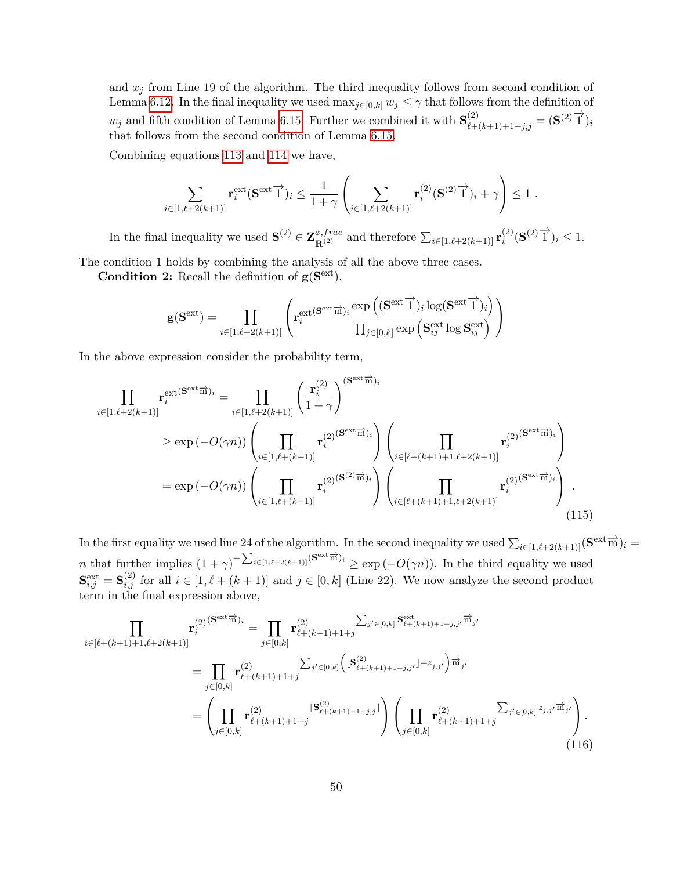and  $x_j$  from Line 19 of the algorithm. The third inequality follows from second condition of Lemma [6.12.](#page-36-3) In the final inequality we used  $\max_{j\in[0,k]} w_j \leq \gamma$  that follows from the definition of  $w_j$  and fifth condition of Lemma [6.15.](#page-38-2) Further we combined it with  $\mathbf{S}^{(2)}_{\ell+(k+1)+1+j,j} = (\mathbf{S}^{(2)}\overrightarrow{1})_i$ that follows from the second condition of Lemma [6.15.](#page-38-2)

Combining equations [113](#page-49-1) and [114](#page-49-2) we have,

$$
\sum_{i\in[1,\ell+2(k+1)]}\mathbf{r}_i^{\text{ext}}(\mathbf{S}^{\text{ext}}\overrightarrow{1})_i \leq \frac{1}{1+\gamma}\left(\sum_{i\in[1,\ell+2(k+1)]}\mathbf{r}_i^{(2)}(\mathbf{S}^{(2)}\overrightarrow{1})_i+\gamma\right)\leq 1.
$$

In the final inequality we used  $\mathbf{S}^{(2)} \in \mathbf{Z}_{\mathbf{R}^{(2)}}^{\phi, frac}$  and therefore  $\sum_{i \in [1,\ell+2(k+1)]} \mathbf{r}_i^{(2)}$  $i^{(2)}$ **(S**<sup>(2)</sup>  $\overrightarrow{1}$ <sup>)</sup> $i \leq 1$ .

The condition 1 holds by combining the analysis of all the above three cases.

**Condition 2:** Recall the definition of  $g(S<sup>ext</sup>)$ ,

$$
\mathbf{g}(\mathbf{S}^\mathrm{ext}) = \prod_{i \in [1,\ell+2(k+1)]} \left( \mathbf{r}^\mathrm{ext(\mathbf{S}^\mathrm{ext} \overrightarrow{m})_i} \frac{\exp\left((\mathbf{S}^\mathrm{ext} \overrightarrow{1})_i \log(\mathbf{S}^\mathrm{ext} \overrightarrow{1})_i\right)}{\prod_{j \in [0,k]} \exp\left(\mathbf{S}^\mathrm{ext}_{ij} \log \mathbf{S}^\mathrm{ext}_{ij}\right)} \right)
$$

In the above expression consider the probability term,

<span id="page-50-1"></span>
$$
\prod_{i \in [1,\ell+2(k+1)]} \mathbf{r}_{i}^{\text{ext}(S^{\text{ext}}\overrightarrow{m})_{i}} = \prod_{i \in [1,\ell+2(k+1)]} \left(\frac{\mathbf{r}_{i}^{(2)}}{1+\gamma}\right)^{S^{\text{ext}}\overrightarrow{m})_{i}}
$$
\n
$$
\geq \exp(-O(\gamma n)) \left(\prod_{i \in [1,\ell+(k+1)]} \mathbf{r}_{i}^{(2)(S^{\text{ext}}\overrightarrow{m})_{i}}\right) \left(\prod_{i \in [\ell+(k+1)+1,\ell+2(k+1)]} \mathbf{r}_{i}^{(2)(S^{\text{ext}}\overrightarrow{m})_{i}}\right)
$$
\n
$$
= \exp(-O(\gamma n)) \left(\prod_{i \in [1,\ell+(k+1)]} \mathbf{r}_{i}^{(2)(S^{\text{ext}}\overrightarrow{m})_{i}}\right) \left(\prod_{i \in [\ell+(k+1)+1,\ell+2(k+1)]} \mathbf{r}_{i}^{(2)(S^{\text{ext}}\overrightarrow{m})_{i}}\right).
$$
\n(115)

In the first equality we used line 24 of the algorithm. In the second inequality we used  $\sum_{i\in [1,\ell+2(k+1)]} (\mathbf{S}^{\text{ext}} \overrightarrow{m})_i =$ *n* that further implies  $(1 + \gamma)^{-\sum_{i \in [1, \ell+2(k+1)]} (\mathbf{S}^{\text{ext}} \overrightarrow{n})_i} \geq \exp(-O(\gamma n))$ . In the third equality we used  $\mathbf{S}_{i,j}^{\text{ext}} = \mathbf{S}_{i,j}^{(2)}$  for all  $i \in [1, \ell + (k+1)]$  and  $j \in [0, k]$  (Line 22). We now analyze the second product term in the final expression above,

<span id="page-50-0"></span>
$$
\prod_{i \in [\ell+(k+1)+1,\ell+2(k+1)]} \mathbf{r}_{i}^{(2)} \mathbf{S}^{\text{ext}}^{\text{ext}}^{\text{int}}_{i}^{i} = \prod_{j \in [0,k]} \mathbf{r}_{\ell+(k+1)+1+j}^{(2)} \sum_{j' \in [0,k]} \mathbf{S}^{\text{ext}}_{\ell+(k+1)+1+j,j'} \overline{\mathbf{m}}_{j'}
$$
\n
$$
= \prod_{j \in [0,k]} \mathbf{r}_{i+(k+1)+1+j}^{(2)} \sum_{j' \in [0,k]} \left( [\mathbf{S}^{(2)}_{\ell+(k+1)+1+j,j'}] + z_{j,j'} \right) \overline{\mathbf{m}}_{j'}
$$
\n
$$
= \left( \prod_{j \in [0,k]} \mathbf{r}_{\ell+(k+1)+1+j}^{(2)} \sum_{j' \in [0,k]} \sum_{\ell+(k+1)+1+j} \mathbf{S}^{(2)}_{\ell+(k+1)+1+j} \right) \left( \prod_{j \in [0,k]} \mathbf{r}_{\ell+(k+1)+1+j}^{(2)} \sum_{j' \in [0,k]} z_{j,j'} \overline{\mathbf{m}}_{j'} \right).
$$
\n(116)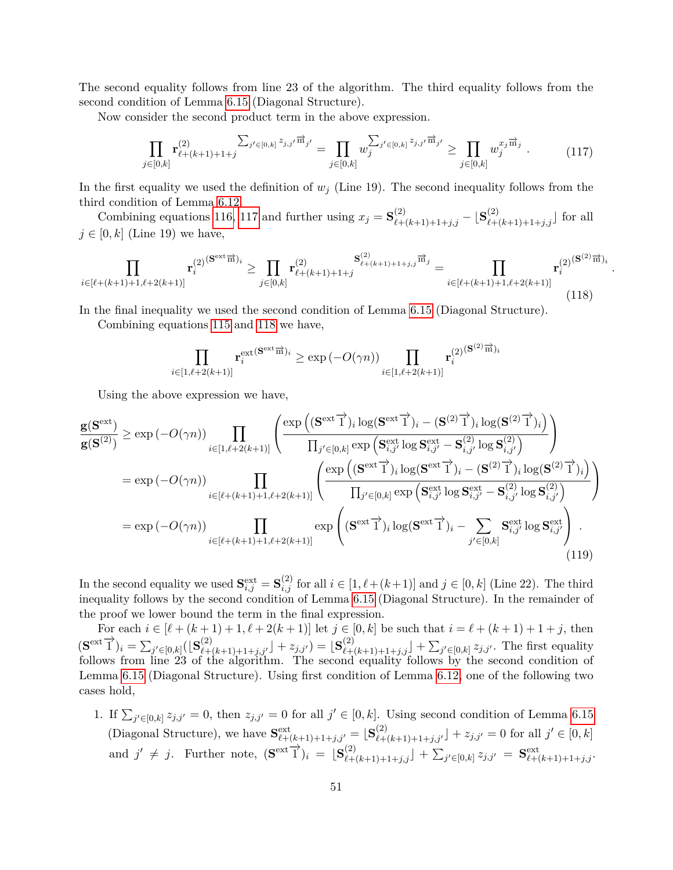The second equality follows from line 23 of the algorithm. The third equality follows from the second condition of Lemma [6.15](#page-38-2) (Diagonal Structure).

<span id="page-51-0"></span>Now consider the second product term in the above expression.

$$
\prod_{j\in[0,k]} \mathbf{r}_{\ell+(k+1)+1+j}^{(2)} \sum_{j'\in[0,k]} z_{j,j'} \vec{m}_{j'} = \prod_{j\in[0,k]} w_j^{\sum_{j'\in[0,k]} z_{j,j'} \vec{m}_{j'}} \ge \prod_{j\in[0,k]} w_j^{x_j \vec{m}_j} . \tag{117}
$$

*.*

In the first equality we used the definition of  $w_j$  (Line 19). The second inequality follows from the third condition of Lemma [6.12.](#page-36-3)

Combining equations [116,](#page-50-0) [117](#page-51-0) and further using  $x_j = \mathbf{S}^{(2)}_{\ell+(k+1)+1+j,j} - \lfloor \mathbf{S}^{(2)}_{\ell+(k+1)+1+j,j} \rfloor$  for all  $j \in [0, k]$  (Line 19) we have,

<span id="page-51-1"></span>
$$
\prod_{i \in [\ell + (k+1) + 1, \ell + 2(k+1)]} \mathbf{r}_{i}^{(2)(\mathbf{S}^{\text{ext}}\overrightarrow{n})_{i}} \geq \prod_{j \in [0,k]} \mathbf{r}_{\ell + (k+1) + 1 + j}^{(2)} \xrightarrow{\mathbf{S}_{\ell + (k+1) + 1 + j, j}^{(2)}\overrightarrow{m}_{j}} = \prod_{i \in [\ell + (k+1) + 1, \ell + 2(k+1)]} \mathbf{r}_{i}^{(2)(\mathbf{S}^{(2)}\overrightarrow{m})_{i}}
$$
\n(118)

In the final inequality we used the second condition of Lemma [6.15](#page-38-2) (Diagonal Structure).

Combining equations [115](#page-50-1) and [118](#page-51-1) we have,

$$
\prod_{i\in[1,\ell+2(k+1)]}\mathbf{r}_i^{\text{ext}}(\mathbf{S}^{\text{ext}}^{\overrightarrow{\text{m}}})_i \ge \exp\left(-O(\gamma n)\right)\prod_{i\in[1,\ell+2(k+1)]}\mathbf{r}_i^{(2)}(\mathbf{S}^{(2)}^{\overrightarrow{\text{m}}})_i
$$

Using the above expression we have,

<span id="page-51-2"></span>
$$
\frac{\mathbf{g}(\mathbf{S}^{\text{ext}})}{\mathbf{g}(\mathbf{S}^{(2)})} \geq \exp(-O(\gamma n)) \prod_{i \in [1,\ell+2(k+1)]} \left( \frac{\exp\left((\mathbf{S}^{\text{ext}} \vec{\mathbf{1}})_i \log(\mathbf{S}^{\text{ext}} \vec{\mathbf{1}})_i - (\mathbf{S}^{(2)} \vec{\mathbf{1}})_i \log(\mathbf{S}^{(2)} \vec{\mathbf{1}})_i\right)}{\prod_{j' \in [0,k]} \exp\left(\mathbf{S}^{\text{ext}}_{i,j'} \log \mathbf{S}^{\text{ext}}_{i,j'} - \mathbf{S}^{(2)}_{i,j'} \log \mathbf{S}^{(2)}_{i,j'}\right)} \right)
$$
\n
$$
= \exp(-O(\gamma n)) \prod_{i \in [\ell+(k+1)+1,\ell+2(k+1)]} \left( \frac{\exp\left((\mathbf{S}^{\text{ext}} \vec{\mathbf{1}})_i \log(\mathbf{S}^{\text{ext}} \vec{\mathbf{1}})_i - (\mathbf{S}^{(2)} \vec{\mathbf{1}})_i \log(\mathbf{S}^{(2)} \vec{\mathbf{1}})_i\right)}{\prod_{j' \in [0,k]} \exp\left(\mathbf{S}^{\text{ext}}_{i,j'} \log \mathbf{S}^{\text{ext}}_{i,j'} - \mathbf{S}^{(2)}_{i,j'} \log \mathbf{S}^{(2)}_{i,j'}\right)} \right)
$$
\n
$$
= \exp(-O(\gamma n)) \prod_{i \in [\ell+(k+1)+1,\ell+2(k+1)]} \exp\left((\mathbf{S}^{\text{ext}} \vec{\mathbf{1}})_i \log(\mathbf{S}^{\text{ext}} \vec{\mathbf{1}})_i - \sum_{j' \in [0,k]} \mathbf{S}^{\text{ext}}_{i,j'} \log \mathbf{S}^{\text{ext}}_{i,j'}\right).
$$
\n(119)

In the second equality we used  $\mathbf{S}_{i,j}^{\text{ext}} = \mathbf{S}_{i,j}^{(2)}$  for all  $i \in [1, \ell + (k+1)]$  and  $j \in [0, k]$  (Line 22). The third inequality follows by the second condition of Lemma [6.15](#page-38-2) (Diagonal Structure). In the remainder of the proof we lower bound the term in the final expression.

For each  $i \in [\ell + (k+1) + 1, \ell + 2(k+1)]$  let  $j \in [0, k]$  be such that  $i = \ell + (k+1) + 1 + j$ , then  $(\mathbf{S}^{\text{ext}})^{i}$   $j = \sum_{j' \in [0,k]} (\lfloor \mathbf{S}_{\ell+(k+1)+1+j,j'}^{(2)} \rfloor + z_{j,j'}) = \lfloor \mathbf{S}_{\ell+(k+1)+1+j,j}^{(2)} \rfloor + \sum_{j' \in [0,k]} z_{j,j'}$ . The first equality follows from line 23 of the algorithm. The second equality follows by the second condition of Lemma [6.15](#page-38-2) (Diagonal Structure). Using first condition of Lemma [6.12,](#page-36-3) one of the following two cases hold,

1. If  $\sum_{j' \in [0,k]} z_{j,j'} = 0$ , then  $z_{j,j'} = 0$  for all  $j' \in [0,k]$ . Using second condition of Lemma [6.15](#page-38-2) (Diagonal Structure), we have  $S_{\ell+(k+1)+1+j,j'}^{\text{ext}} = [S_{\ell+(k+1)+1+j,j'}^{(2)}] + z_{j,j'} = 0$  for all  $j' \in [0,k]$ and  $j' \neq j$ . Further note,  $(\mathbf{S}^{\text{ext}})^{j}$  =  $[\mathbf{S}^{(2)}_{\ell+(k+1)+1+j,j}] + \sum_{j' \in [0,k]} z_{j,j'} = \mathbf{S}^{\text{ext}}_{\ell+(k+1)+1+j,j}$ .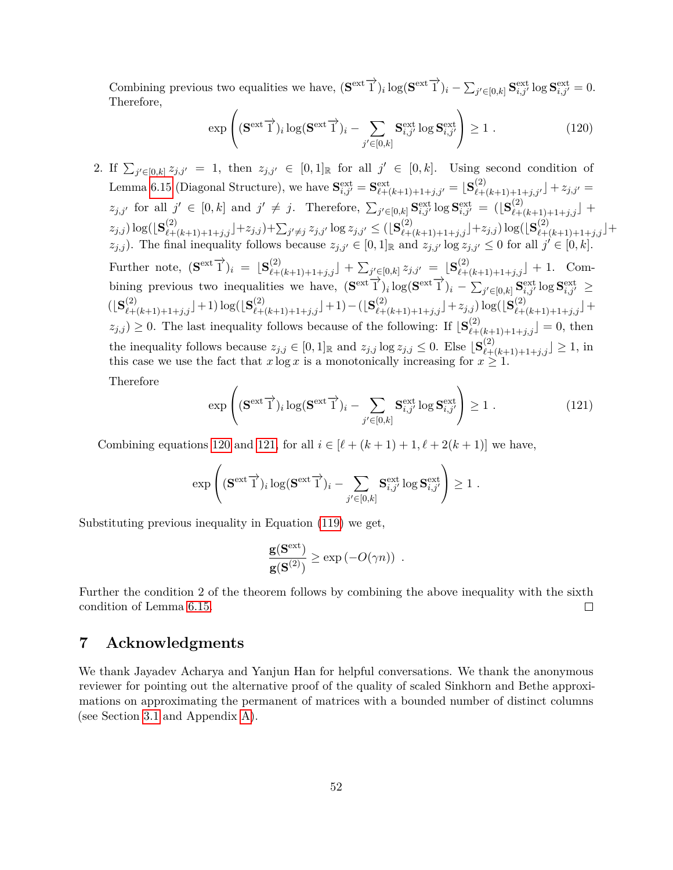Combining previous two equalities we have,  $(\mathbf{S}^{\text{ext}}\overrightarrow{1})_i \log(\mathbf{S}^{\text{ext}}\overrightarrow{1})_i - \sum_{j' \in [0,k]} \mathbf{S}^{\text{ext}}_{i,j'} \log \mathbf{S}^{\text{ext}}_{i,j'} = 0.$ Therefore,

<span id="page-52-0"></span>
$$
\exp\left( (\mathbf{S}^{\text{ext}} \overrightarrow{1})_i \log(\mathbf{S}^{\text{ext}} \overrightarrow{1})_i - \sum_{j' \in [0,k]} \mathbf{S}^{\text{ext}}_{i,j'} \log \mathbf{S}^{\text{ext}}_{i,j'} \right) \ge 1. \tag{120}
$$

2. If  $\sum_{j' \in [0,k]} z_{j,j'} = 1$ , then  $z_{j,j'} \in [0,1]$  for all  $j' \in [0,k]$ . Using second condition of Lemma [6.15](#page-38-2) (Diagonal Structure), we have  $S_{i,j'}^{\text{ext}} = S_{\ell+(k+1)+1+j,j'}^{\text{ext}} = S_{\ell+(k+1)+1+j,j'}^{(2)} = \frac{S_{\ell+(k+1)+1+j,j'}^{(2)}}{S_{\ell+(k+1)+1+j,j'}} = \frac{S_{\ell+(k+1)+1+j,j'}^{(2)}}{S_{\ell+(k+1)+1+j,j'}}$  $z_{j,j'}$  for all  $j' \in [0,k]$  and  $j' \neq j$ . Therefore,  $\sum_{j' \in [0,k]} S^{\text{ext}}_{i,j'} \log S^{\text{ext}}_{i,j'} = (S^{(2)}_{\ell+(k+1)+1+j,j}] +$  $(z_{j,j}) \log(\lfloor \mathbf{S}^{(2)}_{\ell+(k+1)+1+j,j}\rfloor + z_{j,j}) + \sum_{j'\neq j} z_{j,j'} \log z_{j,j'} \leq (\lfloor \mathbf{S}^{(2)}_{\ell+(k+1)+1+j,j}\rfloor + z_{j,j}) \log(\lfloor \mathbf{S}^{(2)}_{\ell+(k+1)+1+j,j}\rfloor + z_{j,j'})$ *z*<sub>*j,j*</sub>). The final inequality follows because  $z_{j,j'} \in [0,1]$ <sub>R</sub> and  $z_{j,j'} \log z_{j,j'} \leq 0$  for all  $j' \in [0,k]$ .  $\text{Further note, } (\mathbf{S}^{\text{ext}} \overrightarrow{1})_i = [\mathbf{S}^{(2)}_{\ell+(k+1)+1+j,j}] + \sum_{j' \in [0,k]} z_{j,j'} = [\mathbf{S}^{(2)}_{\ell+(k+1)+1+j,j}] + 1.$  Combining previous two inequalities we have,  $(\mathbf{S}^{\text{ext}}\vec{\mathbf{1}})_i \log(\mathbf{S}^{\text{ext}}\vec{\mathbf{1}})_i - \sum_{j' \in [0,k]} \mathbf{S}^{\text{ext}}_{i,j'} \log \mathbf{S}^{\text{ext}}_{i,j'} \geq$  $(\lfloor {\bf S}_{\ell+(k+1)+1+j,j}^{(2)} \rfloor + 1) \log(\lfloor {\bf S}_{\ell+(k+1)+1+j,j}^{(2)} \rfloor + 1) - (\lfloor {\bf S}_{\ell+(k+1)+1+j,j}^{(2)} \rfloor + z_{j,j}) \log(\lfloor {\bf S}_{\ell+(k+1)+1+j,j}^{(2)} \rfloor + z_{j,j})$  $z_{j,j}$   $\geq$  0. The last inequality follows because of the following: If  $\left[\mathbf{S}_{\ell+(k+1)+1+j,j}^{(2)}\right]=0$ , then the inequality follows because  $z_{j,j} \in [0,1]$  and  $z_{j,j} \log z_{j,j} \leq 0$ . Else  $\left[\mathbf{S}^{(2)}_{\ell+(k+1)+1+j,j}\right] \geq 1$ , in this case we use the fact that  $x \log x$  is a monotonically increasing for  $x \geq 1$ . Therefore

<span id="page-52-1"></span>
$$
\exp\left( (\mathbf{S}^{\text{ext}} \overrightarrow{1})_i \log(\mathbf{S}^{\text{ext}} \overrightarrow{1})_i - \sum_{j' \in [0,k]} \mathbf{S}^{\text{ext}}_{i,j'} \log \mathbf{S}^{\text{ext}}_{i,j'} \right) \ge 1. \tag{121}
$$

Combining equations [120](#page-52-0) and [121,](#page-52-1) for all  $i \in [\ell + (k+1) + 1, \ell + 2(k+1)]$  we have,

$$
\exp\left( (\mathbf{S}^{\text{ext}}\overrightarrow{1})_i \log(\mathbf{S}^{\text{ext}}\overrightarrow{1})_i - \sum_{j' \in [0,k]} \mathbf{S}^{\text{ext}}_{i,j'} \log \mathbf{S}^{\text{ext}}_{i,j'} \right) \ge 1 \; .
$$

Substituting previous inequality in Equation [\(119\)](#page-51-2) we get,

$$
\frac{\mathbf{g}(\mathbf{S}^{\text{ext}})}{\mathbf{g}(\mathbf{S}^{(2)})} \ge \exp(-O(\gamma n)) \enspace .
$$

Further the condition 2 of the theorem follows by combining the above inequality with the sixth condition of Lemma [6.15.](#page-38-2)  $\Box$ 

## **7 Acknowledgments**

We thank Jayadev Acharya and Yanjun Han for helpful conversations. We thank the anonymous reviewer for pointing out the alternative proof of the quality of scaled Sinkhorn and Bethe approximations on approximating the permanent of matrices with a bounded number of distinct columns (see Section [3.1](#page-10-0) and Appendix [A\)](#page-57-9).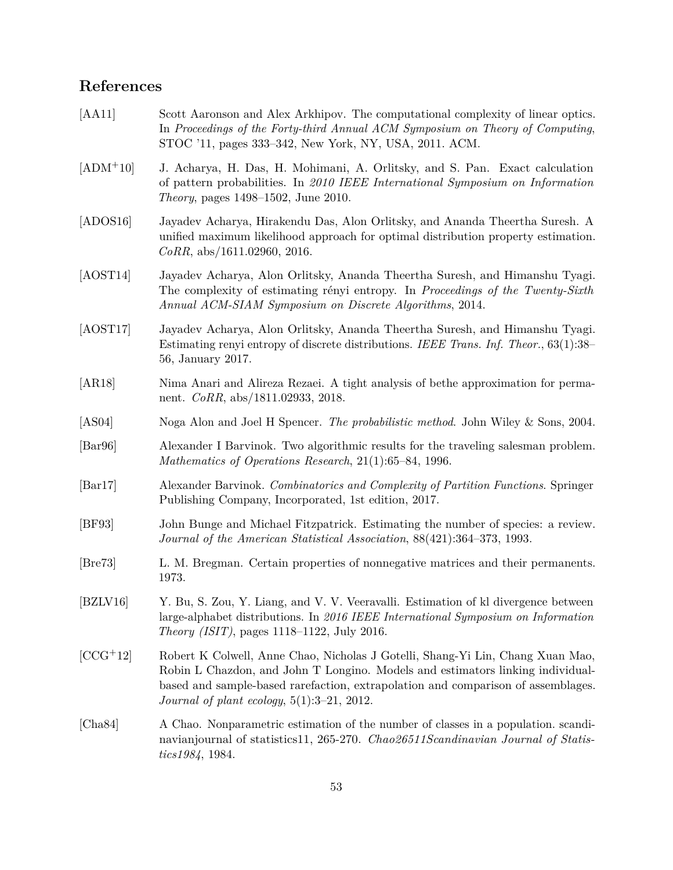# **References**

<span id="page-53-13"></span><span id="page-53-12"></span><span id="page-53-11"></span><span id="page-53-10"></span><span id="page-53-9"></span><span id="page-53-8"></span><span id="page-53-7"></span><span id="page-53-6"></span><span id="page-53-5"></span><span id="page-53-4"></span><span id="page-53-3"></span><span id="page-53-2"></span><span id="page-53-1"></span><span id="page-53-0"></span>

| [AA11]                      | Scott Aaronson and Alex Arkhipov. The computational complexity of linear optics.<br>In Proceedings of the Forty-third Annual ACM Symposium on Theory of Computing,<br>STOC '11, pages 333–342, New York, NY, USA, 2011. ACM.                                                                                  |
|-----------------------------|---------------------------------------------------------------------------------------------------------------------------------------------------------------------------------------------------------------------------------------------------------------------------------------------------------------|
| $[ADM+10]$                  | J. Acharya, H. Das, H. Mohimani, A. Orlitsky, and S. Pan. Exact calculation<br>of pattern probabilities. In 2010 IEEE International Symposium on Information<br><i>Theory</i> , pages 1498–1502, June 2010.                                                                                                   |
| [ADOS16]                    | Jayadev Acharya, Hirakendu Das, Alon Orlitsky, and Ananda Theertha Suresh. A<br>unified maximum likelihood approach for optimal distribution property estimation.<br>$CoRR$ , abs/1611.02960, 2016.                                                                                                           |
| [AOST14]                    | Jayadev Acharya, Alon Orlitsky, Ananda Theertha Suresh, and Himanshu Tyagi.<br>The complexity of estimating rényi entropy. In Proceedings of the Twenty-Sixth<br>Annual ACM-SIAM Symposium on Discrete Algorithms, 2014.                                                                                      |
| [AOST17]                    | Jayadev Acharya, Alon Orlitsky, Ananda Theertha Suresh, and Himanshu Tyagi.<br>Estimating renyi entropy of discrete distributions. IEEE Trans. Inf. Theor., $63(1)$ :38–<br>56, January 2017.                                                                                                                 |
| [AR18]                      | Nima Anari and Alireza Rezaei. A tight analysis of bethe approximation for perma-<br>nent. $CoRR$ , abs/1811.02933, 2018.                                                                                                                                                                                     |
| [AS04]                      | Noga Alon and Joel H Spencer. The probabilistic method. John Wiley & Sons, 2004.                                                                                                                                                                                                                              |
| $\left[\text{Bar96}\right]$ | Alexander I Barvinok. Two algorithmic results for the traveling salesman problem.<br>Mathematics of Operations Research, 21(1):65–84, 1996.                                                                                                                                                                   |
| $\left[\text{Bar17}\right]$ | Alexander Barvinok. Combinatorics and Complexity of Partition Functions. Springer<br>Publishing Company, Incorporated, 1st edition, 2017.                                                                                                                                                                     |
| [BF93]                      | John Bunge and Michael Fitzpatrick. Estimating the number of species: a review.<br>Journal of the American Statistical Association, 88(421):364-373, 1993.                                                                                                                                                    |
| [Bre73]                     | L. M. Bregman. Certain properties of nonnegative matrices and their permanents.<br>1973.                                                                                                                                                                                                                      |
| [BZLV16]                    | Y. Bu, S. Zou, Y. Liang, and V. V. Veeravalli. Estimation of kl divergence between<br>large-alphabet distributions. In 2016 IEEE International Symposium on Information<br><i>Theory (ISIT)</i> , pages $1118-1122$ , July 2016.                                                                              |
| $[CCG+12]$                  | Robert K Colwell, Anne Chao, Nicholas J Gotelli, Shang-Yi Lin, Chang Xuan Mao,<br>Robin L Chazdon, and John T Longino. Models and estimators linking individual-<br>based and sample-based rarefaction, extrapolation and comparison of assemblages.<br><i>Journal of plant ecology</i> , $5(1):3-21$ , 2012. |
| [Cha84]                     | A Chao. Nonparametric estimation of the number of classes in a population. scandi-<br>navianjournal of statistics11, 265-270. Chao26511Scandinavian Journal of Statis-<br>tics1984, 1984.                                                                                                                     |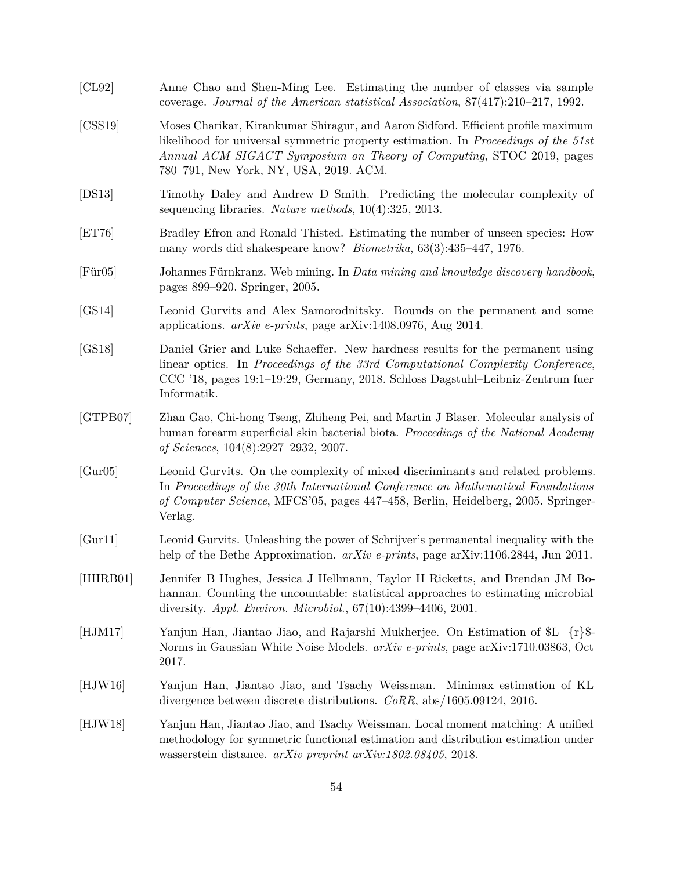<span id="page-54-13"></span><span id="page-54-12"></span><span id="page-54-11"></span><span id="page-54-10"></span><span id="page-54-9"></span><span id="page-54-8"></span><span id="page-54-7"></span><span id="page-54-6"></span><span id="page-54-5"></span><span id="page-54-4"></span><span id="page-54-3"></span><span id="page-54-2"></span><span id="page-54-1"></span><span id="page-54-0"></span>

| [CL92]   | Anne Chao and Shen-Ming Lee. Estimating the number of classes via sample<br>coverage. Journal of the American statistical Association, $87(417):210-217$ , 1992.                                                                                                                          |
|----------|-------------------------------------------------------------------------------------------------------------------------------------------------------------------------------------------------------------------------------------------------------------------------------------------|
| [CSS19]  | Moses Charikar, Kirankumar Shiragur, and Aaron Sidford. Efficient profile maximum<br>likelihood for universal symmetric property estimation. In Proceedings of the 51st<br>Annual ACM SIGACT Symposium on Theory of Computing, STOC 2019, pages<br>780–791, New York, NY, USA, 2019. ACM. |
| [DS13]   | Timothy Daley and Andrew D Smith. Predicting the molecular complexity of<br>sequencing libraries. Nature methods, $10(4):325$ , $2013$ .                                                                                                                                                  |
| [ET76]   | Bradley Efron and Ronald Thisted. Estimating the number of unseen species: How<br>many words did shakespeare know? <i>Biometrika</i> , $63(3):435-447$ , 1976.                                                                                                                            |
| [Fix 05] | Johannes Fürnkranz. Web mining. In Data mining and knowledge discovery handbook,<br>pages 899–920. Springer, 2005.                                                                                                                                                                        |
| [GS14]   | Leonid Gurvits and Alex Samorodnitsky. Bounds on the permanent and some<br>applications. $arXiv$ e-prints, page $arXiv:1408.0976$ , Aug 2014.                                                                                                                                             |
| [GS18]   | Daniel Grier and Luke Schaeffer. New hardness results for the permanent using<br>linear optics. In Proceedings of the 33rd Computational Complexity Conference,<br>CCC '18, pages 19:1–19:29, Germany, 2018. Schloss Dagstuhl-Leibniz-Zentrum fuer<br>Informatik.                         |
| [GTPB07] | Zhan Gao, Chi-hong Tseng, Zhiheng Pei, and Martin J Blaser. Molecular analysis of<br>human forearm superficial skin bacterial biota. Proceedings of the National Academy<br>of Sciences, $104(8):2927-2932$ , 2007.                                                                       |
| [Gur05]  | Leonid Gurvits. On the complexity of mixed discriminants and related problems.<br>In Proceedings of the 30th International Conference on Mathematical Foundations<br>of Computer Science, MFCS'05, pages 447–458, Berlin, Heidelberg, 2005. Springer-<br>Verlag.                          |
| [Gur11]  | Leonid Gurvits. Unleashing the power of Schrijver's permanental inequality with the<br>help of the Bethe Approximation. $arXiv$ e-prints, page $arXiv:1106.2844$ , Jun 2011.                                                                                                              |
| [HHRB01] | Jennifer B Hughes, Jessica J Hellmann, Taylor H Ricketts, and Brendan JM Bo-<br>hannan. Counting the uncountable: statistical approaches to estimating microbial<br>diversity. <i>Appl. Environ. Microbiol.</i> , $67(10):4399-4406$ , 2001.                                              |
| [HJM17]  | Yanjun Han, Jiantao Jiao, and Rajarshi Mukherjee. On Estimation of $L_{r}$ .<br>Norms in Gaussian White Noise Models. arXiv e-prints, page arXiv:1710.03863, Oct<br>2017.                                                                                                                 |
| [HJW16]  | Yanjun Han, Jiantao Jiao, and Tsachy Weissman. Minimax estimation of KL<br>divergence between discrete distributions. $CoRR$ , abs/1605.09124, 2016.                                                                                                                                      |
| [HJW18]  | Yanjun Han, Jiantao Jiao, and Tsachy Weissman. Local moment matching: A unified<br>methodology for symmetric functional estimation and distribution estimation under<br>wasserstein distance. $arXiv$ preprint $arXiv:1802.08405$ , 2018.                                                 |
|          |                                                                                                                                                                                                                                                                                           |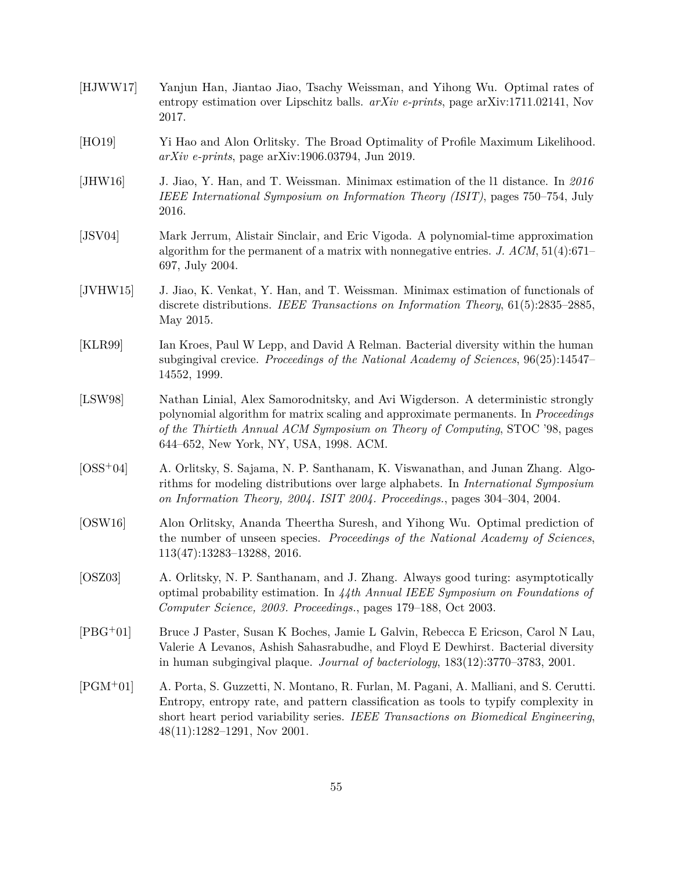- <span id="page-55-3"></span>[HJWW17] Yanjun Han, Jiantao Jiao, Tsachy Weissman, and Yihong Wu. Optimal rates of entropy estimation over Lipschitz balls. *arXiv e-prints*, page arXiv:1711.02141, Nov 2017.
- <span id="page-55-9"></span>[HO19] Yi Hao and Alon Orlitsky. The Broad Optimality of Profile Maximum Likelihood. *arXiv e-prints*, page arXiv:1906.03794, Jun 2019.
- <span id="page-55-6"></span>[JHW16] J. Jiao, Y. Han, and T. Weissman. Minimax estimation of the l1 distance. In *2016 IEEE International Symposium on Information Theory (ISIT)*, pages 750–754, July 2016.
- <span id="page-55-10"></span>[JSV04] Mark Jerrum, Alistair Sinclair, and Eric Vigoda. A polynomial-time approximation algorithm for the permanent of a matrix with nonnegative entries. *J. ACM*, 51(4):671– 697, July 2004.
- <span id="page-55-5"></span>[JVHW15] J. Jiao, K. Venkat, Y. Han, and T. Weissman. Minimax estimation of functionals of discrete distributions. *IEEE Transactions on Information Theory*, 61(5):2835–2885, May 2015.
- <span id="page-55-1"></span>[KLR99] Ian Kroes, Paul W Lepp, and David A Relman. Bacterial diversity within the human subgingival crevice. *Proceedings of the National Academy of Sciences*, 96(25):14547– 14552, 1999.
- <span id="page-55-11"></span>[LSW98] Nathan Linial, Alex Samorodnitsky, and Avi Wigderson. A deterministic strongly polynomial algorithm for matrix scaling and approximate permanents. In *Proceedings of the Thirtieth Annual ACM Symposium on Theory of Computing*, STOC '98, pages 644–652, New York, NY, USA, 1998. ACM.
- <span id="page-55-7"></span>[OSS+04] A. Orlitsky, S. Sajama, N. P. Santhanam, K. Viswanathan, and Junan Zhang. Algorithms for modeling distributions over large alphabets. In *International Symposium on Information Theory, 2004. ISIT 2004. Proceedings.*, pages 304–304, 2004.
- <span id="page-55-4"></span>[OSW16] Alon Orlitsky, Ananda Theertha Suresh, and Yihong Wu. Optimal prediction of the number of unseen species. *Proceedings of the National Academy of Sciences*, 113(47):13283–13288, 2016.
- <span id="page-55-8"></span>[OSZ03] A. Orlitsky, N. P. Santhanam, and J. Zhang. Always good turing: asymptotically optimal probability estimation. In *44th Annual IEEE Symposium on Foundations of Computer Science, 2003. Proceedings.*, pages 179–188, Oct 2003.
- <span id="page-55-2"></span>[PBG+01] Bruce J Paster, Susan K Boches, Jamie L Galvin, Rebecca E Ericson, Carol N Lau, Valerie A Levanos, Ashish Sahasrabudhe, and Floyd E Dewhirst. Bacterial diversity in human subgingival plaque. *Journal of bacteriology*, 183(12):3770–3783, 2001.
- <span id="page-55-0"></span>[PGM+01] A. Porta, S. Guzzetti, N. Montano, R. Furlan, M. Pagani, A. Malliani, and S. Cerutti. Entropy, entropy rate, and pattern classification as tools to typify complexity in short heart period variability series. *IEEE Transactions on Biomedical Engineering*, 48(11):1282–1291, Nov 2001.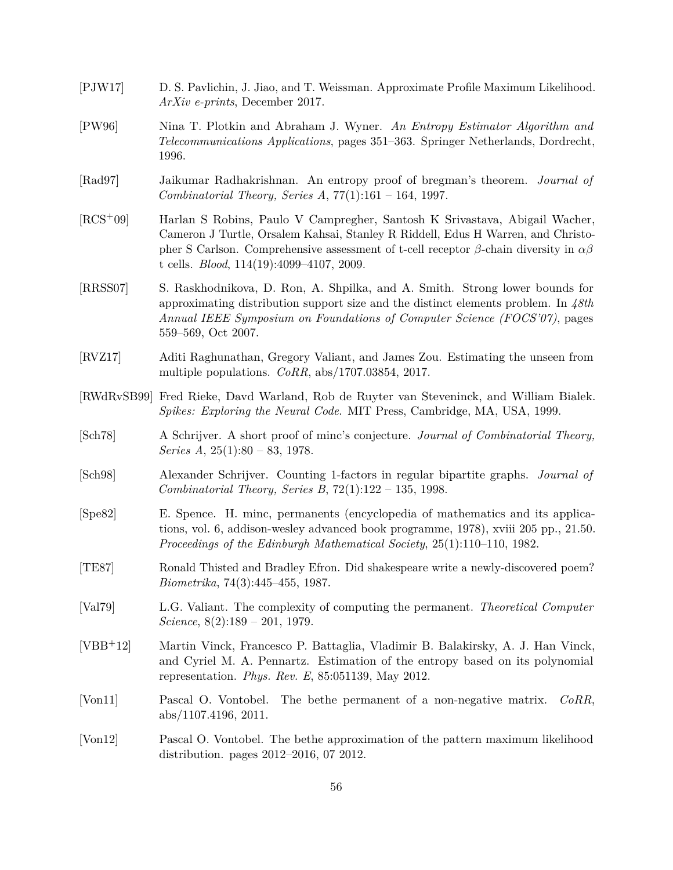- <span id="page-56-8"></span>[PJW17] D. S. Pavlichin, J. Jiao, and T. Weissman. Approximate Profile Maximum Likelihood. *ArXiv e-prints*, December 2017.
- <span id="page-56-2"></span>[PW96] Nina T. Plotkin and Abraham J. Wyner. *An Entropy Estimator Algorithm and Telecommunications Applications*, pages 351–363. Springer Netherlands, Dordrecht, 1996.
- <span id="page-56-14"></span>[Rad97] Jaikumar Radhakrishnan. An entropy proof of bregman's theorem. *Journal of Combinatorial Theory, Series A*, 77(1):161 – 164, 1997.
- <span id="page-56-4"></span>[RCS+09] Harlan S Robins, Paulo V Campregher, Santosh K Srivastava, Abigail Wacher, Cameron J Turtle, Orsalem Kahsai, Stanley R Riddell, Edus H Warren, and Christopher S Carlson. Comprehensive assessment of t-cell receptor *β*-chain diversity in *αβ* t cells. *Blood*, 114(19):4099–4107, 2009.
- <span id="page-56-6"></span>[RRSS07] S. Raskhodnikova, D. Ron, A. Shpilka, and A. Smith. Strong lower bounds for approximating distribution support size and the distinct elements problem. In *48th Annual IEEE Symposium on Foundations of Computer Science (FOCS'07)*, pages 559–569, Oct 2007.
- <span id="page-56-5"></span>[RVZ17] Aditi Raghunathan, Gregory Valiant, and James Zou. Estimating the unseen from multiple populations. *CoRR*, abs/1707.03854, 2017.
- <span id="page-56-0"></span>[RWdRvSB99] Fred Rieke, Davd Warland, Rob de Ruyter van Steveninck, and William Bialek. *Spikes: Exploring the Neural Code*. MIT Press, Cambridge, MA, USA, 1999.
- <span id="page-56-13"></span>[Sch78] A Schrijver. A short proof of minc's conjecture. *Journal of Combinatorial Theory, Series A*, 25(1):80 – 83, 1978.
- <span id="page-56-10"></span>[Sch98] Alexander Schrijver. Counting 1-factors in regular bipartite graphs. *Journal of Combinatorial Theory, Series B*, 72(1):122 – 135, 1998.
- <span id="page-56-12"></span>[Spe82] E. Spence. H. minc, permanents (encyclopedia of mathematics and its applications, vol. 6, addison-wesley advanced book programme, 1978), xviii 205 pp., 21.50. *Proceedings of the Edinburgh Mathematical Society*, 25(1):110–110, 1982.
- <span id="page-56-3"></span>[TE87] Ronald Thisted and Bradley Efron. Did shakespeare write a newly-discovered poem? *Biometrika*, 74(3):445–455, 1987.
- <span id="page-56-11"></span>[Val79] L.G. Valiant. The complexity of computing the permanent. *Theoretical Computer Science*, 8(2):189 – 201, 1979.
- <span id="page-56-1"></span>[VBB+12] Martin Vinck, Francesco P. Battaglia, Vladimir B. Balakirsky, A. J. Han Vinck, and Cyriel M. A. Pennartz. Estimation of the entropy based on its polynomial representation. *Phys. Rev. E*, 85:051139, May 2012.
- <span id="page-56-9"></span>[Von11] Pascal O. Vontobel. The bethe permanent of a non-negative matrix. *CoRR*, abs/1107.4196, 2011.
- <span id="page-56-7"></span>[Von12] Pascal O. Vontobel. The bethe approximation of the pattern maximum likelihood distribution. pages 2012–2016, 07 2012.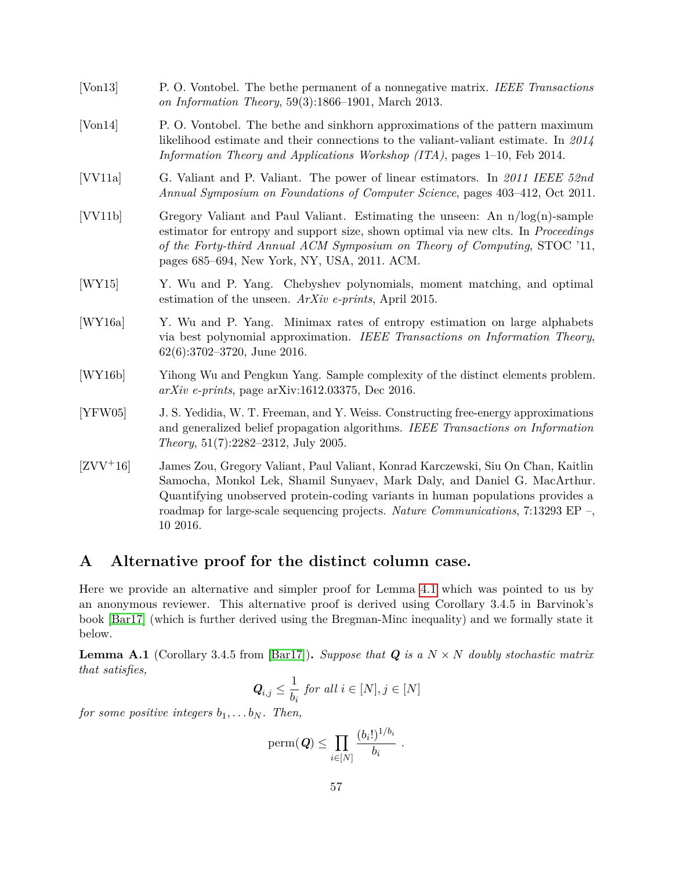- <span id="page-57-8"></span>[Von13] P. O. Vontobel. The bethe permanent of a nonnegative matrix. *IEEE Transactions on Information Theory*, 59(3):1866–1901, March 2013.
- <span id="page-57-6"></span>[Von14] P. O. Vontobel. The bethe and sinkhorn approximations of the pattern maximum likelihood estimate and their connections to the valiant-valiant estimate. In *2014 Information Theory and Applications Workshop (ITA)*, pages 1–10, Feb 2014.
- <span id="page-57-5"></span>[VV11a] G. Valiant and P. Valiant. The power of linear estimators. In *2011 IEEE 52nd Annual Symposium on Foundations of Computer Science*, pages 403–412, Oct 2011.
- <span id="page-57-3"></span>[VV11b] Gregory Valiant and Paul Valiant. Estimating the unseen: An  $n/log(n)$ -sample estimator for entropy and support size, shown optimal via new clts. In *Proceedings of the Forty-third Annual ACM Symposium on Theory of Computing*, STOC '11, pages 685–694, New York, NY, USA, 2011. ACM.
- <span id="page-57-2"></span>[WY15] Y. Wu and P. Yang. Chebyshev polynomials, moment matching, and optimal estimation of the unseen. *ArXiv e-prints*, April 2015.
- <span id="page-57-4"></span>[WY16a] Y. Wu and P. Yang. Minimax rates of entropy estimation on large alphabets via best polynomial approximation. *IEEE Transactions on Information Theory*, 62(6):3702–3720, June 2016.
- <span id="page-57-1"></span>[WY16b] Yihong Wu and Pengkun Yang. Sample complexity of the distinct elements problem. *arXiv e-prints*, page arXiv:1612.03375, Dec 2016.
- <span id="page-57-7"></span>[YFW05] J. S. Yedidia, W. T. Freeman, and Y. Weiss. Constructing free-energy approximations and generalized belief propagation algorithms. *IEEE Transactions on Information Theory*, 51(7):2282–2312, July 2005.
- <span id="page-57-0"></span>[ZVV+16] James Zou, Gregory Valiant, Paul Valiant, Konrad Karczewski, Siu On Chan, Kaitlin Samocha, Monkol Lek, Shamil Sunyaev, Mark Daly, and Daniel G. MacArthur. Quantifying unobserved protein-coding variants in human populations provides a roadmap for large-scale sequencing projects. *Nature Communications*, 7:13293 EP –, 10 2016.

## <span id="page-57-9"></span>**A Alternative proof for the distinct column case.**

Here we provide an alternative and simpler proof for Lemma [4.1](#page-12-2) which was pointed to us by an anonymous reviewer. This alternative proof is derived using Corollary 3.4.5 in Barvinok's book [\[Bar17\]](#page-53-7) (which is further derived using the Bregman-Minc inequality) and we formally state it below.

<span id="page-57-10"></span>**Lemma A.1** (Corollary 3.4.5 from [\[Bar17\]](#page-53-7)). Suppose that  $Q$  is a  $N \times N$  doubly stochastic matrix *that satisfies,*

$$
Q_{i,j} \leq \frac{1}{b_i} \text{ for all } i \in [N], j \in [N]
$$

*for some positive integers*  $b_1, \ldots, b_N$ *. Then,* 

$$
\mathrm{perm}(\textbf{\textit{Q}})\leq \prod_{i\in[N]}\frac{(b_i!)^{1/b_i}}{b_i}\ .
$$